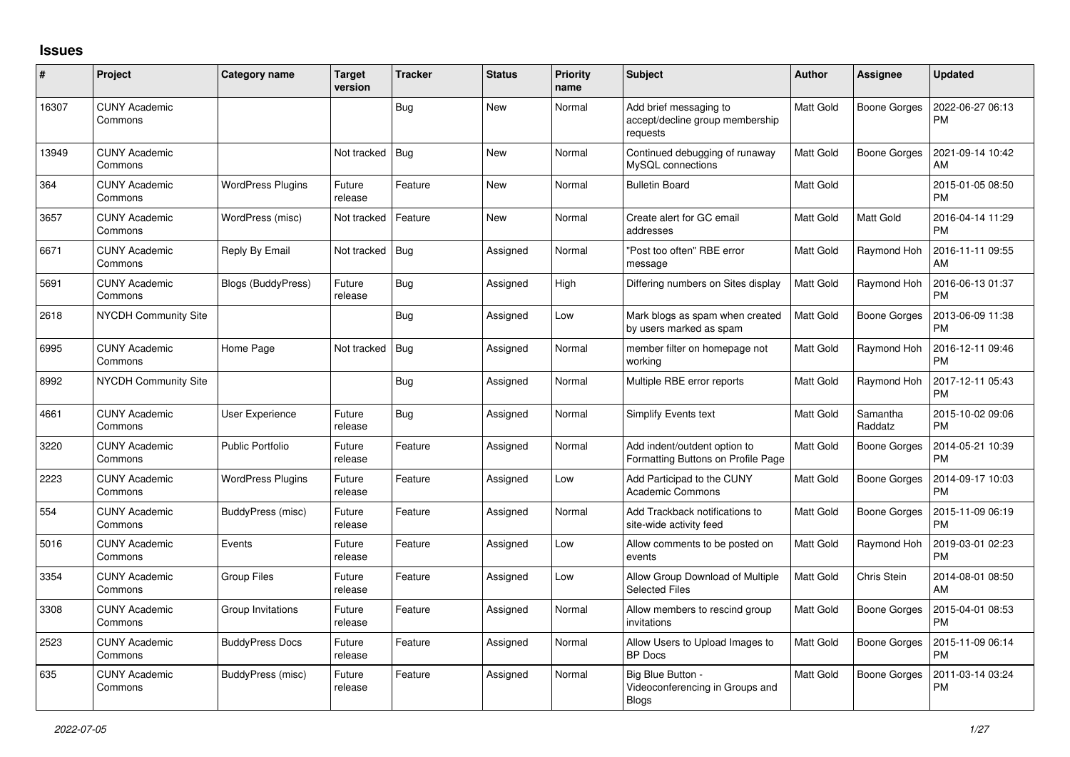## **Issues**

| $\#$  | Project                         | <b>Category name</b>     | <b>Target</b><br>version | <b>Tracker</b> | <b>Status</b> | Priority<br>name | <b>Subject</b>                                                        | <b>Author</b>    | Assignee            | <b>Updated</b>                |
|-------|---------------------------------|--------------------------|--------------------------|----------------|---------------|------------------|-----------------------------------------------------------------------|------------------|---------------------|-------------------------------|
| 16307 | <b>CUNY Academic</b><br>Commons |                          |                          | Bug            | <b>New</b>    | Normal           | Add brief messaging to<br>accept/decline group membership<br>requests | <b>Matt Gold</b> | <b>Boone Gorges</b> | 2022-06-27 06:13<br><b>PM</b> |
| 13949 | <b>CUNY Academic</b><br>Commons |                          | Not tracked              | Bug            | <b>New</b>    | Normal           | Continued debugging of runaway<br>MySQL connections                   | <b>Matt Gold</b> | <b>Boone Gorges</b> | 2021-09-14 10:42<br>AM        |
| 364   | <b>CUNY Academic</b><br>Commons | <b>WordPress Plugins</b> | Future<br>release        | Feature        | <b>New</b>    | Normal           | <b>Bulletin Board</b>                                                 | Matt Gold        |                     | 2015-01-05 08:50<br><b>PM</b> |
| 3657  | <b>CUNY Academic</b><br>Commons | WordPress (misc)         | Not tracked              | Feature        | New           | Normal           | Create alert for GC email<br>addresses                                | <b>Matt Gold</b> | Matt Gold           | 2016-04-14 11:29<br><b>PM</b> |
| 6671  | <b>CUNY Academic</b><br>Commons | Reply By Email           | Not tracked              | Bug            | Assigned      | Normal           | "Post too often" RBE error<br>message                                 | Matt Gold        | Raymond Hoh         | 2016-11-11 09:55<br>AM        |
| 5691  | <b>CUNY Academic</b><br>Commons | Blogs (BuddyPress)       | Future<br>release        | Bug            | Assigned      | High             | Differing numbers on Sites display                                    | <b>Matt Gold</b> | Raymond Hoh         | 2016-06-13 01:37<br><b>PM</b> |
| 2618  | <b>NYCDH Community Site</b>     |                          |                          | Bug            | Assigned      | Low              | Mark blogs as spam when created<br>by users marked as spam            | <b>Matt Gold</b> | <b>Boone Gorges</b> | 2013-06-09 11:38<br><b>PM</b> |
| 6995  | <b>CUNY Academic</b><br>Commons | Home Page                | Not tracked              | Bug            | Assigned      | Normal           | member filter on homepage not<br>working                              | <b>Matt Gold</b> | Raymond Hoh         | 2016-12-11 09:46<br><b>PM</b> |
| 8992  | <b>NYCDH Community Site</b>     |                          |                          | Bug            | Assigned      | Normal           | Multiple RBE error reports                                            | <b>Matt Gold</b> | Raymond Hoh         | 2017-12-11 05:43<br><b>PM</b> |
| 4661  | <b>CUNY Academic</b><br>Commons | <b>User Experience</b>   | Future<br>release        | Bug            | Assigned      | Normal           | <b>Simplify Events text</b>                                           | <b>Matt Gold</b> | Samantha<br>Raddatz | 2015-10-02 09:06<br><b>PM</b> |
| 3220  | <b>CUNY Academic</b><br>Commons | <b>Public Portfolio</b>  | Future<br>release        | Feature        | Assigned      | Normal           | Add indent/outdent option to<br>Formatting Buttons on Profile Page    | Matt Gold        | <b>Boone Gorges</b> | 2014-05-21 10:39<br><b>PM</b> |
| 2223  | <b>CUNY Academic</b><br>Commons | <b>WordPress Plugins</b> | Future<br>release        | Feature        | Assigned      | Low              | Add Participad to the CUNY<br><b>Academic Commons</b>                 | <b>Matt Gold</b> | <b>Boone Gorges</b> | 2014-09-17 10:03<br><b>PM</b> |
| 554   | <b>CUNY Academic</b><br>Commons | BuddyPress (misc)        | Future<br>release        | Feature        | Assigned      | Normal           | Add Trackback notifications to<br>site-wide activity feed             | <b>Matt Gold</b> | Boone Gorges        | 2015-11-09 06:19<br><b>PM</b> |
| 5016  | <b>CUNY Academic</b><br>Commons | Events                   | Future<br>release        | Feature        | Assigned      | Low              | Allow comments to be posted on<br>events                              | Matt Gold        | Raymond Hoh         | 2019-03-01 02:23<br><b>PM</b> |
| 3354  | <b>CUNY Academic</b><br>Commons | <b>Group Files</b>       | Future<br>release        | Feature        | Assigned      | Low              | Allow Group Download of Multiple<br><b>Selected Files</b>             | Matt Gold        | Chris Stein         | 2014-08-01 08:50<br>AM        |
| 3308  | <b>CUNY Academic</b><br>Commons | Group Invitations        | Future<br>release        | Feature        | Assigned      | Normal           | Allow members to rescind group<br>invitations                         | Matt Gold        | <b>Boone Gorges</b> | 2015-04-01 08:53<br><b>PM</b> |
| 2523  | <b>CUNY Academic</b><br>Commons | <b>BuddyPress Docs</b>   | Future<br>release        | Feature        | Assigned      | Normal           | Allow Users to Upload Images to<br><b>BP</b> Docs                     | <b>Matt Gold</b> | <b>Boone Gorges</b> | 2015-11-09 06:14<br><b>PM</b> |
| 635   | <b>CUNY Academic</b><br>Commons | BuddyPress (misc)        | Future<br>release        | Feature        | Assigned      | Normal           | Big Blue Button -<br>Videoconferencing in Groups and<br><b>Blogs</b>  | <b>Matt Gold</b> | <b>Boone Gorges</b> | 2011-03-14 03:24<br><b>PM</b> |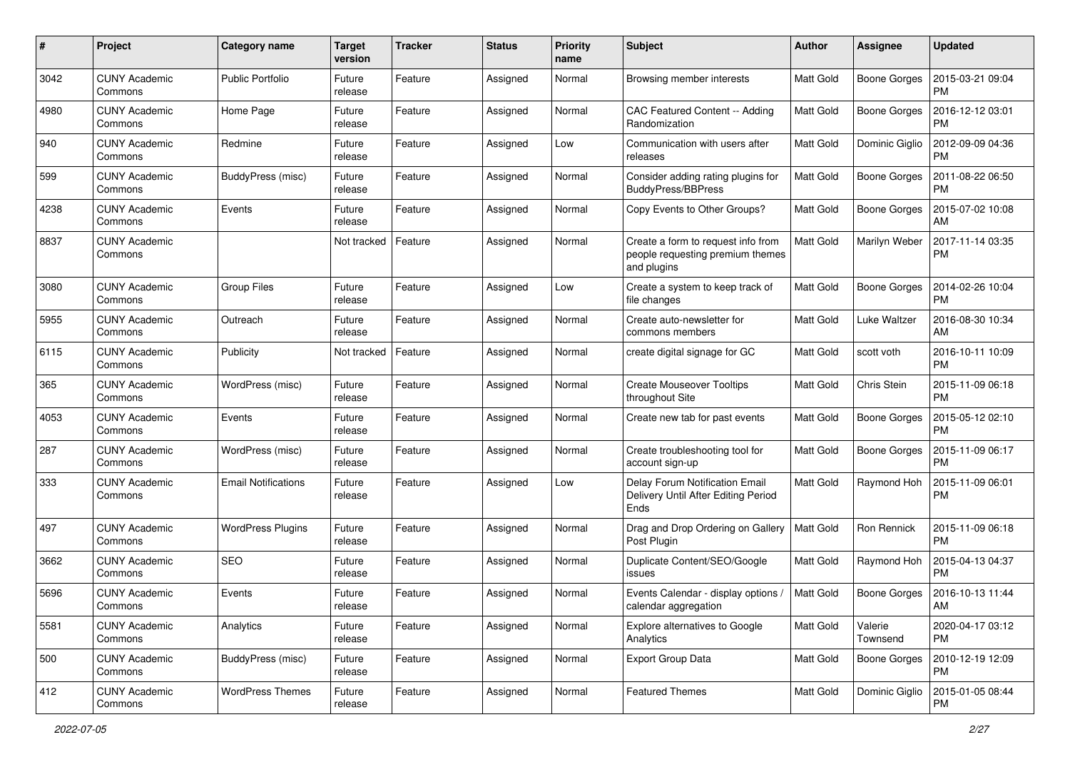| #    | Project                         | Category name              | <b>Target</b><br>version | <b>Tracker</b> | <b>Status</b> | <b>Priority</b><br>name | <b>Subject</b>                                                                        | <b>Author</b>    | Assignee            | <b>Updated</b>                |
|------|---------------------------------|----------------------------|--------------------------|----------------|---------------|-------------------------|---------------------------------------------------------------------------------------|------------------|---------------------|-------------------------------|
| 3042 | <b>CUNY Academic</b><br>Commons | <b>Public Portfolio</b>    | Future<br>release        | Feature        | Assigned      | Normal                  | Browsing member interests                                                             | Matt Gold        | <b>Boone Gorges</b> | 2015-03-21 09:04<br><b>PM</b> |
| 4980 | <b>CUNY Academic</b><br>Commons | Home Page                  | Future<br>release        | Feature        | Assigned      | Normal                  | CAC Featured Content -- Adding<br>Randomization                                       | <b>Matt Gold</b> | <b>Boone Gorges</b> | 2016-12-12 03:01<br><b>PM</b> |
| 940  | CUNY Academic<br>Commons        | Redmine                    | Future<br>release        | Feature        | Assigned      | Low                     | Communication with users after<br>releases                                            | Matt Gold        | Dominic Giglio      | 2012-09-09 04:36<br><b>PM</b> |
| 599  | <b>CUNY Academic</b><br>Commons | BuddyPress (misc)          | Future<br>release        | Feature        | Assigned      | Normal                  | Consider adding rating plugins for<br><b>BuddyPress/BBPress</b>                       | Matt Gold        | <b>Boone Gorges</b> | 2011-08-22 06:50<br><b>PM</b> |
| 4238 | <b>CUNY Academic</b><br>Commons | Events                     | Future<br>release        | Feature        | Assigned      | Normal                  | Copy Events to Other Groups?                                                          | Matt Gold        | <b>Boone Gorges</b> | 2015-07-02 10:08<br>AM        |
| 8837 | <b>CUNY Academic</b><br>Commons |                            | Not tracked              | Feature        | Assigned      | Normal                  | Create a form to request info from<br>people requesting premium themes<br>and plugins | Matt Gold        | Marilyn Weber       | 2017-11-14 03:35<br><b>PM</b> |
| 3080 | <b>CUNY Academic</b><br>Commons | Group Files                | Future<br>release        | Feature        | Assigned      | Low                     | Create a system to keep track of<br>file changes                                      | <b>Matt Gold</b> | <b>Boone Gorges</b> | 2014-02-26 10:04<br><b>PM</b> |
| 5955 | <b>CUNY Academic</b><br>Commons | Outreach                   | Future<br>release        | Feature        | Assigned      | Normal                  | Create auto-newsletter for<br>commons members                                         | Matt Gold        | <b>Luke Waltzer</b> | 2016-08-30 10:34<br>AM        |
| 6115 | <b>CUNY Academic</b><br>Commons | Publicity                  | Not tracked              | Feature        | Assigned      | Normal                  | create digital signage for GC                                                         | <b>Matt Gold</b> | scott voth          | 2016-10-11 10:09<br><b>PM</b> |
| 365  | <b>CUNY Academic</b><br>Commons | WordPress (misc)           | Future<br>release        | Feature        | Assigned      | Normal                  | <b>Create Mouseover Tooltips</b><br>throughout Site                                   | Matt Gold        | Chris Stein         | 2015-11-09 06:18<br><b>PM</b> |
| 4053 | CUNY Academic<br>Commons        | Events                     | Future<br>release        | Feature        | Assigned      | Normal                  | Create new tab for past events                                                        | Matt Gold        | <b>Boone Gorges</b> | 2015-05-12 02:10<br><b>PM</b> |
| 287  | <b>CUNY Academic</b><br>Commons | WordPress (misc)           | Future<br>release        | Feature        | Assigned      | Normal                  | Create troubleshooting tool for<br>account sign-up                                    | Matt Gold        | <b>Boone Gorges</b> | 2015-11-09 06:17<br><b>PM</b> |
| 333  | CUNY Academic<br>Commons        | <b>Email Notifications</b> | Future<br>release        | Feature        | Assigned      | Low                     | Delay Forum Notification Email<br>Delivery Until After Editing Period<br>Ends         | Matt Gold        | Raymond Hoh         | 2015-11-09 06:01<br><b>PM</b> |
| 497  | <b>CUNY Academic</b><br>Commons | <b>WordPress Plugins</b>   | Future<br>release        | Feature        | Assigned      | Normal                  | Drag and Drop Ordering on Gallery<br>Post Plugin                                      | <b>Matt Gold</b> | Ron Rennick         | 2015-11-09 06:18<br><b>PM</b> |
| 3662 | <b>CUNY Academic</b><br>Commons | <b>SEO</b>                 | Future<br>release        | Feature        | Assigned      | Normal                  | Duplicate Content/SEO/Google<br>issues                                                | <b>Matt Gold</b> | Raymond Hoh         | 2015-04-13 04:37<br><b>PM</b> |
| 5696 | CUNY Academic<br>Commons        | Events                     | Future<br>release        | Feature        | Assigned      | Normal                  | Events Calendar - display options /<br>calendar aggregation                           | <b>Matt Gold</b> | Boone Gorges        | 2016-10-13 11:44<br>AM        |
| 5581 | <b>CUNY Academic</b><br>Commons | Analytics                  | Future<br>release        | Feature        | Assigned      | Normal                  | Explore alternatives to Google<br>Analytics                                           | Matt Gold        | Valerie<br>Townsend | 2020-04-17 03:12<br>PM        |
| 500  | <b>CUNY Academic</b><br>Commons | BuddyPress (misc)          | Future<br>release        | Feature        | Assigned      | Normal                  | Export Group Data                                                                     | Matt Gold        | <b>Boone Gorges</b> | 2010-12-19 12:09<br><b>PM</b> |
| 412  | <b>CUNY Academic</b><br>Commons | <b>WordPress Themes</b>    | Future<br>release        | Feature        | Assigned      | Normal                  | <b>Featured Themes</b>                                                                | Matt Gold        | Dominic Giglio      | 2015-01-05 08:44<br><b>PM</b> |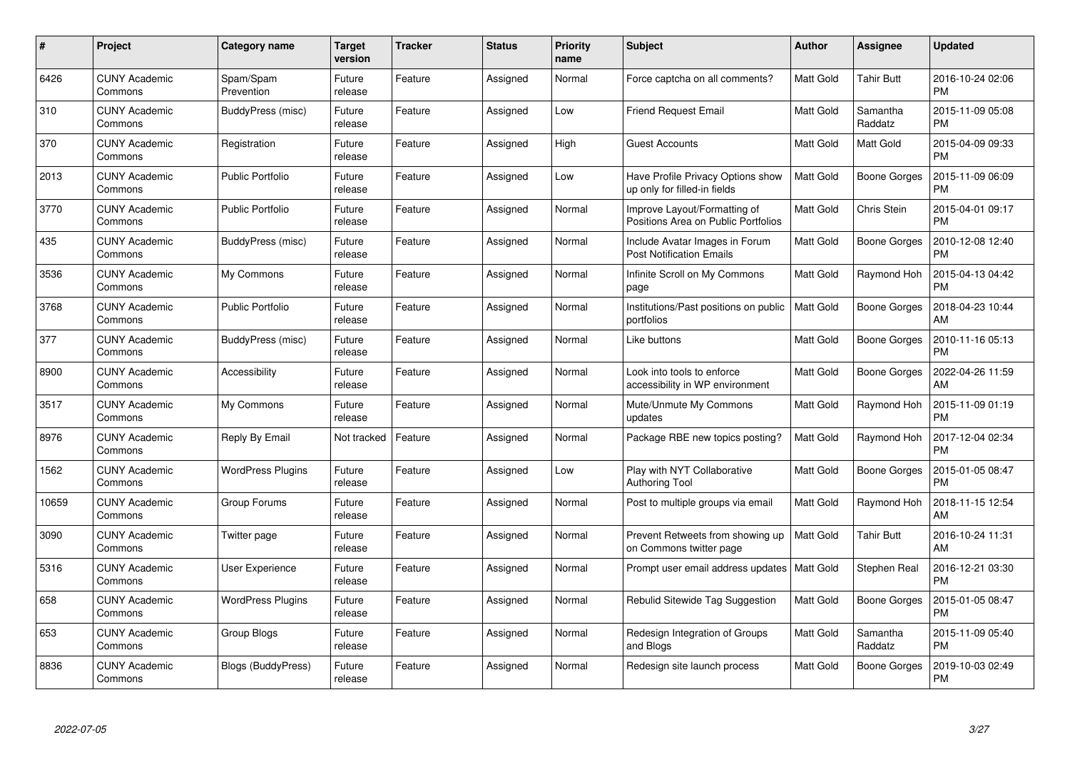| #     | Project                         | Category name            | <b>Target</b><br>version | <b>Tracker</b> | <b>Status</b> | <b>Priority</b><br>name | <b>Subject</b>                                                      | <b>Author</b>    | Assignee            | <b>Updated</b>                |
|-------|---------------------------------|--------------------------|--------------------------|----------------|---------------|-------------------------|---------------------------------------------------------------------|------------------|---------------------|-------------------------------|
| 6426  | <b>CUNY Academic</b><br>Commons | Spam/Spam<br>Prevention  | Future<br>release        | Feature        | Assigned      | Normal                  | Force captcha on all comments?                                      | <b>Matt Gold</b> | <b>Tahir Butt</b>   | 2016-10-24 02:06<br><b>PM</b> |
| 310   | <b>CUNY Academic</b><br>Commons | BuddyPress (misc)        | Future<br>release        | Feature        | Assigned      | Low                     | <b>Friend Request Email</b>                                         | <b>Matt Gold</b> | Samantha<br>Raddatz | 2015-11-09 05:08<br><b>PM</b> |
| 370   | <b>CUNY Academic</b><br>Commons | Registration             | Future<br>release        | Feature        | Assigned      | High                    | Guest Accounts                                                      | <b>Matt Gold</b> | Matt Gold           | 2015-04-09 09:33<br><b>PM</b> |
| 2013  | <b>CUNY Academic</b><br>Commons | <b>Public Portfolio</b>  | Future<br>release        | Feature        | Assigned      | Low                     | Have Profile Privacy Options show<br>up only for filled-in fields   | Matt Gold        | <b>Boone Gorges</b> | 2015-11-09 06:09<br><b>PM</b> |
| 3770  | <b>CUNY Academic</b><br>Commons | <b>Public Portfolio</b>  | Future<br>release        | Feature        | Assigned      | Normal                  | Improve Layout/Formatting of<br>Positions Area on Public Portfolios | Matt Gold        | Chris Stein         | 2015-04-01 09:17<br><b>PM</b> |
| 435   | <b>CUNY Academic</b><br>Commons | BuddyPress (misc)        | Future<br>release        | Feature        | Assigned      | Normal                  | Include Avatar Images in Forum<br><b>Post Notification Emails</b>   | Matt Gold        | Boone Gorges        | 2010-12-08 12:40<br><b>PM</b> |
| 3536  | <b>CUNY Academic</b><br>Commons | My Commons               | Future<br>release        | Feature        | Assigned      | Normal                  | Infinite Scroll on My Commons<br>page                               | <b>Matt Gold</b> | Raymond Hoh         | 2015-04-13 04:42<br><b>PM</b> |
| 3768  | <b>CUNY Academic</b><br>Commons | <b>Public Portfolio</b>  | Future<br>release        | Feature        | Assigned      | Normal                  | Institutions/Past positions on public<br>portfolios                 | Matt Gold        | Boone Gorges        | 2018-04-23 10:44<br>AM        |
| 377   | <b>CUNY Academic</b><br>Commons | BuddyPress (misc)        | Future<br>release        | Feature        | Assigned      | Normal                  | Like buttons                                                        | <b>Matt Gold</b> | <b>Boone Gorges</b> | 2010-11-16 05:13<br><b>PM</b> |
| 8900  | <b>CUNY Academic</b><br>Commons | Accessibility            | Future<br>release        | Feature        | Assigned      | Normal                  | Look into tools to enforce<br>accessibility in WP environment       | <b>Matt Gold</b> | <b>Boone Gorges</b> | 2022-04-26 11:59<br>AM        |
| 3517  | <b>CUNY Academic</b><br>Commons | My Commons               | Future<br>release        | Feature        | Assigned      | Normal                  | Mute/Unmute My Commons<br>updates                                   | Matt Gold        | Raymond Hoh         | 2015-11-09 01:19<br><b>PM</b> |
| 8976  | <b>CUNY Academic</b><br>Commons | Reply By Email           | Not tracked              | Feature        | Assigned      | Normal                  | Package RBE new topics posting?                                     | Matt Gold        | Raymond Hoh         | 2017-12-04 02:34<br><b>PM</b> |
| 1562  | <b>CUNY Academic</b><br>Commons | <b>WordPress Plugins</b> | Future<br>release        | Feature        | Assigned      | Low                     | Play with NYT Collaborative<br><b>Authoring Tool</b>                | Matt Gold        | <b>Boone Gorges</b> | 2015-01-05 08:47<br><b>PM</b> |
| 10659 | <b>CUNY Academic</b><br>Commons | Group Forums             | Future<br>release        | Feature        | Assigned      | Normal                  | Post to multiple groups via email                                   | <b>Matt Gold</b> | Raymond Hoh         | 2018-11-15 12:54<br>AM        |
| 3090  | <b>CUNY Academic</b><br>Commons | Twitter page             | Future<br>release        | Feature        | Assigned      | Normal                  | Prevent Retweets from showing up<br>on Commons twitter page         | Matt Gold        | Tahir Butt          | 2016-10-24 11:31<br>AM        |
| 5316  | <b>CUNY Academic</b><br>Commons | User Experience          | Future<br>release        | Feature        | Assigned      | Normal                  | Prompt user email address updates                                   | <b>Matt Gold</b> | Stephen Real        | 2016-12-21 03:30<br><b>PM</b> |
| 658   | <b>CUNY Academic</b><br>Commons | <b>WordPress Plugins</b> | Future<br>release        | Feature        | Assigned      | Normal                  | Rebulid Sitewide Tag Suggestion                                     | Matt Gold        | Boone Gorges        | 2015-01-05 08:47<br><b>PM</b> |
| 653   | <b>CUNY Academic</b><br>Commons | Group Blogs              | Future<br>release        | Feature        | Assigned      | Normal                  | Redesign Integration of Groups<br>and Blogs                         | Matt Gold        | Samantha<br>Raddatz | 2015-11-09 05:40<br><b>PM</b> |
| 8836  | CUNY Academic<br>Commons        | Blogs (BuddyPress)       | Future<br>release        | Feature        | Assigned      | Normal                  | Redesign site launch process                                        | <b>Matt Gold</b> | Boone Gorges        | 2019-10-03 02:49<br>PM        |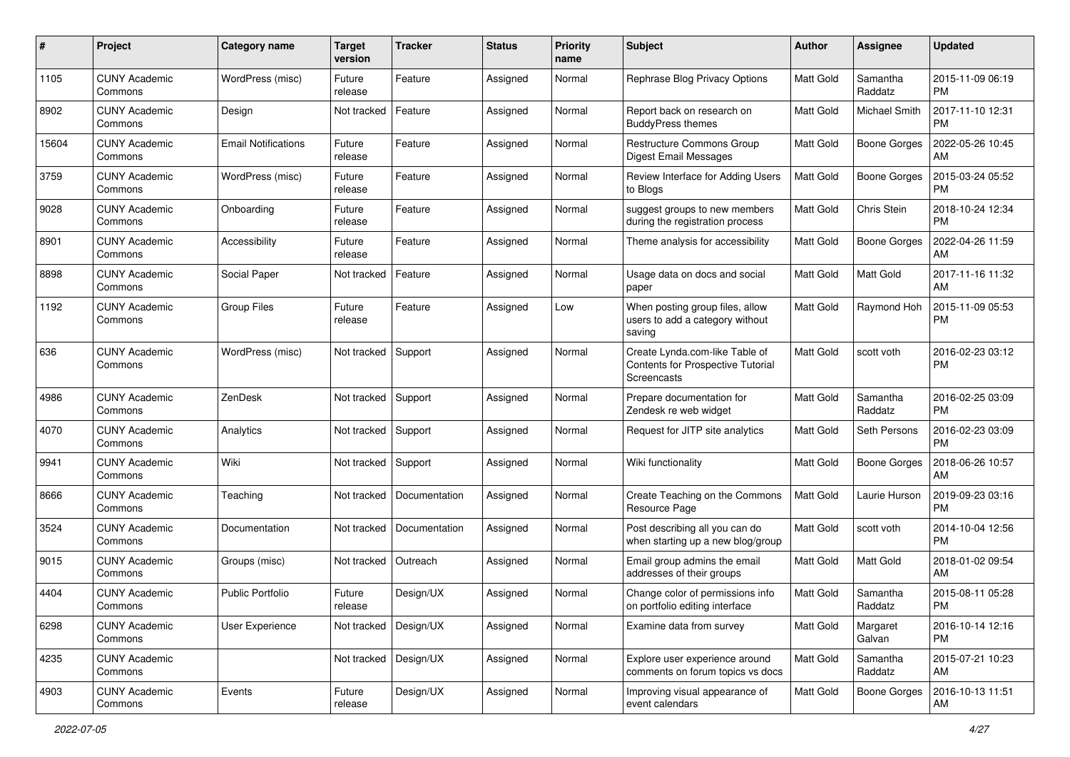| #     | Project                         | <b>Category name</b>       | <b>Target</b><br>version | <b>Tracker</b> | <b>Status</b> | <b>Priority</b><br>name | <b>Subject</b>                                                                     | Author           | <b>Assignee</b>      | <b>Updated</b>                |
|-------|---------------------------------|----------------------------|--------------------------|----------------|---------------|-------------------------|------------------------------------------------------------------------------------|------------------|----------------------|-------------------------------|
| 1105  | <b>CUNY Academic</b><br>Commons | WordPress (misc)           | Future<br>release        | Feature        | Assigned      | Normal                  | Rephrase Blog Privacy Options                                                      | <b>Matt Gold</b> | Samantha<br>Raddatz  | 2015-11-09 06:19<br><b>PM</b> |
| 8902  | <b>CUNY Academic</b><br>Commons | Design                     | Not tracked              | Feature        | Assigned      | Normal                  | Report back on research on<br><b>BuddyPress themes</b>                             | <b>Matt Gold</b> | <b>Michael Smith</b> | 2017-11-10 12:31<br><b>PM</b> |
| 15604 | CUNY Academic<br>Commons        | <b>Email Notifications</b> | Future<br>release        | Feature        | Assigned      | Normal                  | <b>Restructure Commons Group</b><br><b>Digest Email Messages</b>                   | Matt Gold        | <b>Boone Gorges</b>  | 2022-05-26 10:45<br>AM        |
| 3759  | <b>CUNY Academic</b><br>Commons | WordPress (misc)           | Future<br>release        | Feature        | Assigned      | Normal                  | Review Interface for Adding Users<br>to Blogs                                      | <b>Matt Gold</b> | <b>Boone Gorges</b>  | 2015-03-24 05:52<br><b>PM</b> |
| 9028  | CUNY Academic<br>Commons        | Onboarding                 | Future<br>release        | Feature        | Assigned      | Normal                  | suggest groups to new members<br>during the registration process                   | Matt Gold        | Chris Stein          | 2018-10-24 12:34<br><b>PM</b> |
| 8901  | <b>CUNY Academic</b><br>Commons | Accessibility              | Future<br>release        | Feature        | Assigned      | Normal                  | Theme analysis for accessibility                                                   | Matt Gold        | <b>Boone Gorges</b>  | 2022-04-26 11:59<br>AM        |
| 8898  | <b>CUNY Academic</b><br>Commons | Social Paper               | Not tracked              | Feature        | Assigned      | Normal                  | Usage data on docs and social<br>paper                                             | Matt Gold        | Matt Gold            | 2017-11-16 11:32<br>AM        |
| 1192  | <b>CUNY Academic</b><br>Commons | Group Files                | Future<br>release        | Feature        | Assigned      | Low                     | When posting group files, allow<br>users to add a category without<br>saving       | Matt Gold        | Raymond Hoh          | 2015-11-09 05:53<br><b>PM</b> |
| 636   | <b>CUNY Academic</b><br>Commons | WordPress (misc)           | Not tracked              | Support        | Assigned      | Normal                  | Create Lynda.com-like Table of<br>Contents for Prospective Tutorial<br>Screencasts | Matt Gold        | scott voth           | 2016-02-23 03:12<br><b>PM</b> |
| 4986  | <b>CUNY Academic</b><br>Commons | ZenDesk                    | Not tracked              | Support        | Assigned      | Normal                  | Prepare documentation for<br>Zendesk re web widget                                 | <b>Matt Gold</b> | Samantha<br>Raddatz  | 2016-02-25 03:09<br><b>PM</b> |
| 4070  | <b>CUNY Academic</b><br>Commons | Analytics                  | Not tracked              | Support        | Assigned      | Normal                  | Request for JITP site analytics                                                    | <b>Matt Gold</b> | Seth Persons         | 2016-02-23 03:09<br><b>PM</b> |
| 9941  | <b>CUNY Academic</b><br>Commons | Wiki                       | Not tracked              | Support        | Assigned      | Normal                  | Wiki functionality                                                                 | Matt Gold        | <b>Boone Gorges</b>  | 2018-06-26 10:57<br>AM        |
| 8666  | <b>CUNY Academic</b><br>Commons | Teaching                   | Not tracked              | Documentation  | Assigned      | Normal                  | Create Teaching on the Commons<br>Resource Page                                    | Matt Gold        | Laurie Hurson        | 2019-09-23 03:16<br><b>PM</b> |
| 3524  | <b>CUNY Academic</b><br>Commons | Documentation              | Not tracked              | Documentation  | Assigned      | Normal                  | Post describing all you can do<br>when starting up a new blog/group                | <b>Matt Gold</b> | scott voth           | 2014-10-04 12:56<br><b>PM</b> |
| 9015  | <b>CUNY Academic</b><br>Commons | Groups (misc)              | Not tracked              | Outreach       | Assigned      | Normal                  | Email group admins the email<br>addresses of their groups                          | Matt Gold        | Matt Gold            | 2018-01-02 09:54<br>AM        |
| 4404  | <b>CUNY Academic</b><br>Commons | <b>Public Portfolio</b>    | Future<br>release        | Design/UX      | Assigned      | Normal                  | Change color of permissions info<br>on portfolio editing interface                 | Matt Gold        | Samantha<br>Raddatz  | 2015-08-11 05:28<br>PM        |
| 6298  | <b>CUNY Academic</b><br>Commons | User Experience            | Not tracked              | Design/UX      | Assigned      | Normal                  | Examine data from survey                                                           | <b>Matt Gold</b> | Margaret<br>Galvan   | 2016-10-14 12:16<br>PM        |
| 4235  | <b>CUNY Academic</b><br>Commons |                            | Not tracked              | Design/UX      | Assigned      | Normal                  | Explore user experience around<br>comments on forum topics vs docs                 | Matt Gold        | Samantha<br>Raddatz  | 2015-07-21 10:23<br>AM        |
| 4903  | <b>CUNY Academic</b><br>Commons | Events                     | Future<br>release        | Design/UX      | Assigned      | Normal                  | Improving visual appearance of<br>event calendars                                  | Matt Gold        | <b>Boone Gorges</b>  | 2016-10-13 11:51<br>AM        |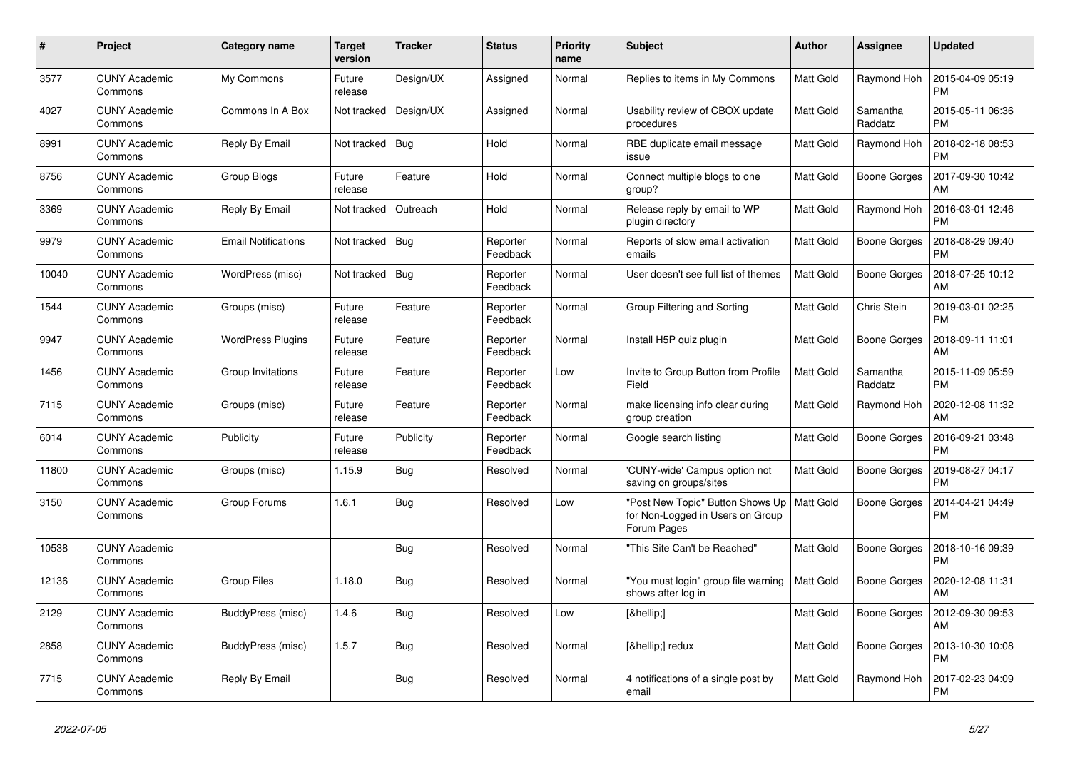| #     | Project                         | Category name              | Target<br>version | <b>Tracker</b> | <b>Status</b>        | <b>Priority</b><br>name | <b>Subject</b>                                                                      | Author           | <b>Assignee</b>     | <b>Updated</b>                |
|-------|---------------------------------|----------------------------|-------------------|----------------|----------------------|-------------------------|-------------------------------------------------------------------------------------|------------------|---------------------|-------------------------------|
| 3577  | <b>CUNY Academic</b><br>Commons | My Commons                 | Future<br>release | Design/UX      | Assigned             | Normal                  | Replies to items in My Commons                                                      | Matt Gold        | Raymond Hoh         | 2015-04-09 05:19<br><b>PM</b> |
| 4027  | <b>CUNY Academic</b><br>Commons | Commons In A Box           | Not tracked       | Design/UX      | Assigned             | Normal                  | Usability review of CBOX update<br>procedures                                       | Matt Gold        | Samantha<br>Raddatz | 2015-05-11 06:36<br><b>PM</b> |
| 8991  | <b>CUNY Academic</b><br>Commons | Reply By Email             | Not tracked       | <b>Bug</b>     | Hold                 | Normal                  | RBE duplicate email message<br>issue                                                | Matt Gold        | Raymond Hoh         | 2018-02-18 08:53<br><b>PM</b> |
| 8756  | <b>CUNY Academic</b><br>Commons | Group Blogs                | Future<br>release | Feature        | Hold                 | Normal                  | Connect multiple blogs to one<br>group?                                             | Matt Gold        | <b>Boone Gorges</b> | 2017-09-30 10:42<br>AM        |
| 3369  | <b>CUNY Academic</b><br>Commons | Reply By Email             | Not tracked       | Outreach       | Hold                 | Normal                  | Release reply by email to WP<br>plugin directory                                    | Matt Gold        | Raymond Hoh         | 2016-03-01 12:46<br><b>PM</b> |
| 9979  | <b>CUNY Academic</b><br>Commons | <b>Email Notifications</b> | Not tracked       | Bug            | Reporter<br>Feedback | Normal                  | Reports of slow email activation<br>emails                                          | Matt Gold        | <b>Boone Gorges</b> | 2018-08-29 09:40<br><b>PM</b> |
| 10040 | <b>CUNY Academic</b><br>Commons | WordPress (misc)           | Not tracked       | Bug            | Reporter<br>Feedback | Normal                  | User doesn't see full list of themes                                                | Matt Gold        | <b>Boone Gorges</b> | 2018-07-25 10:12<br>AM        |
| 1544  | <b>CUNY Academic</b><br>Commons | Groups (misc)              | Future<br>release | Feature        | Reporter<br>Feedback | Normal                  | Group Filtering and Sorting                                                         | Matt Gold        | Chris Stein         | 2019-03-01 02:25<br><b>PM</b> |
| 9947  | <b>CUNY Academic</b><br>Commons | <b>WordPress Plugins</b>   | Future<br>release | Feature        | Reporter<br>Feedback | Normal                  | Install H5P quiz plugin                                                             | Matt Gold        | <b>Boone Gorges</b> | 2018-09-11 11:01<br>AM        |
| 1456  | <b>CUNY Academic</b><br>Commons | Group Invitations          | Future<br>release | Feature        | Reporter<br>Feedback | Low                     | Invite to Group Button from Profile<br>Field                                        | Matt Gold        | Samantha<br>Raddatz | 2015-11-09 05:59<br><b>PM</b> |
| 7115  | <b>CUNY Academic</b><br>Commons | Groups (misc)              | Future<br>release | Feature        | Reporter<br>Feedback | Normal                  | make licensing info clear during<br>group creation                                  | Matt Gold        | Raymond Hoh         | 2020-12-08 11:32<br>AM        |
| 6014  | <b>CUNY Academic</b><br>Commons | Publicity                  | Future<br>release | Publicity      | Reporter<br>Feedback | Normal                  | Google search listing                                                               | Matt Gold        | <b>Boone Gorges</b> | 2016-09-21 03:48<br><b>PM</b> |
| 11800 | <b>CUNY Academic</b><br>Commons | Groups (misc)              | 1.15.9            | Bug            | Resolved             | Normal                  | 'CUNY-wide' Campus option not<br>saving on groups/sites                             | Matt Gold        | Boone Gorges        | 2019-08-27 04:17<br><b>PM</b> |
| 3150  | <b>CUNY Academic</b><br>Commons | Group Forums               | 1.6.1             | Bug            | Resolved             | Low                     | "Post New Topic" Button Shows Up<br>for Non-Logged in Users on Group<br>Forum Pages | <b>Matt Gold</b> | <b>Boone Gorges</b> | 2014-04-21 04:49<br><b>PM</b> |
| 10538 | <b>CUNY Academic</b><br>Commons |                            |                   | Bug            | Resolved             | Normal                  | "This Site Can't be Reached"                                                        | Matt Gold        | <b>Boone Gorges</b> | 2018-10-16 09:39<br><b>PM</b> |
| 12136 | <b>CUNY Academic</b><br>Commons | <b>Group Files</b>         | 1.18.0            | Bug            | Resolved             | Normal                  | "You must login" group file warning<br>shows after log in                           | Matt Gold        | <b>Boone Gorges</b> | 2020-12-08 11:31<br>AM        |
| 2129  | <b>CUNY Academic</b><br>Commons | BuddyPress (misc)          | 1.4.6             | Bug            | Resolved             | Low                     | […]                                                                                 | Matt Gold        | <b>Boone Gorges</b> | 2012-09-30 09:53<br>AM        |
| 2858  | <b>CUNY Academic</b><br>Commons | BuddyPress (misc)          | 1.5.7             | Bug            | Resolved             | Normal                  | […] redux                                                                           | Matt Gold        | <b>Boone Gorges</b> | 2013-10-30 10:08<br><b>PM</b> |
| 7715  | <b>CUNY Academic</b><br>Commons | Reply By Email             |                   | Bug            | Resolved             | Normal                  | 4 notifications of a single post by<br>email                                        | Matt Gold        | Raymond Hoh         | 2017-02-23 04:09<br><b>PM</b> |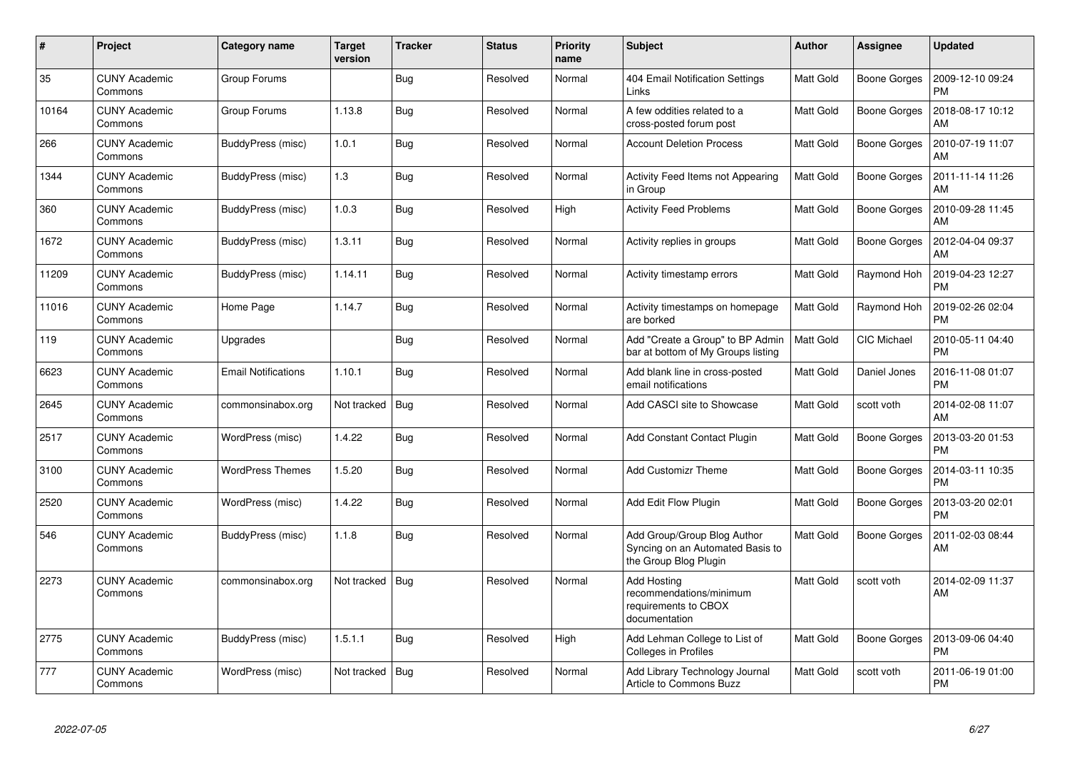| #     | Project                         | Category name              | <b>Target</b><br>version | <b>Tracker</b> | <b>Status</b> | <b>Priority</b><br>name | <b>Subject</b>                                                                           | Author           | Assignee            | <b>Updated</b>                |
|-------|---------------------------------|----------------------------|--------------------------|----------------|---------------|-------------------------|------------------------------------------------------------------------------------------|------------------|---------------------|-------------------------------|
| 35    | <b>CUNY Academic</b><br>Commons | Group Forums               |                          | Bug            | Resolved      | Normal                  | 404 Email Notification Settings<br>Links                                                 | Matt Gold        | <b>Boone Gorges</b> | 2009-12-10 09:24<br><b>PM</b> |
| 10164 | <b>CUNY Academic</b><br>Commons | Group Forums               | 1.13.8                   | <b>Bug</b>     | Resolved      | Normal                  | A few oddities related to a<br>cross-posted forum post                                   | Matt Gold        | <b>Boone Gorges</b> | 2018-08-17 10:12<br>AM        |
| 266   | <b>CUNY Academic</b><br>Commons | BuddyPress (misc)          | 1.0.1                    | <b>Bug</b>     | Resolved      | Normal                  | <b>Account Deletion Process</b>                                                          | Matt Gold        | <b>Boone Gorges</b> | 2010-07-19 11:07<br>AM        |
| 1344  | <b>CUNY Academic</b><br>Commons | BuddyPress (misc)          | 1.3                      | Bug            | Resolved      | Normal                  | Activity Feed Items not Appearing<br>in Group                                            | Matt Gold        | <b>Boone Gorges</b> | 2011-11-14 11:26<br>AM        |
| 360   | <b>CUNY Academic</b><br>Commons | BuddyPress (misc)          | 1.0.3                    | Bug            | Resolved      | High                    | <b>Activity Feed Problems</b>                                                            | Matt Gold        | <b>Boone Gorges</b> | 2010-09-28 11:45<br>AM        |
| 1672  | <b>CUNY Academic</b><br>Commons | BuddyPress (misc)          | 1.3.11                   | <b>Bug</b>     | Resolved      | Normal                  | Activity replies in groups                                                               | Matt Gold        | <b>Boone Gorges</b> | 2012-04-04 09:37<br>AM        |
| 11209 | <b>CUNY Academic</b><br>Commons | BuddyPress (misc)          | 1.14.11                  | <b>Bug</b>     | Resolved      | Normal                  | Activity timestamp errors                                                                | Matt Gold        | Raymond Hoh         | 2019-04-23 12:27<br><b>PM</b> |
| 11016 | <b>CUNY Academic</b><br>Commons | Home Page                  | 1.14.7                   | Bug            | Resolved      | Normal                  | Activity timestamps on homepage<br>are borked                                            | Matt Gold        | Raymond Hoh         | 2019-02-26 02:04<br><b>PM</b> |
| 119   | <b>CUNY Academic</b><br>Commons | Upgrades                   |                          | Bug            | Resolved      | Normal                  | Add "Create a Group" to BP Admin<br>bar at bottom of My Groups listing                   | <b>Matt Gold</b> | CIC Michael         | 2010-05-11 04:40<br><b>PM</b> |
| 6623  | <b>CUNY Academic</b><br>Commons | <b>Email Notifications</b> | 1.10.1                   | Bug            | Resolved      | Normal                  | Add blank line in cross-posted<br>email notifications                                    | Matt Gold        | Daniel Jones        | 2016-11-08 01:07<br><b>PM</b> |
| 2645  | <b>CUNY Academic</b><br>Commons | commonsinabox.org          | Not tracked   Bug        |                | Resolved      | Normal                  | Add CASCI site to Showcase                                                               | Matt Gold        | scott voth          | 2014-02-08 11:07<br>AM        |
| 2517  | <b>CUNY Academic</b><br>Commons | WordPress (misc)           | 1.4.22                   | <b>Bug</b>     | Resolved      | Normal                  | <b>Add Constant Contact Plugin</b>                                                       | <b>Matt Gold</b> | <b>Boone Gorges</b> | 2013-03-20 01:53<br><b>PM</b> |
| 3100  | <b>CUNY Academic</b><br>Commons | <b>WordPress Themes</b>    | 1.5.20                   | Bug            | Resolved      | Normal                  | <b>Add Customizr Theme</b>                                                               | Matt Gold        | <b>Boone Gorges</b> | 2014-03-11 10:35<br><b>PM</b> |
| 2520  | <b>CUNY Academic</b><br>Commons | WordPress (misc)           | 1.4.22                   | Bug            | Resolved      | Normal                  | Add Edit Flow Plugin                                                                     | Matt Gold        | <b>Boone Gorges</b> | 2013-03-20 02:01<br><b>PM</b> |
| 546   | <b>CUNY Academic</b><br>Commons | BuddyPress (misc)          | 1.1.8                    | Bug            | Resolved      | Normal                  | Add Group/Group Blog Author<br>Syncing on an Automated Basis to<br>the Group Blog Plugin | Matt Gold        | <b>Boone Gorges</b> | 2011-02-03 08:44<br>AM        |
| 2273  | <b>CUNY Academic</b><br>Commons | commonsinabox.org          | Not tracked   Bug        |                | Resolved      | Normal                  | <b>Add Hosting</b><br>recommendations/minimum<br>requirements to CBOX<br>documentation   | Matt Gold        | scott voth          | 2014-02-09 11:37<br>AM        |
| 2775  | <b>CUNY Academic</b><br>Commons | BuddyPress (misc)          | 1.5.1.1                  | Bug            | Resolved      | High                    | Add Lehman College to List of<br><b>Colleges in Profiles</b>                             | Matt Gold        | <b>Boone Gorges</b> | 2013-09-06 04:40<br><b>PM</b> |
| 777   | <b>CUNY Academic</b><br>Commons | WordPress (misc)           | Not tracked              | Bug            | Resolved      | Normal                  | Add Library Technology Journal<br>Article to Commons Buzz                                | Matt Gold        | scott voth          | 2011-06-19 01:00<br><b>PM</b> |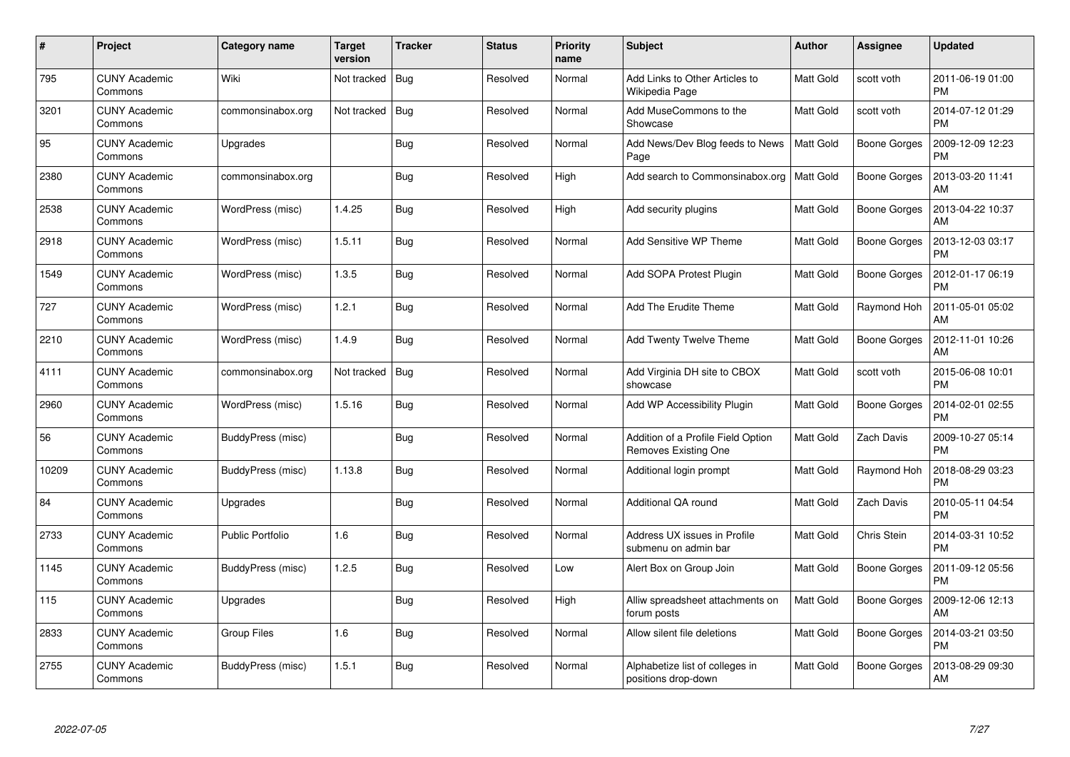| $\#$  | Project                         | Category name           | <b>Target</b><br>version | <b>Tracker</b> | <b>Status</b> | <b>Priority</b><br>name | <b>Subject</b>                                             | Author           | Assignee            | <b>Updated</b>                |
|-------|---------------------------------|-------------------------|--------------------------|----------------|---------------|-------------------------|------------------------------------------------------------|------------------|---------------------|-------------------------------|
| 795   | <b>CUNY Academic</b><br>Commons | Wiki                    | Not tracked              | <b>Bug</b>     | Resolved      | Normal                  | Add Links to Other Articles to<br>Wikipedia Page           | Matt Gold        | scott voth          | 2011-06-19 01:00<br><b>PM</b> |
| 3201  | <b>CUNY Academic</b><br>Commons | commonsinabox.org       | Not tracked              | <b>Bug</b>     | Resolved      | Normal                  | Add MuseCommons to the<br>Showcase                         | Matt Gold        | scott voth          | 2014-07-12 01:29<br><b>PM</b> |
| 95    | <b>CUNY Academic</b><br>Commons | Upgrades                |                          | Bug            | Resolved      | Normal                  | Add News/Dev Blog feeds to News<br>Page                    | <b>Matt Gold</b> | <b>Boone Gorges</b> | 2009-12-09 12:23<br><b>PM</b> |
| 2380  | <b>CUNY Academic</b><br>Commons | commonsinabox.org       |                          | Bug            | Resolved      | High                    | Add search to Commonsinabox.org                            | Matt Gold        | Boone Gorges        | 2013-03-20 11:41<br>AM        |
| 2538  | <b>CUNY Academic</b><br>Commons | WordPress (misc)        | 1.4.25                   | Bug            | Resolved      | High                    | Add security plugins                                       | Matt Gold        | <b>Boone Gorges</b> | 2013-04-22 10:37<br>AM        |
| 2918  | <b>CUNY Academic</b><br>Commons | WordPress (misc)        | 1.5.11                   | <b>Bug</b>     | Resolved      | Normal                  | <b>Add Sensitive WP Theme</b>                              | Matt Gold        | <b>Boone Gorges</b> | 2013-12-03 03:17<br><b>PM</b> |
| 1549  | <b>CUNY Academic</b><br>Commons | WordPress (misc)        | 1.3.5                    | Bug            | Resolved      | Normal                  | Add SOPA Protest Plugin                                    | Matt Gold        | <b>Boone Gorges</b> | 2012-01-17 06:19<br><b>PM</b> |
| 727   | CUNY Academic<br>Commons        | WordPress (misc)        | 1.2.1                    | <b>Bug</b>     | Resolved      | Normal                  | Add The Erudite Theme                                      | Matt Gold        | Raymond Hoh         | 2011-05-01 05:02<br>AM        |
| 2210  | <b>CUNY Academic</b><br>Commons | WordPress (misc)        | 1.4.9                    | Bug            | Resolved      | Normal                  | <b>Add Twenty Twelve Theme</b>                             | Matt Gold        | Boone Gorges        | 2012-11-01 10:26<br>AM        |
| 4111  | <b>CUNY Academic</b><br>Commons | commonsinabox.org       | Not tracked              | <b>Bug</b>     | Resolved      | Normal                  | Add Virginia DH site to CBOX<br>showcase                   | <b>Matt Gold</b> | scott voth          | 2015-06-08 10:01<br><b>PM</b> |
| 2960  | <b>CUNY Academic</b><br>Commons | WordPress (misc)        | 1.5.16                   | Bug            | Resolved      | Normal                  | Add WP Accessibility Plugin                                | Matt Gold        | <b>Boone Gorges</b> | 2014-02-01 02:55<br><b>PM</b> |
| 56    | <b>CUNY Academic</b><br>Commons | BuddyPress (misc)       |                          | Bug            | Resolved      | Normal                  | Addition of a Profile Field Option<br>Removes Existing One | Matt Gold        | Zach Davis          | 2009-10-27 05:14<br><b>PM</b> |
| 10209 | <b>CUNY Academic</b><br>Commons | BuddyPress (misc)       | 1.13.8                   | Bug            | Resolved      | Normal                  | Additional login prompt                                    | Matt Gold        | Raymond Hoh         | 2018-08-29 03:23<br><b>PM</b> |
| 84    | <b>CUNY Academic</b><br>Commons | Upgrades                |                          | Bug            | Resolved      | Normal                  | Additional QA round                                        | Matt Gold        | Zach Davis          | 2010-05-11 04:54<br><b>PM</b> |
| 2733  | <b>CUNY Academic</b><br>Commons | <b>Public Portfolio</b> | 1.6                      | Bug            | Resolved      | Normal                  | Address UX issues in Profile<br>submenu on admin bar       | Matt Gold        | Chris Stein         | 2014-03-31 10:52<br><b>PM</b> |
| 1145  | <b>CUNY Academic</b><br>Commons | BuddyPress (misc)       | 1.2.5                    | Bug            | Resolved      | Low                     | Alert Box on Group Join                                    | Matt Gold        | Boone Gorges        | 2011-09-12 05:56<br><b>PM</b> |
| 115   | <b>CUNY Academic</b><br>Commons | Upgrades                |                          | <b>Bug</b>     | Resolved      | High                    | Alliw spreadsheet attachments on<br>forum posts            | Matt Gold        | <b>Boone Gorges</b> | 2009-12-06 12:13<br>AM        |
| 2833  | <b>CUNY Academic</b><br>Commons | <b>Group Files</b>      | 1.6                      | Bug            | Resolved      | Normal                  | Allow silent file deletions                                | Matt Gold        | Boone Gorges        | 2014-03-21 03:50<br><b>PM</b> |
| 2755  | <b>CUNY Academic</b><br>Commons | BuddyPress (misc)       | 1.5.1                    | <b>Bug</b>     | Resolved      | Normal                  | Alphabetize list of colleges in<br>positions drop-down     | Matt Gold        | Boone Gorges        | 2013-08-29 09:30<br>AM        |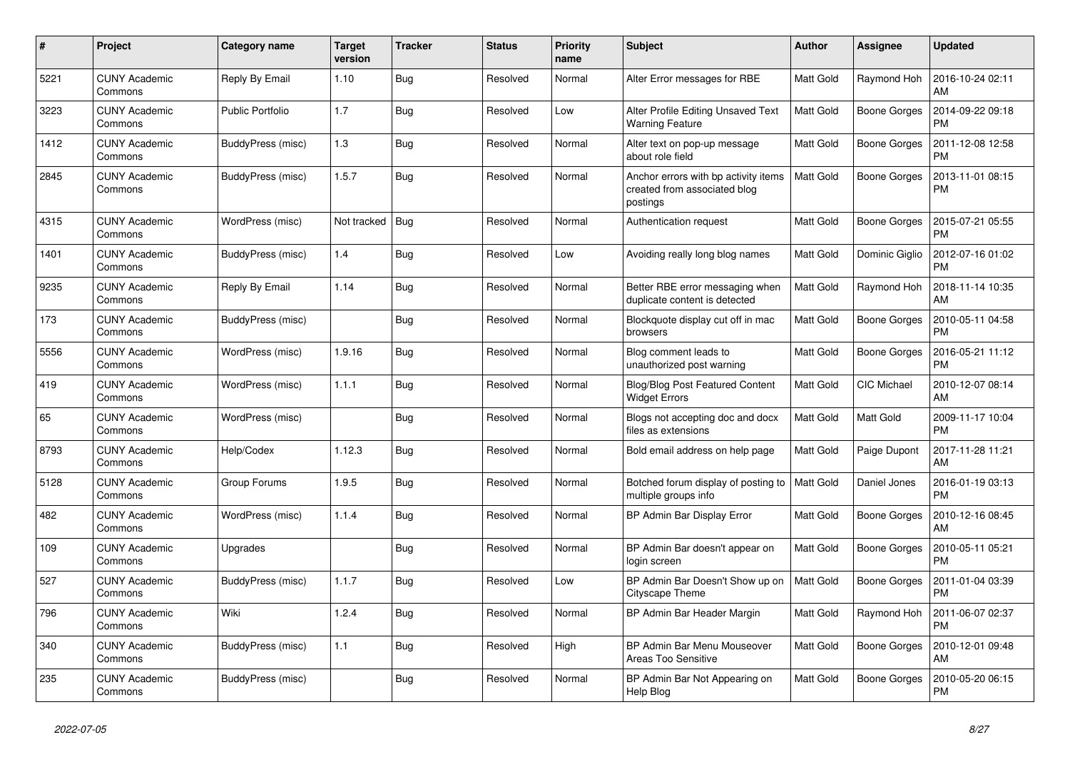| #    | Project                         | <b>Category name</b> | <b>Target</b><br>version | <b>Tracker</b> | <b>Status</b> | <b>Priority</b><br>name | <b>Subject</b>                                                                   | <b>Author</b>    | Assignee            | <b>Updated</b>                |
|------|---------------------------------|----------------------|--------------------------|----------------|---------------|-------------------------|----------------------------------------------------------------------------------|------------------|---------------------|-------------------------------|
| 5221 | <b>CUNY Academic</b><br>Commons | Reply By Email       | 1.10                     | Bug            | Resolved      | Normal                  | Alter Error messages for RBE                                                     | Matt Gold        | Raymond Hoh         | 2016-10-24 02:11<br>AM        |
| 3223 | <b>CUNY Academic</b><br>Commons | Public Portfolio     | 1.7                      | Bug            | Resolved      | Low                     | Alter Profile Editing Unsaved Text<br><b>Warning Feature</b>                     | Matt Gold        | Boone Gorges        | 2014-09-22 09:18<br><b>PM</b> |
| 1412 | <b>CUNY Academic</b><br>Commons | BuddyPress (misc)    | 1.3                      | <b>Bug</b>     | Resolved      | Normal                  | Alter text on pop-up message<br>about role field                                 | Matt Gold        | <b>Boone Gorges</b> | 2011-12-08 12:58<br><b>PM</b> |
| 2845 | <b>CUNY Academic</b><br>Commons | BuddyPress (misc)    | 1.5.7                    | Bug            | Resolved      | Normal                  | Anchor errors with bp activity items<br>created from associated blog<br>postings | Matt Gold        | <b>Boone Gorges</b> | 2013-11-01 08:15<br><b>PM</b> |
| 4315 | <b>CUNY Academic</b><br>Commons | WordPress (misc)     | Not tracked              | Bug            | Resolved      | Normal                  | Authentication request                                                           | Matt Gold        | Boone Gorges        | 2015-07-21 05:55<br><b>PM</b> |
| 1401 | <b>CUNY Academic</b><br>Commons | BuddyPress (misc)    | 1.4                      | <b>Bug</b>     | Resolved      | Low                     | Avoiding really long blog names                                                  | Matt Gold        | Dominic Giglio      | 2012-07-16 01:02<br><b>PM</b> |
| 9235 | <b>CUNY Academic</b><br>Commons | Reply By Email       | 1.14                     | Bug            | Resolved      | Normal                  | Better RBE error messaging when<br>duplicate content is detected                 | Matt Gold        | Raymond Hoh         | 2018-11-14 10:35<br>AM        |
| 173  | <b>CUNY Academic</b><br>Commons | BuddyPress (misc)    |                          | <b>Bug</b>     | Resolved      | Normal                  | Blockquote display cut off in mac<br>browsers                                    | Matt Gold        | Boone Gorges        | 2010-05-11 04:58<br><b>PM</b> |
| 5556 | <b>CUNY Academic</b><br>Commons | WordPress (misc)     | 1.9.16                   | <b>Bug</b>     | Resolved      | Normal                  | Blog comment leads to<br>unauthorized post warning                               | Matt Gold        | <b>Boone Gorges</b> | 2016-05-21 11:12<br><b>PM</b> |
| 419  | <b>CUNY Academic</b><br>Commons | WordPress (misc)     | 1.1.1                    | Bug            | Resolved      | Normal                  | Blog/Blog Post Featured Content<br><b>Widget Errors</b>                          | Matt Gold        | <b>CIC Michael</b>  | 2010-12-07 08:14<br>AM        |
| 65   | <b>CUNY Academic</b><br>Commons | WordPress (misc)     |                          | <b>Bug</b>     | Resolved      | Normal                  | Blogs not accepting doc and docx<br>files as extensions                          | Matt Gold        | Matt Gold           | 2009-11-17 10:04<br><b>PM</b> |
| 8793 | <b>CUNY Academic</b><br>Commons | Help/Codex           | 1.12.3                   | Bug            | Resolved      | Normal                  | Bold email address on help page                                                  | Matt Gold        | Paige Dupont        | 2017-11-28 11:21<br>AM        |
| 5128 | <b>CUNY Academic</b><br>Commons | Group Forums         | 1.9.5                    | Bug            | Resolved      | Normal                  | Botched forum display of posting to<br>multiple groups info                      | <b>Matt Gold</b> | Daniel Jones        | 2016-01-19 03:13<br><b>PM</b> |
| 482  | <b>CUNY Academic</b><br>Commons | WordPress (misc)     | 1.1.4                    | Bug            | Resolved      | Normal                  | BP Admin Bar Display Error                                                       | Matt Gold        | Boone Gorges        | 2010-12-16 08:45<br>AM        |
| 109  | <b>CUNY Academic</b><br>Commons | Upgrades             |                          | <b>Bug</b>     | Resolved      | Normal                  | BP Admin Bar doesn't appear on<br>login screen                                   | Matt Gold        | <b>Boone Gorges</b> | 2010-05-11 05:21<br><b>PM</b> |
| 527  | <b>CUNY Academic</b><br>Commons | BuddyPress (misc)    | 1.1.7                    | <b>Bug</b>     | Resolved      | Low                     | BP Admin Bar Doesn't Show up on<br>Cityscape Theme                               | <b>Matt Gold</b> | <b>Boone Gorges</b> | 2011-01-04 03:39<br><b>PM</b> |
| 796  | <b>CUNY Academic</b><br>Commons | Wiki                 | 1.2.4                    | Bug            | Resolved      | Normal                  | BP Admin Bar Header Margin                                                       | Matt Gold        | Raymond Hoh         | 2011-06-07 02:37<br><b>PM</b> |
| 340  | <b>CUNY Academic</b><br>Commons | BuddyPress (misc)    | $1.1$                    | Bug            | Resolved      | High                    | BP Admin Bar Menu Mouseover<br>Areas Too Sensitive                               | Matt Gold        | Boone Gorges        | 2010-12-01 09:48<br>AM        |
| 235  | <b>CUNY Academic</b><br>Commons | BuddyPress (misc)    |                          | Bug            | Resolved      | Normal                  | BP Admin Bar Not Appearing on<br>Help Blog                                       | Matt Gold        | Boone Gorges        | 2010-05-20 06:15<br>PM        |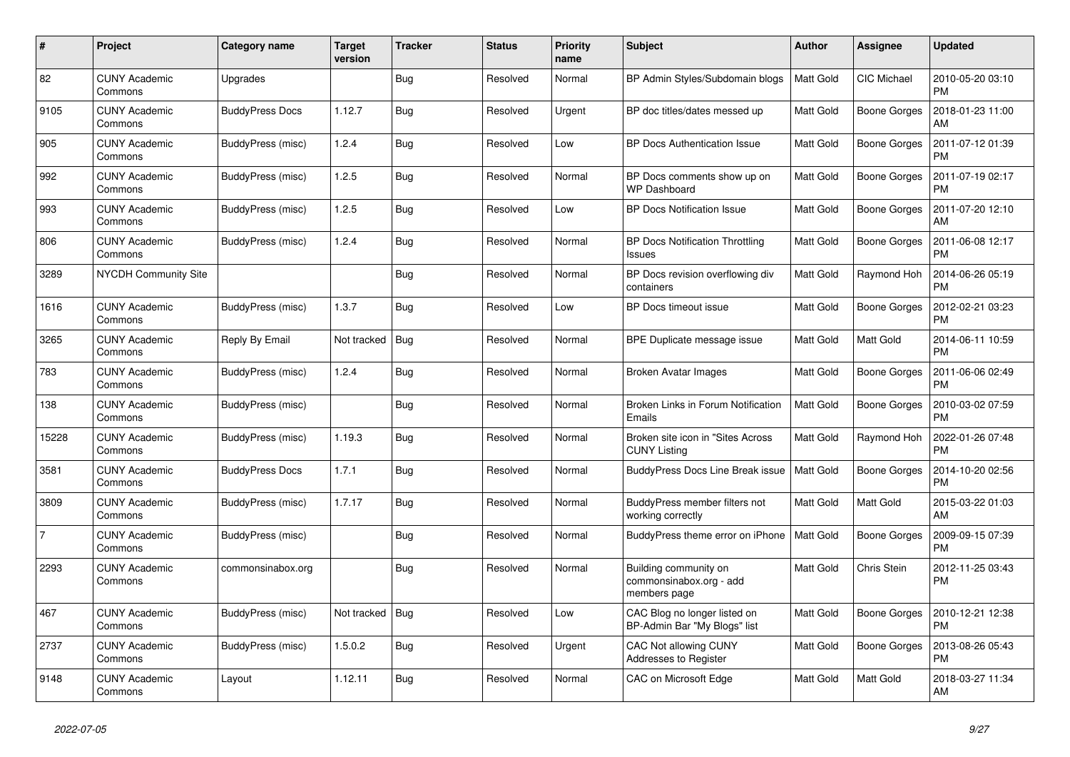| #              | Project                         | Category name          | <b>Target</b><br>version | <b>Tracker</b> | <b>Status</b> | <b>Priority</b><br>name | <b>Subject</b>                                                   | <b>Author</b>    | <b>Assignee</b>     | <b>Updated</b>                |
|----------------|---------------------------------|------------------------|--------------------------|----------------|---------------|-------------------------|------------------------------------------------------------------|------------------|---------------------|-------------------------------|
| 82             | <b>CUNY Academic</b><br>Commons | Upgrades               |                          | Bug            | Resolved      | Normal                  | BP Admin Styles/Subdomain blogs                                  | <b>Matt Gold</b> | CIC Michael         | 2010-05-20 03:10<br><b>PM</b> |
| 9105           | <b>CUNY Academic</b><br>Commons | <b>BuddyPress Docs</b> | 1.12.7                   | Bug            | Resolved      | Urgent                  | BP doc titles/dates messed up                                    | <b>Matt Gold</b> | <b>Boone Gorges</b> | 2018-01-23 11:00<br>AM        |
| 905            | <b>CUNY Academic</b><br>Commons | BuddyPress (misc)      | 1.2.4                    | Bug            | Resolved      | Low                     | <b>BP Docs Authentication Issue</b>                              | Matt Gold        | Boone Gorges        | 2011-07-12 01:39<br><b>PM</b> |
| 992            | <b>CUNY Academic</b><br>Commons | BuddyPress (misc)      | 1.2.5                    | Bug            | Resolved      | Normal                  | BP Docs comments show up on<br><b>WP Dashboard</b>               | Matt Gold        | <b>Boone Gorges</b> | 2011-07-19 02:17<br><b>PM</b> |
| 993            | <b>CUNY Academic</b><br>Commons | BuddyPress (misc)      | 1.2.5                    | Bug            | Resolved      | Low                     | <b>BP Docs Notification Issue</b>                                | Matt Gold        | <b>Boone Gorges</b> | 2011-07-20 12:10<br>AM        |
| 806            | <b>CUNY Academic</b><br>Commons | BuddyPress (misc)      | 1.2.4                    | Bug            | Resolved      | Normal                  | <b>BP Docs Notification Throttling</b><br>Issues                 | Matt Gold        | <b>Boone Gorges</b> | 2011-06-08 12:17<br><b>PM</b> |
| 3289           | <b>NYCDH Community Site</b>     |                        |                          | Bug            | Resolved      | Normal                  | BP Docs revision overflowing div<br>containers                   | Matt Gold        | Raymond Hoh         | 2014-06-26 05:19<br><b>PM</b> |
| 1616           | <b>CUNY Academic</b><br>Commons | BuddyPress (misc)      | 1.3.7                    | Bug            | Resolved      | Low                     | BP Docs timeout issue                                            | <b>Matt Gold</b> | <b>Boone Gorges</b> | 2012-02-21 03:23<br><b>PM</b> |
| 3265           | <b>CUNY Academic</b><br>Commons | Reply By Email         | Not tracked              | Bug            | Resolved      | Normal                  | BPE Duplicate message issue                                      | Matt Gold        | Matt Gold           | 2014-06-11 10:59<br><b>PM</b> |
| 783            | <b>CUNY Academic</b><br>Commons | BuddyPress (misc)      | 1.2.4                    | <b>Bug</b>     | Resolved      | Normal                  | <b>Broken Avatar Images</b>                                      | Matt Gold        | <b>Boone Gorges</b> | 2011-06-06 02:49<br><b>PM</b> |
| 138            | <b>CUNY Academic</b><br>Commons | BuddyPress (misc)      |                          | Bug            | Resolved      | Normal                  | Broken Links in Forum Notification<br>Emails                     | Matt Gold        | <b>Boone Gorges</b> | 2010-03-02 07:59<br><b>PM</b> |
| 15228          | <b>CUNY Academic</b><br>Commons | BuddyPress (misc)      | 1.19.3                   | Bug            | Resolved      | Normal                  | Broken site icon in "Sites Across<br><b>CUNY Listing</b>         | Matt Gold        | Raymond Hoh         | 2022-01-26 07:48<br><b>PM</b> |
| 3581           | <b>CUNY Academic</b><br>Commons | <b>BuddyPress Docs</b> | 1.7.1                    | Bug            | Resolved      | Normal                  | BuddyPress Docs Line Break issue   Matt Gold                     |                  | <b>Boone Gorges</b> | 2014-10-20 02:56<br><b>PM</b> |
| 3809           | <b>CUNY Academic</b><br>Commons | BuddyPress (misc)      | 1.7.17                   | <b>Bug</b>     | Resolved      | Normal                  | BuddyPress member filters not<br>working correctly               | Matt Gold        | Matt Gold           | 2015-03-22 01:03<br>AM        |
| $\overline{7}$ | <b>CUNY Academic</b><br>Commons | BuddyPress (misc)      |                          | Bug            | Resolved      | Normal                  | BuddyPress theme error on iPhone                                 | <b>Matt Gold</b> | <b>Boone Gorges</b> | 2009-09-15 07:39<br><b>PM</b> |
| 2293           | <b>CUNY Academic</b><br>Commons | commonsinabox.org      |                          | Bug            | Resolved      | Normal                  | Building community on<br>commonsinabox.org - add<br>members page | Matt Gold        | Chris Stein         | 2012-11-25 03:43<br><b>PM</b> |
| 467            | <b>CUNY Academic</b><br>Commons | BuddyPress (misc)      | Not tracked              | Bug            | Resolved      | Low                     | CAC Blog no longer listed on<br>BP-Admin Bar "My Blogs" list     | Matt Gold        | <b>Boone Gorges</b> | 2010-12-21 12:38<br><b>PM</b> |
| 2737           | <b>CUNY Academic</b><br>Commons | BuddyPress (misc)      | 1.5.0.2                  | <b>Bug</b>     | Resolved      | Urgent                  | CAC Not allowing CUNY<br>Addresses to Register                   | Matt Gold        | <b>Boone Gorges</b> | 2013-08-26 05:43<br><b>PM</b> |
| 9148           | <b>CUNY Academic</b><br>Commons | Layout                 | 1.12.11                  | Bug            | Resolved      | Normal                  | CAC on Microsoft Edge                                            | Matt Gold        | Matt Gold           | 2018-03-27 11:34<br>AM        |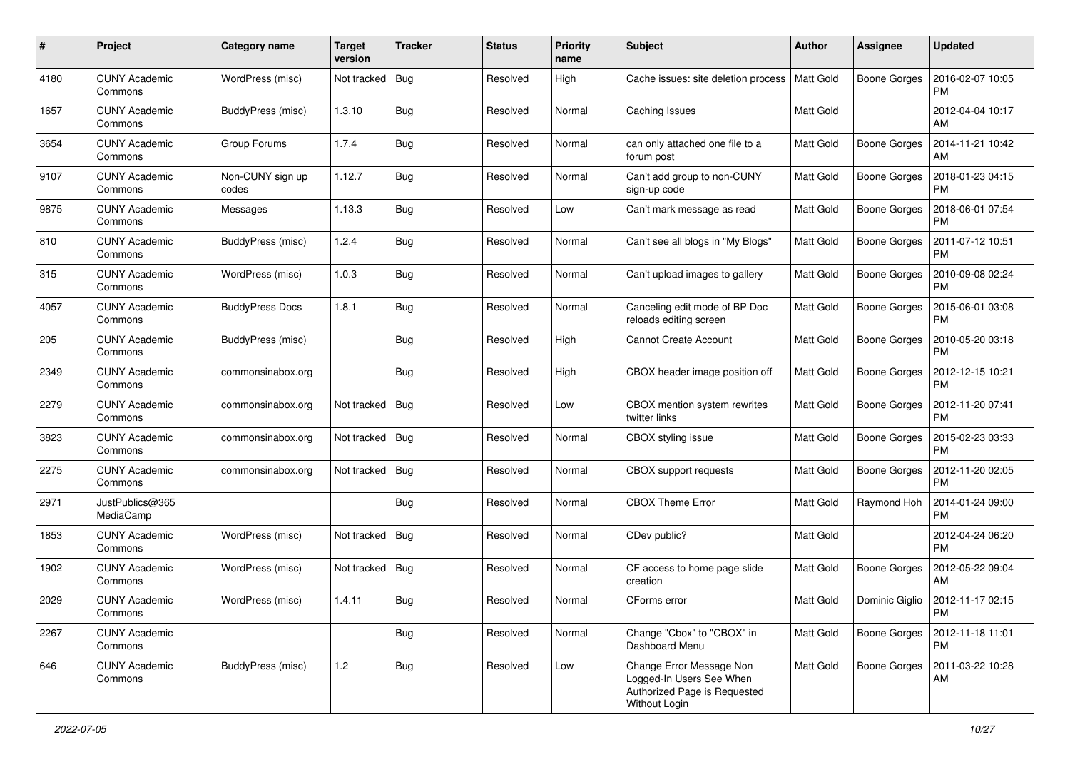| #    | Project                         | <b>Category name</b>      | <b>Target</b><br>version | <b>Tracker</b> | <b>Status</b> | <b>Priority</b><br>name | <b>Subject</b>                                                                                        | Author           | <b>Assignee</b>     | <b>Updated</b>                |
|------|---------------------------------|---------------------------|--------------------------|----------------|---------------|-------------------------|-------------------------------------------------------------------------------------------------------|------------------|---------------------|-------------------------------|
| 4180 | <b>CUNY Academic</b><br>Commons | WordPress (misc)          | Not tracked              | Bug            | Resolved      | High                    | Cache issues: site deletion process   Matt Gold                                                       |                  | <b>Boone Gorges</b> | 2016-02-07 10:05<br><b>PM</b> |
| 1657 | <b>CUNY Academic</b><br>Commons | BuddyPress (misc)         | 1.3.10                   | Bug            | Resolved      | Normal                  | Caching Issues                                                                                        | Matt Gold        |                     | 2012-04-04 10:17<br>AM        |
| 3654 | <b>CUNY Academic</b><br>Commons | Group Forums              | 1.7.4                    | Bug            | Resolved      | Normal                  | can only attached one file to a<br>forum post                                                         | Matt Gold        | <b>Boone Gorges</b> | 2014-11-21 10:42<br>AM        |
| 9107 | <b>CUNY Academic</b><br>Commons | Non-CUNY sign up<br>codes | 1.12.7                   | Bug            | Resolved      | Normal                  | Can't add group to non-CUNY<br>sign-up code                                                           | <b>Matt Gold</b> | <b>Boone Gorges</b> | 2018-01-23 04:15<br><b>PM</b> |
| 9875 | <b>CUNY Academic</b><br>Commons | Messages                  | 1.13.3                   | Bug            | Resolved      | Low                     | Can't mark message as read                                                                            | <b>Matt Gold</b> | <b>Boone Gorges</b> | 2018-06-01 07:54<br><b>PM</b> |
| 810  | <b>CUNY Academic</b><br>Commons | BuddyPress (misc)         | 1.2.4                    | Bug            | Resolved      | Normal                  | Can't see all blogs in "My Blogs"                                                                     | <b>Matt Gold</b> | <b>Boone Gorges</b> | 2011-07-12 10:51<br><b>PM</b> |
| 315  | <b>CUNY Academic</b><br>Commons | WordPress (misc)          | 1.0.3                    | Bug            | Resolved      | Normal                  | Can't upload images to gallery                                                                        | Matt Gold        | <b>Boone Gorges</b> | 2010-09-08 02:24<br><b>PM</b> |
| 4057 | <b>CUNY Academic</b><br>Commons | <b>BuddyPress Docs</b>    | 1.8.1                    | Bug            | Resolved      | Normal                  | Canceling edit mode of BP Doc<br>reloads editing screen                                               | <b>Matt Gold</b> | <b>Boone Gorges</b> | 2015-06-01 03:08<br><b>PM</b> |
| 205  | <b>CUNY Academic</b><br>Commons | BuddyPress (misc)         |                          | Bug            | Resolved      | High                    | <b>Cannot Create Account</b>                                                                          | Matt Gold        | <b>Boone Gorges</b> | 2010-05-20 03:18<br><b>PM</b> |
| 2349 | <b>CUNY Academic</b><br>Commons | commonsinabox.org         |                          | Bug            | Resolved      | High                    | CBOX header image position off                                                                        | Matt Gold        | <b>Boone Gorges</b> | 2012-12-15 10:21<br><b>PM</b> |
| 2279 | <b>CUNY Academic</b><br>Commons | commonsinabox.org         | Not tracked              | Bug            | Resolved      | Low                     | CBOX mention system rewrites<br>twitter links                                                         | <b>Matt Gold</b> | <b>Boone Gorges</b> | 2012-11-20 07:41<br><b>PM</b> |
| 3823 | <b>CUNY Academic</b><br>Commons | commonsinabox.org         | Not tracked              | Bug            | Resolved      | Normal                  | CBOX styling issue                                                                                    | Matt Gold        | <b>Boone Gorges</b> | 2015-02-23 03:33<br><b>PM</b> |
| 2275 | <b>CUNY Academic</b><br>Commons | commonsinabox.org         | Not tracked              | Bug            | Resolved      | Normal                  | <b>CBOX</b> support requests                                                                          | <b>Matt Gold</b> | <b>Boone Gorges</b> | 2012-11-20 02:05<br><b>PM</b> |
| 2971 | JustPublics@365<br>MediaCamp    |                           |                          | Bug            | Resolved      | Normal                  | <b>CBOX Theme Error</b>                                                                               | Matt Gold        | Raymond Hoh         | 2014-01-24 09:00<br><b>PM</b> |
| 1853 | <b>CUNY Academic</b><br>Commons | WordPress (misc)          | Not tracked              | Bug            | Resolved      | Normal                  | CDev public?                                                                                          | Matt Gold        |                     | 2012-04-24 06:20<br><b>PM</b> |
| 1902 | <b>CUNY Academic</b><br>Commons | WordPress (misc)          | Not tracked              | Bug            | Resolved      | Normal                  | CF access to home page slide<br>creation                                                              | <b>Matt Gold</b> | <b>Boone Gorges</b> | 2012-05-22 09:04<br>AM        |
| 2029 | <b>CUNY Academic</b><br>Commons | WordPress (misc)          | 1.4.11                   | Bug            | Resolved      | Normal                  | CForms error                                                                                          | <b>Matt Gold</b> | Dominic Giglio      | 2012-11-17 02:15<br>PM        |
| 2267 | <b>CUNY Academic</b><br>Commons |                           |                          | Bug            | Resolved      | Normal                  | Change "Cbox" to "CBOX" in<br>Dashboard Menu                                                          | Matt Gold        | <b>Boone Gorges</b> | 2012-11-18 11:01<br><b>PM</b> |
| 646  | <b>CUNY Academic</b><br>Commons | BuddyPress (misc)         | 1.2                      | Bug            | Resolved      | Low                     | Change Error Message Non<br>Logged-In Users See When<br>Authorized Page is Requested<br>Without Login | Matt Gold        | <b>Boone Gorges</b> | 2011-03-22 10:28<br>AM        |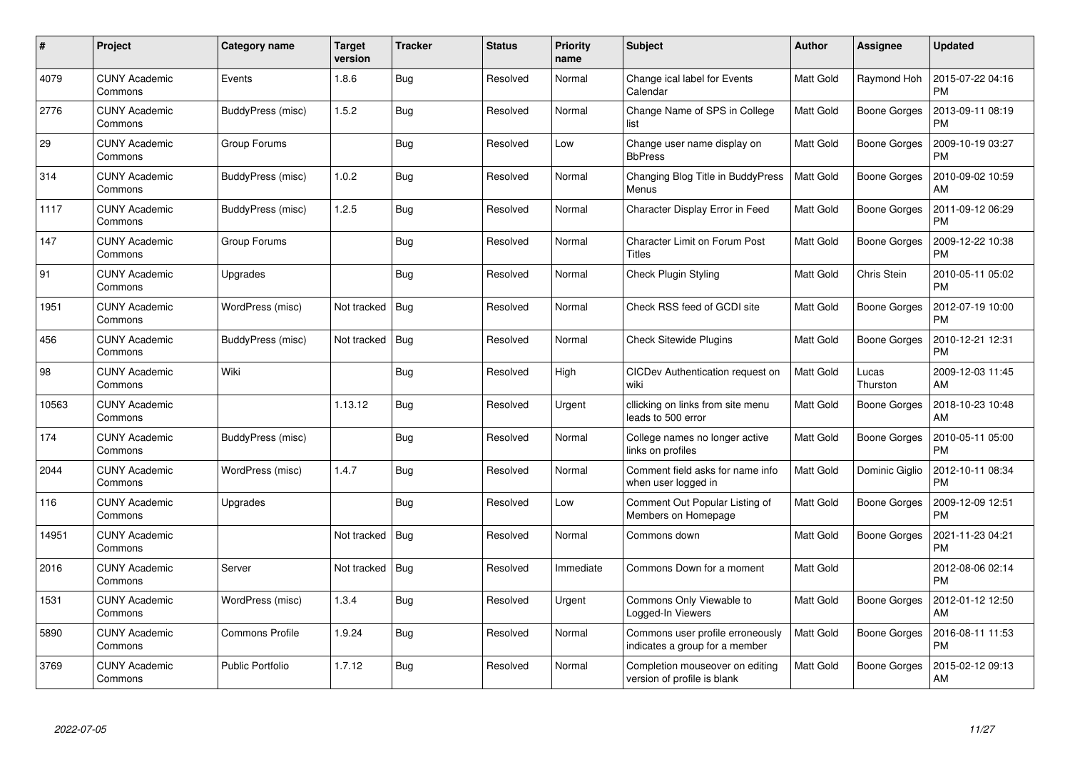| $\#$  | Project                         | Category name           | <b>Target</b><br>version | <b>Tracker</b> | <b>Status</b> | <b>Priority</b><br>name | <b>Subject</b>                                                     | Author           | Assignee            | <b>Updated</b>                |
|-------|---------------------------------|-------------------------|--------------------------|----------------|---------------|-------------------------|--------------------------------------------------------------------|------------------|---------------------|-------------------------------|
| 4079  | <b>CUNY Academic</b><br>Commons | Events                  | 1.8.6                    | Bug            | Resolved      | Normal                  | Change ical label for Events<br>Calendar                           | Matt Gold        | Raymond Hoh         | 2015-07-22 04:16<br><b>PM</b> |
| 2776  | <b>CUNY Academic</b><br>Commons | BuddyPress (misc)       | 1.5.2                    | Bug            | Resolved      | Normal                  | Change Name of SPS in College<br>list                              | <b>Matt Gold</b> | <b>Boone Gorges</b> | 2013-09-11 08:19<br><b>PM</b> |
| 29    | <b>CUNY Academic</b><br>Commons | Group Forums            |                          | Bug            | Resolved      | Low                     | Change user name display on<br><b>BbPress</b>                      | Matt Gold        | <b>Boone Gorges</b> | 2009-10-19 03:27<br><b>PM</b> |
| 314   | <b>CUNY Academic</b><br>Commons | BuddyPress (misc)       | 1.0.2                    | Bug            | Resolved      | Normal                  | Changing Blog Title in BuddyPress<br>Menus                         | Matt Gold        | Boone Gorges        | 2010-09-02 10:59<br>AM        |
| 1117  | <b>CUNY Academic</b><br>Commons | BuddyPress (misc)       | 1.2.5                    | Bug            | Resolved      | Normal                  | Character Display Error in Feed                                    | Matt Gold        | <b>Boone Gorges</b> | 2011-09-12 06:29<br><b>PM</b> |
| 147   | <b>CUNY Academic</b><br>Commons | Group Forums            |                          | <b>Bug</b>     | Resolved      | Normal                  | <b>Character Limit on Forum Post</b><br>Titles                     | Matt Gold        | <b>Boone Gorges</b> | 2009-12-22 10:38<br><b>PM</b> |
| 91    | <b>CUNY Academic</b><br>Commons | Upgrades                |                          | <b>Bug</b>     | Resolved      | Normal                  | <b>Check Plugin Styling</b>                                        | Matt Gold        | Chris Stein         | 2010-05-11 05:02<br><b>PM</b> |
| 1951  | <b>CUNY Academic</b><br>Commons | WordPress (misc)        | Not tracked              | Bug            | Resolved      | Normal                  | Check RSS feed of GCDI site                                        | Matt Gold        | Boone Gorges        | 2012-07-19 10:00<br><b>PM</b> |
| 456   | <b>CUNY Academic</b><br>Commons | BuddyPress (misc)       | Not tracked              | Bug            | Resolved      | Normal                  | <b>Check Sitewide Plugins</b>                                      | Matt Gold        | Boone Gorges        | 2010-12-21 12:31<br><b>PM</b> |
| 98    | <b>CUNY Academic</b><br>Commons | Wiki                    |                          | Bug            | Resolved      | High                    | CICDev Authentication request on<br>wiki                           | <b>Matt Gold</b> | Lucas<br>Thurston   | 2009-12-03 11:45<br>AM        |
| 10563 | <b>CUNY Academic</b><br>Commons |                         | 1.13.12                  | Bug            | Resolved      | Urgent                  | cllicking on links from site menu<br>leads to 500 error            | Matt Gold        | <b>Boone Gorges</b> | 2018-10-23 10:48<br>AM        |
| 174   | <b>CUNY Academic</b><br>Commons | BuddyPress (misc)       |                          | Bug            | Resolved      | Normal                  | College names no longer active<br>links on profiles                | Matt Gold        | Boone Gorges        | 2010-05-11 05:00<br><b>PM</b> |
| 2044  | <b>CUNY Academic</b><br>Commons | WordPress (misc)        | 1.4.7                    | Bug            | Resolved      | Normal                  | Comment field asks for name info<br>when user logged in            | Matt Gold        | Dominic Giglio      | 2012-10-11 08:34<br><b>PM</b> |
| 116   | <b>CUNY Academic</b><br>Commons | Upgrades                |                          | Bug            | Resolved      | Low                     | Comment Out Popular Listing of<br>Members on Homepage              | <b>Matt Gold</b> | Boone Gorges        | 2009-12-09 12:51<br><b>PM</b> |
| 14951 | <b>CUNY Academic</b><br>Commons |                         | Not tracked              | Bug            | Resolved      | Normal                  | Commons down                                                       | Matt Gold        | <b>Boone Gorges</b> | 2021-11-23 04:21<br><b>PM</b> |
| 2016  | <b>CUNY Academic</b><br>Commons | Server                  | Not tracked $\vert$ Bug  |                | Resolved      | Immediate               | Commons Down for a moment                                          | Matt Gold        |                     | 2012-08-06 02:14<br><b>PM</b> |
| 1531  | <b>CUNY Academic</b><br>Commons | WordPress (misc)        | 1.3.4                    | <b>Bug</b>     | Resolved      | Urgent                  | Commons Only Viewable to<br>Logged-In Viewers                      | <b>Matt Gold</b> | <b>Boone Gorges</b> | 2012-01-12 12:50<br>AM        |
| 5890  | <b>CUNY Academic</b><br>Commons | <b>Commons Profile</b>  | 1.9.24                   | Bug            | Resolved      | Normal                  | Commons user profile erroneously<br>indicates a group for a member | Matt Gold        | Boone Gorges        | 2016-08-11 11:53<br><b>PM</b> |
| 3769  | <b>CUNY Academic</b><br>Commons | <b>Public Portfolio</b> | 1.7.12                   | <b>Bug</b>     | Resolved      | Normal                  | Completion mouseover on editing<br>version of profile is blank     | Matt Gold        | Boone Gorges        | 2015-02-12 09:13<br>AM        |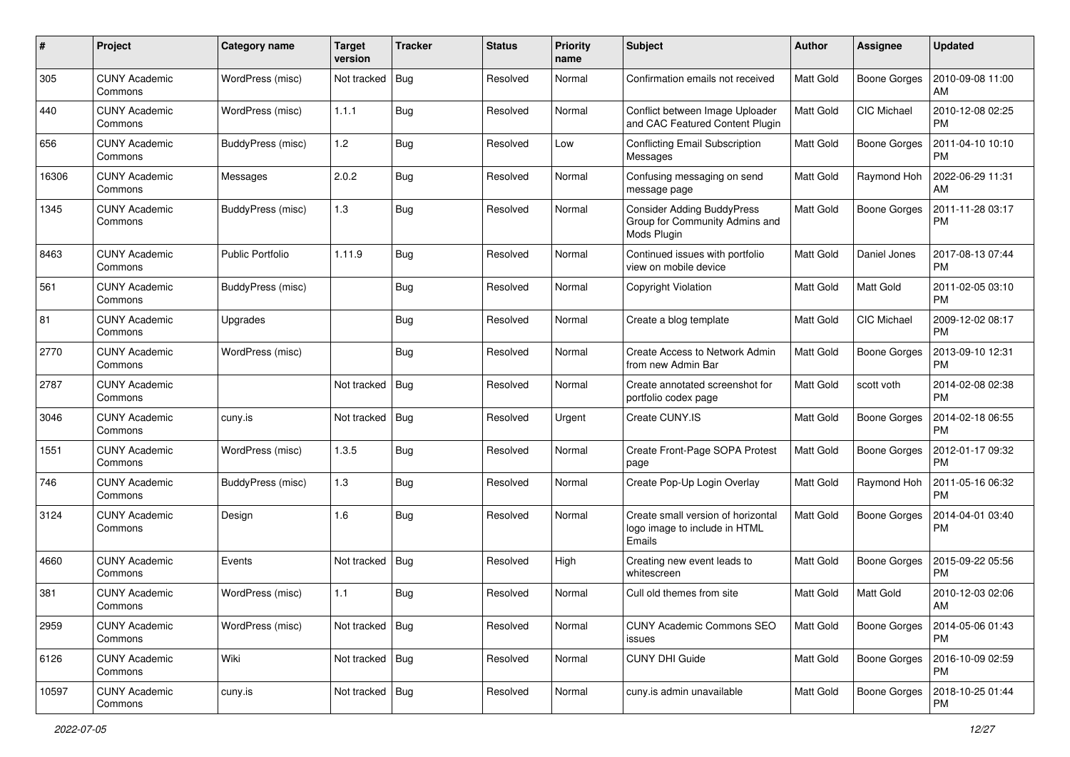| #     | Project                         | <b>Category name</b>    | <b>Target</b><br>version | <b>Tracker</b> | <b>Status</b> | <b>Priority</b><br>name | <b>Subject</b>                                                                     | Author           | <b>Assignee</b>     | <b>Updated</b>                |
|-------|---------------------------------|-------------------------|--------------------------|----------------|---------------|-------------------------|------------------------------------------------------------------------------------|------------------|---------------------|-------------------------------|
| 305   | <b>CUNY Academic</b><br>Commons | WordPress (misc)        | Not tracked              | Bug            | Resolved      | Normal                  | Confirmation emails not received                                                   | Matt Gold        | <b>Boone Gorges</b> | 2010-09-08 11:00<br>AM        |
| 440   | <b>CUNY Academic</b><br>Commons | WordPress (misc)        | 1.1.1                    | Bug            | Resolved      | Normal                  | Conflict between Image Uploader<br>and CAC Featured Content Plugin                 | <b>Matt Gold</b> | CIC Michael         | 2010-12-08 02:25<br><b>PM</b> |
| 656   | CUNY Academic<br>Commons        | BuddyPress (misc)       | 1.2                      | Bug            | Resolved      | Low                     | <b>Conflicting Email Subscription</b><br>Messages                                  | Matt Gold        | <b>Boone Gorges</b> | 2011-04-10 10:10<br><b>PM</b> |
| 16306 | <b>CUNY Academic</b><br>Commons | Messages                | 2.0.2                    | Bug            | Resolved      | Normal                  | Confusing messaging on send<br>message page                                        | <b>Matt Gold</b> | Raymond Hoh         | 2022-06-29 11:31<br>AM        |
| 1345  | CUNY Academic<br>Commons        | BuddyPress (misc)       | 1.3                      | Bug            | Resolved      | Normal                  | <b>Consider Adding BuddyPress</b><br>Group for Community Admins and<br>Mods Plugin | <b>Matt Gold</b> | <b>Boone Gorges</b> | 2011-11-28 03:17<br><b>PM</b> |
| 8463  | <b>CUNY Academic</b><br>Commons | <b>Public Portfolio</b> | 1.11.9                   | Bug            | Resolved      | Normal                  | Continued issues with portfolio<br>view on mobile device                           | Matt Gold        | Daniel Jones        | 2017-08-13 07:44<br>PM        |
| 561   | <b>CUNY Academic</b><br>Commons | BuddyPress (misc)       |                          | Bug            | Resolved      | Normal                  | Copyright Violation                                                                | Matt Gold        | Matt Gold           | 2011-02-05 03:10<br><b>PM</b> |
| 81    | <b>CUNY Academic</b><br>Commons | Upgrades                |                          | Bug            | Resolved      | Normal                  | Create a blog template                                                             | Matt Gold        | <b>CIC Michael</b>  | 2009-12-02 08:17<br><b>PM</b> |
| 2770  | <b>CUNY Academic</b><br>Commons | WordPress (misc)        |                          | Bug            | Resolved      | Normal                  | Create Access to Network Admin<br>from new Admin Bar                               | <b>Matt Gold</b> | <b>Boone Gorges</b> | 2013-09-10 12:31<br><b>PM</b> |
| 2787  | <b>CUNY Academic</b><br>Commons |                         | Not tracked              | <b>Bug</b>     | Resolved      | Normal                  | Create annotated screenshot for<br>portfolio codex page                            | Matt Gold        | scott voth          | 2014-02-08 02:38<br><b>PM</b> |
| 3046  | <b>CUNY Academic</b><br>Commons | cuny.is                 | Not tracked              | Bug            | Resolved      | Urgent                  | Create CUNY.IS                                                                     | Matt Gold        | <b>Boone Gorges</b> | 2014-02-18 06:55<br><b>PM</b> |
| 1551  | <b>CUNY Academic</b><br>Commons | WordPress (misc)        | 1.3.5                    | Bug            | Resolved      | Normal                  | Create Front-Page SOPA Protest<br>page                                             | Matt Gold        | <b>Boone Gorges</b> | 2012-01-17 09:32<br><b>PM</b> |
| 746   | <b>CUNY Academic</b><br>Commons | BuddyPress (misc)       | 1.3                      | Bug            | Resolved      | Normal                  | Create Pop-Up Login Overlay                                                        | <b>Matt Gold</b> | Raymond Hoh         | 2011-05-16 06:32<br><b>PM</b> |
| 3124  | <b>CUNY Academic</b><br>Commons | Design                  | 1.6                      | Bug            | Resolved      | Normal                  | Create small version of horizontal<br>logo image to include in HTML<br>Emails      | <b>Matt Gold</b> | <b>Boone Gorges</b> | 2014-04-01 03:40<br><b>PM</b> |
| 4660  | <b>CUNY Academic</b><br>Commons | Events                  | Not tracked              | Bug            | Resolved      | High                    | Creating new event leads to<br>whitescreen                                         | <b>Matt Gold</b> | Boone Gorges        | 2015-09-22 05:56<br><b>PM</b> |
| 381   | <b>CUNY Academic</b><br>Commons | WordPress (misc)        | 1.1                      | Bug            | Resolved      | Normal                  | Cull old themes from site                                                          | Matt Gold        | Matt Gold           | 2010-12-03 02:06<br>AM        |
| 2959  | <b>CUNY Academic</b><br>Commons | WordPress (misc)        | Not tracked   Bug        |                | Resolved      | Normal                  | CUNY Academic Commons SEO<br>issues                                                | Matt Gold        | <b>Boone Gorges</b> | 2014-05-06 01:43<br>PM        |
| 6126  | <b>CUNY Academic</b><br>Commons | Wiki                    | Not tracked   Bug        |                | Resolved      | Normal                  | CUNY DHI Guide                                                                     | Matt Gold        | <b>Boone Gorges</b> | 2016-10-09 02:59<br><b>PM</b> |
| 10597 | <b>CUNY Academic</b><br>Commons | cuny.is                 | Not tracked   Bug        |                | Resolved      | Normal                  | cuny.is admin unavailable                                                          | Matt Gold        | <b>Boone Gorges</b> | 2018-10-25 01:44<br>PM        |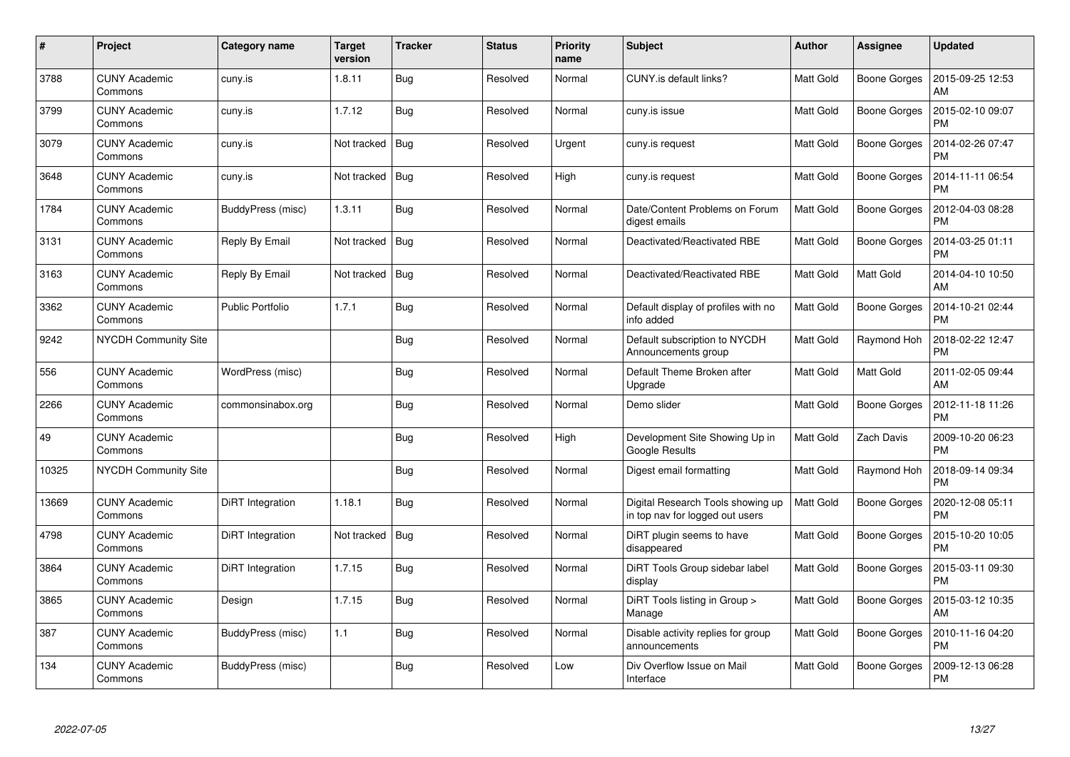| $\pmb{\#}$ | Project                         | Category name           | <b>Target</b><br>version | <b>Tracker</b> | <b>Status</b> | <b>Priority</b><br>name | <b>Subject</b>                                                       | Author           | <b>Assignee</b>     | <b>Updated</b>                |
|------------|---------------------------------|-------------------------|--------------------------|----------------|---------------|-------------------------|----------------------------------------------------------------------|------------------|---------------------|-------------------------------|
| 3788       | <b>CUNY Academic</b><br>Commons | cuny.is                 | 1.8.11                   | <b>Bug</b>     | Resolved      | Normal                  | CUNY.is default links?                                               | Matt Gold        | <b>Boone Gorges</b> | 2015-09-25 12:53<br>AM        |
| 3799       | <b>CUNY Academic</b><br>Commons | cuny.is                 | 1.7.12                   | Bug            | Resolved      | Normal                  | cuny.is issue                                                        | Matt Gold        | <b>Boone Gorges</b> | 2015-02-10 09:07<br><b>PM</b> |
| 3079       | <b>CUNY Academic</b><br>Commons | cuny.is                 | Not tracked              | Bug            | Resolved      | Urgent                  | cuny.is request                                                      | Matt Gold        | Boone Gorges        | 2014-02-26 07:47<br><b>PM</b> |
| 3648       | <b>CUNY Academic</b><br>Commons | cuny.is                 | Not tracked              | Bug            | Resolved      | High                    | cuny.is request                                                      | Matt Gold        | Boone Gorges        | 2014-11-11 06:54<br><b>PM</b> |
| 1784       | <b>CUNY Academic</b><br>Commons | BuddyPress (misc)       | 1.3.11                   | Bug            | Resolved      | Normal                  | Date/Content Problems on Forum<br>digest emails                      | Matt Gold        | <b>Boone Gorges</b> | 2012-04-03 08:28<br><b>PM</b> |
| 3131       | <b>CUNY Academic</b><br>Commons | Reply By Email          | Not tracked              | Bug            | Resolved      | Normal                  | Deactivated/Reactivated RBE                                          | Matt Gold        | <b>Boone Gorges</b> | 2014-03-25 01:11<br><b>PM</b> |
| 3163       | <b>CUNY Academic</b><br>Commons | Reply By Email          | Not tracked              | Bug            | Resolved      | Normal                  | Deactivated/Reactivated RBE                                          | <b>Matt Gold</b> | Matt Gold           | 2014-04-10 10:50<br>AM        |
| 3362       | <b>CUNY Academic</b><br>Commons | <b>Public Portfolio</b> | 1.7.1                    | Bug            | Resolved      | Normal                  | Default display of profiles with no<br>info added                    | <b>Matt Gold</b> | Boone Gorges        | 2014-10-21 02:44<br><b>PM</b> |
| 9242       | NYCDH Community Site            |                         |                          | <b>Bug</b>     | Resolved      | Normal                  | Default subscription to NYCDH<br>Announcements group                 | Matt Gold        | Raymond Hoh         | 2018-02-22 12:47<br><b>PM</b> |
| 556        | <b>CUNY Academic</b><br>Commons | WordPress (misc)        |                          | Bug            | Resolved      | Normal                  | Default Theme Broken after<br>Upgrade                                | <b>Matt Gold</b> | Matt Gold           | 2011-02-05 09:44<br>AM        |
| 2266       | <b>CUNY Academic</b><br>Commons | commonsinabox.org       |                          | Bug            | Resolved      | Normal                  | Demo slider                                                          | Matt Gold        | <b>Boone Gorges</b> | 2012-11-18 11:26<br><b>PM</b> |
| 49         | <b>CUNY Academic</b><br>Commons |                         |                          | Bug            | Resolved      | High                    | Development Site Showing Up in<br><b>Google Results</b>              | Matt Gold        | Zach Davis          | 2009-10-20 06:23<br><b>PM</b> |
| 10325      | <b>NYCDH Community Site</b>     |                         |                          | <b>Bug</b>     | Resolved      | Normal                  | Digest email formatting                                              | Matt Gold        | Raymond Hoh         | 2018-09-14 09:34<br><b>PM</b> |
| 13669      | <b>CUNY Academic</b><br>Commons | <b>DiRT</b> Integration | 1.18.1                   | <b>Bug</b>     | Resolved      | Normal                  | Digital Research Tools showing up<br>in top nav for logged out users | Matt Gold        | <b>Boone Gorges</b> | 2020-12-08 05:11<br><b>PM</b> |
| 4798       | <b>CUNY Academic</b><br>Commons | DiRT Integration        | Not tracked              | Bug            | Resolved      | Normal                  | DiRT plugin seems to have<br>disappeared                             | Matt Gold        | <b>Boone Gorges</b> | 2015-10-20 10:05<br><b>PM</b> |
| 3864       | <b>CUNY Academic</b><br>Commons | DiRT Integration        | 1.7.15                   | <b>Bug</b>     | Resolved      | Normal                  | DiRT Tools Group sidebar label<br>display                            | <b>Matt Gold</b> | Boone Gorges        | 2015-03-11 09:30<br><b>PM</b> |
| 3865       | <b>CUNY Academic</b><br>Commons | Design                  | 1.7.15                   | Bug            | Resolved      | Normal                  | DiRT Tools listing in Group ><br>Manage                              | Matt Gold        | <b>Boone Gorges</b> | 2015-03-12 10:35<br>AM        |
| 387        | <b>CUNY Academic</b><br>Commons | BuddyPress (misc)       | 1.1                      | Bug            | Resolved      | Normal                  | Disable activity replies for group<br>announcements                  | Matt Gold        | <b>Boone Gorges</b> | 2010-11-16 04:20<br><b>PM</b> |
| 134        | <b>CUNY Academic</b><br>Commons | BuddyPress (misc)       |                          | <b>Bug</b>     | Resolved      | Low                     | Div Overflow Issue on Mail<br>Interface                              | Matt Gold        | Boone Gorges        | 2009-12-13 06:28<br><b>PM</b> |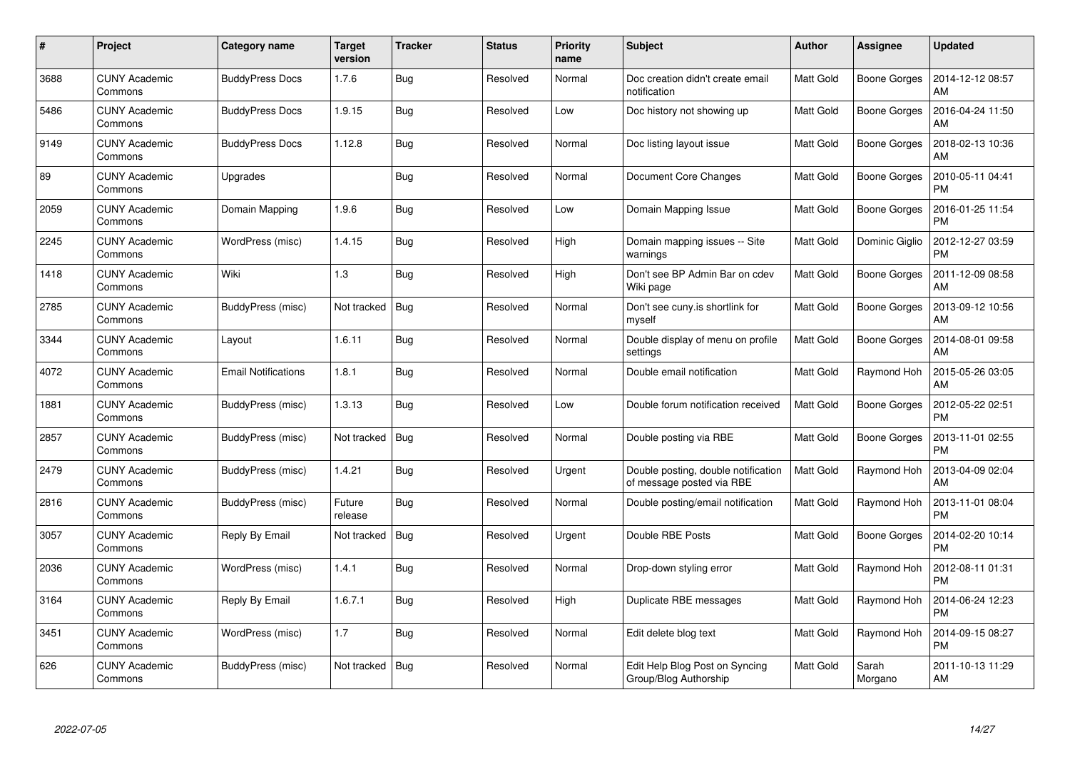| #    | Project                         | Category name              | <b>Target</b><br>version | <b>Tracker</b> | <b>Status</b> | <b>Priority</b><br>name | <b>Subject</b>                                                   | Author           | <b>Assignee</b>     | <b>Updated</b>                |
|------|---------------------------------|----------------------------|--------------------------|----------------|---------------|-------------------------|------------------------------------------------------------------|------------------|---------------------|-------------------------------|
| 3688 | <b>CUNY Academic</b><br>Commons | <b>BuddyPress Docs</b>     | 1.7.6                    | Bug            | Resolved      | Normal                  | Doc creation didn't create email<br>notification                 | Matt Gold        | <b>Boone Gorges</b> | 2014-12-12 08:57<br>AM        |
| 5486 | <b>CUNY Academic</b><br>Commons | <b>BuddyPress Docs</b>     | 1.9.15                   | Bug            | Resolved      | Low                     | Doc history not showing up                                       | Matt Gold        | <b>Boone Gorges</b> | 2016-04-24 11:50<br>AM        |
| 9149 | <b>CUNY Academic</b><br>Commons | <b>BuddyPress Docs</b>     | 1.12.8                   | Bug            | Resolved      | Normal                  | Doc listing layout issue                                         | Matt Gold        | <b>Boone Gorges</b> | 2018-02-13 10:36<br>AM        |
| 89   | <b>CUNY Academic</b><br>Commons | Upgrades                   |                          | Bug            | Resolved      | Normal                  | Document Core Changes                                            | Matt Gold        | <b>Boone Gorges</b> | 2010-05-11 04:41<br><b>PM</b> |
| 2059 | <b>CUNY Academic</b><br>Commons | Domain Mapping             | 1.9.6                    | Bug            | Resolved      | Low                     | Domain Mapping Issue                                             | Matt Gold        | <b>Boone Gorges</b> | 2016-01-25 11:54<br><b>PM</b> |
| 2245 | <b>CUNY Academic</b><br>Commons | WordPress (misc)           | 1.4.15                   | Bug            | Resolved      | High                    | Domain mapping issues -- Site<br>warnings                        | Matt Gold        | Dominic Giglio      | 2012-12-27 03:59<br><b>PM</b> |
| 1418 | <b>CUNY Academic</b><br>Commons | Wiki                       | 1.3                      | Bug            | Resolved      | High                    | Don't see BP Admin Bar on cdev<br>Wiki page                      | Matt Gold        | <b>Boone Gorges</b> | 2011-12-09 08:58<br>AM        |
| 2785 | <b>CUNY Academic</b><br>Commons | BuddyPress (misc)          | Not tracked              | Bug            | Resolved      | Normal                  | Don't see cuny.is shortlink for<br>myself                        | Matt Gold        | Boone Gorges        | 2013-09-12 10:56<br>AM        |
| 3344 | <b>CUNY Academic</b><br>Commons | Layout                     | 1.6.11                   | <b>Bug</b>     | Resolved      | Normal                  | Double display of menu on profile<br>settings                    | <b>Matt Gold</b> | <b>Boone Gorges</b> | 2014-08-01 09:58<br>AM        |
| 4072 | <b>CUNY Academic</b><br>Commons | <b>Email Notifications</b> | 1.8.1                    | <b>Bug</b>     | Resolved      | Normal                  | Double email notification                                        | Matt Gold        | Raymond Hoh         | 2015-05-26 03:05<br>AM        |
| 1881 | <b>CUNY Academic</b><br>Commons | BuddyPress (misc)          | 1.3.13                   | Bug            | Resolved      | Low                     | Double forum notification received                               | Matt Gold        | <b>Boone Gorges</b> | 2012-05-22 02:51<br><b>PM</b> |
| 2857 | <b>CUNY Academic</b><br>Commons | BuddyPress (misc)          | Not tracked              | Bug            | Resolved      | Normal                  | Double posting via RBE                                           | Matt Gold        | Boone Gorges        | 2013-11-01 02:55<br>PM        |
| 2479 | <b>CUNY Academic</b><br>Commons | BuddyPress (misc)          | 1.4.21                   | <b>Bug</b>     | Resolved      | Urgent                  | Double posting, double notification<br>of message posted via RBE | <b>Matt Gold</b> | Raymond Hoh         | 2013-04-09 02:04<br>AM        |
| 2816 | <b>CUNY Academic</b><br>Commons | BuddyPress (misc)          | Future<br>release        | Bug            | Resolved      | Normal                  | Double posting/email notification                                | Matt Gold        | Raymond Hoh         | 2013-11-01 08:04<br><b>PM</b> |
| 3057 | <b>CUNY Academic</b><br>Commons | Reply By Email             | Not tracked              | Bug            | Resolved      | Urgent                  | Double RBE Posts                                                 | Matt Gold        | <b>Boone Gorges</b> | 2014-02-20 10:14<br><b>PM</b> |
| 2036 | <b>CUNY Academic</b><br>Commons | WordPress (misc)           | 1.4.1                    | Bug            | Resolved      | Normal                  | Drop-down styling error                                          | Matt Gold        | Raymond Hoh         | 2012-08-11 01:31<br><b>PM</b> |
| 3164 | <b>CUNY Academic</b><br>Commons | Reply By Email             | 1.6.7.1                  | Bug            | Resolved      | High                    | Duplicate RBE messages                                           | Matt Gold        | Raymond Hoh         | 2014-06-24 12:23<br><b>PM</b> |
| 3451 | <b>CUNY Academic</b><br>Commons | WordPress (misc)           | 1.7                      | Bug            | Resolved      | Normal                  | Edit delete blog text                                            | Matt Gold        | Raymond Hoh         | 2014-09-15 08:27<br><b>PM</b> |
| 626  | CUNY Academic<br>Commons        | BuddyPress (misc)          | Not tracked              | Bug            | Resolved      | Normal                  | Edit Help Blog Post on Syncing<br>Group/Blog Authorship          | Matt Gold        | Sarah<br>Morgano    | 2011-10-13 11:29<br>AM        |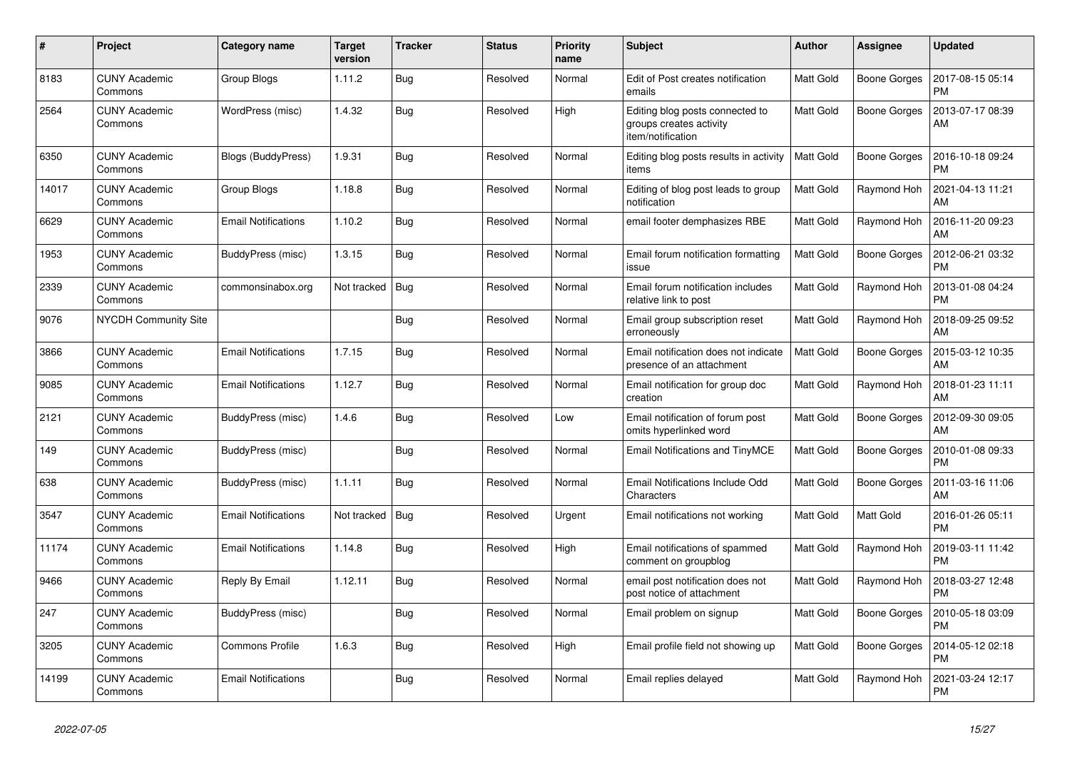| $\pmb{\sharp}$ | Project                         | Category name              | <b>Target</b><br>version | <b>Tracker</b> | <b>Status</b> | <b>Priority</b><br>name | <b>Subject</b>                                                                  | <b>Author</b>    | Assignee            | <b>Updated</b>                |
|----------------|---------------------------------|----------------------------|--------------------------|----------------|---------------|-------------------------|---------------------------------------------------------------------------------|------------------|---------------------|-------------------------------|
| 8183           | <b>CUNY Academic</b><br>Commons | Group Blogs                | 1.11.2                   | Bug            | Resolved      | Normal                  | Edit of Post creates notification<br>emails                                     | <b>Matt Gold</b> | <b>Boone Gorges</b> | 2017-08-15 05:14<br><b>PM</b> |
| 2564           | <b>CUNY Academic</b><br>Commons | WordPress (misc)           | 1.4.32                   | <b>Bug</b>     | Resolved      | High                    | Editing blog posts connected to<br>groups creates activity<br>item/notification | <b>Matt Gold</b> | <b>Boone Gorges</b> | 2013-07-17 08:39<br>AM        |
| 6350           | <b>CUNY Academic</b><br>Commons | Blogs (BuddyPress)         | 1.9.31                   | <b>Bug</b>     | Resolved      | Normal                  | Editing blog posts results in activity<br>items                                 | <b>Matt Gold</b> | Boone Gorges        | 2016-10-18 09:24<br><b>PM</b> |
| 14017          | <b>CUNY Academic</b><br>Commons | Group Blogs                | 1.18.8                   | <b>Bug</b>     | Resolved      | Normal                  | Editing of blog post leads to group<br>notification                             | <b>Matt Gold</b> | Raymond Hoh         | 2021-04-13 11:21<br>AM        |
| 6629           | <b>CUNY Academic</b><br>Commons | <b>Email Notifications</b> | 1.10.2                   | Bug            | Resolved      | Normal                  | email footer demphasizes RBE                                                    | <b>Matt Gold</b> | Raymond Hoh         | 2016-11-20 09:23<br>AM        |
| 1953           | <b>CUNY Academic</b><br>Commons | BuddyPress (misc)          | 1.3.15                   | Bug            | Resolved      | Normal                  | Email forum notification formatting<br>issue                                    | <b>Matt Gold</b> | <b>Boone Gorges</b> | 2012-06-21 03:32<br><b>PM</b> |
| 2339           | <b>CUNY Academic</b><br>Commons | commonsinabox.org          | Not tracked              | Bug            | Resolved      | Normal                  | Email forum notification includes<br>relative link to post                      | <b>Matt Gold</b> | Raymond Hoh         | 2013-01-08 04:24<br><b>PM</b> |
| 9076           | <b>NYCDH Community Site</b>     |                            |                          | Bug            | Resolved      | Normal                  | Email group subscription reset<br>erroneously                                   | <b>Matt Gold</b> | Raymond Hoh         | 2018-09-25 09:52<br>AM        |
| 3866           | <b>CUNY Academic</b><br>Commons | <b>Email Notifications</b> | 1.7.15                   | <b>Bug</b>     | Resolved      | Normal                  | Email notification does not indicate<br>presence of an attachment               | Matt Gold        | Boone Gorges        | 2015-03-12 10:35<br>AM        |
| 9085           | <b>CUNY Academic</b><br>Commons | <b>Email Notifications</b> | 1.12.7                   | <b>Bug</b>     | Resolved      | Normal                  | Email notification for group doc<br>creation                                    | Matt Gold        | Raymond Hoh         | 2018-01-23 11:11<br>AM        |
| 2121           | <b>CUNY Academic</b><br>Commons | BuddyPress (misc)          | 1.4.6                    | Bug            | Resolved      | Low                     | Email notification of forum post<br>omits hyperlinked word                      | Matt Gold        | <b>Boone Gorges</b> | 2012-09-30 09:05<br>AM        |
| 149            | <b>CUNY Academic</b><br>Commons | BuddyPress (misc)          |                          | <b>Bug</b>     | Resolved      | Normal                  | Email Notifications and TinyMCE                                                 | <b>Matt Gold</b> | Boone Gorges        | 2010-01-08 09:33<br><b>PM</b> |
| 638            | <b>CUNY Academic</b><br>Commons | BuddyPress (misc)          | 1.1.11                   | Bug            | Resolved      | Normal                  | Email Notifications Include Odd<br>Characters                                   | Matt Gold        | <b>Boone Gorges</b> | 2011-03-16 11:06<br>AM        |
| 3547           | <b>CUNY Academic</b><br>Commons | <b>Email Notifications</b> | Not tracked              | Bug            | Resolved      | Urgent                  | Email notifications not working                                                 | Matt Gold        | Matt Gold           | 2016-01-26 05:11<br><b>PM</b> |
| 11174          | <b>CUNY Academic</b><br>Commons | <b>Email Notifications</b> | 1.14.8                   | <b>Bug</b>     | Resolved      | High                    | Email notifications of spammed<br>comment on groupblog                          | <b>Matt Gold</b> | Raymond Hoh         | 2019-03-11 11:42<br><b>PM</b> |
| 9466           | <b>CUNY Academic</b><br>Commons | Reply By Email             | 1.12.11                  | <b>Bug</b>     | Resolved      | Normal                  | email post notification does not<br>post notice of attachment                   | Matt Gold        | Raymond Hoh         | 2018-03-27 12:48<br><b>PM</b> |
| 247            | <b>CUNY Academic</b><br>Commons | BuddyPress (misc)          |                          | Bug            | Resolved      | Normal                  | Email problem on signup                                                         | Matt Gold        | Boone Gorges        | 2010-05-18 03:09<br><b>PM</b> |
| 3205           | <b>CUNY Academic</b><br>Commons | <b>Commons Profile</b>     | 1.6.3                    | <b>Bug</b>     | Resolved      | High                    | Email profile field not showing up                                              | <b>Matt Gold</b> | <b>Boone Gorges</b> | 2014-05-12 02:18<br><b>PM</b> |
| 14199          | <b>CUNY Academic</b><br>Commons | <b>Email Notifications</b> |                          | <b>Bug</b>     | Resolved      | Normal                  | Email replies delayed                                                           | Matt Gold        | Raymond Hoh         | 2021-03-24 12:17<br><b>PM</b> |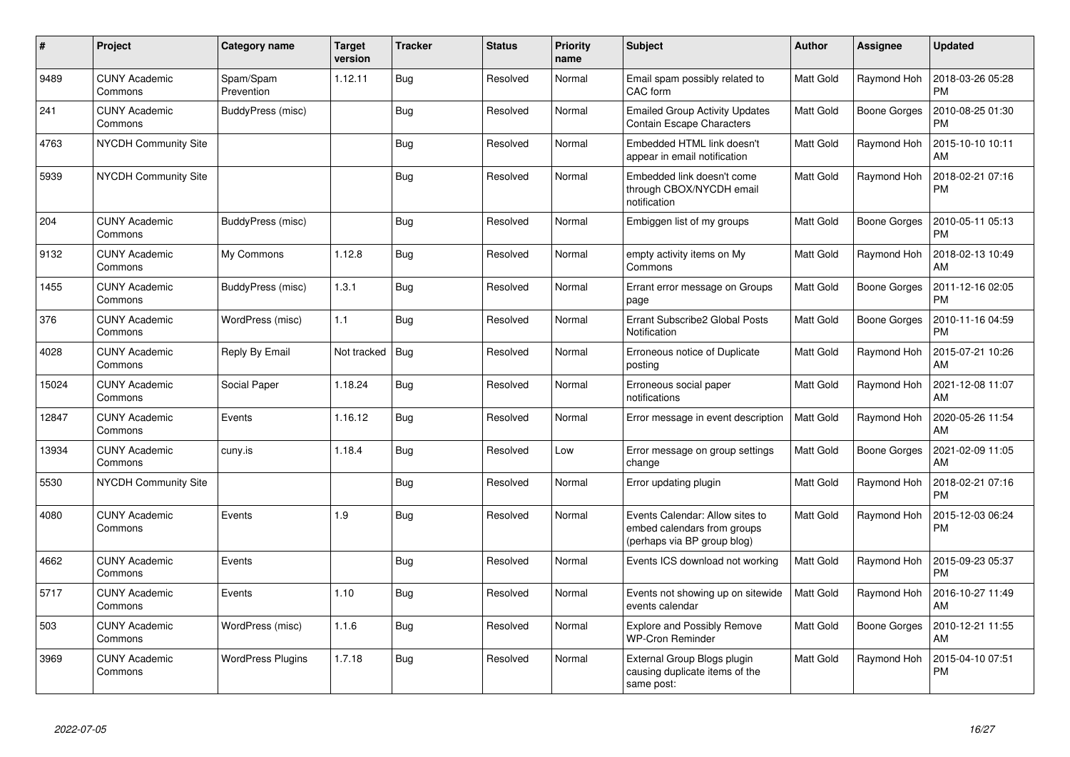| $\pmb{\sharp}$ | Project                         | Category name            | <b>Target</b><br>version | <b>Tracker</b> | <b>Status</b> | Priority<br>name | <b>Subject</b>                                                                                | <b>Author</b>    | Assignee            | <b>Updated</b>                |
|----------------|---------------------------------|--------------------------|--------------------------|----------------|---------------|------------------|-----------------------------------------------------------------------------------------------|------------------|---------------------|-------------------------------|
| 9489           | <b>CUNY Academic</b><br>Commons | Spam/Spam<br>Prevention  | 1.12.11                  | <b>Bug</b>     | Resolved      | Normal           | Email spam possibly related to<br>CAC form                                                    | Matt Gold        | Raymond Hoh         | 2018-03-26 05:28<br><b>PM</b> |
| 241            | <b>CUNY Academic</b><br>Commons | BuddyPress (misc)        |                          | <b>Bug</b>     | Resolved      | Normal           | <b>Emailed Group Activity Updates</b><br>Contain Escape Characters                            | Matt Gold        | <b>Boone Gorges</b> | 2010-08-25 01:30<br><b>PM</b> |
| 4763           | <b>NYCDH Community Site</b>     |                          |                          | <b>Bug</b>     | Resolved      | Normal           | Embedded HTML link doesn't<br>appear in email notification                                    | <b>Matt Gold</b> | Raymond Hoh         | 2015-10-10 10:11<br>AM        |
| 5939           | NYCDH Community Site            |                          |                          | Bug            | Resolved      | Normal           | Embedded link doesn't come<br>through CBOX/NYCDH email<br>notification                        | Matt Gold        | Raymond Hoh         | 2018-02-21 07:16<br><b>PM</b> |
| 204            | <b>CUNY Academic</b><br>Commons | BuddyPress (misc)        |                          | Bug            | Resolved      | Normal           | Embiggen list of my groups                                                                    | Matt Gold        | Boone Gorges        | 2010-05-11 05:13<br><b>PM</b> |
| 9132           | <b>CUNY Academic</b><br>Commons | My Commons               | 1.12.8                   | <b>Bug</b>     | Resolved      | Normal           | empty activity items on My<br>Commons                                                         | Matt Gold        | Raymond Hoh         | 2018-02-13 10:49<br>AM        |
| 1455           | <b>CUNY Academic</b><br>Commons | BuddyPress (misc)        | 1.3.1                    | <b>Bug</b>     | Resolved      | Normal           | Errant error message on Groups<br>page                                                        | Matt Gold        | <b>Boone Gorges</b> | 2011-12-16 02:05<br><b>PM</b> |
| 376            | <b>CUNY Academic</b><br>Commons | WordPress (misc)         | 1.1                      | <b>Bug</b>     | Resolved      | Normal           | Errant Subscribe2 Global Posts<br>Notification                                                | Matt Gold        | <b>Boone Gorges</b> | 2010-11-16 04:59<br><b>PM</b> |
| 4028           | <b>CUNY Academic</b><br>Commons | Reply By Email           | Not tracked              | Bug            | Resolved      | Normal           | Erroneous notice of Duplicate<br>posting                                                      | Matt Gold        | Raymond Hoh         | 2015-07-21 10:26<br>AM        |
| 15024          | <b>CUNY Academic</b><br>Commons | Social Paper             | 1.18.24                  | <b>Bug</b>     | Resolved      | Normal           | Erroneous social paper<br>notifications                                                       | Matt Gold        | Raymond Hoh         | 2021-12-08 11:07<br>AM        |
| 12847          | <b>CUNY Academic</b><br>Commons | Events                   | 1.16.12                  | Bug            | Resolved      | Normal           | Error message in event description                                                            | Matt Gold        | Raymond Hoh         | 2020-05-26 11:54<br>AM        |
| 13934          | <b>CUNY Academic</b><br>Commons | cuny.is                  | 1.18.4                   | Bug            | Resolved      | Low              | Error message on group settings<br>change                                                     | Matt Gold        | Boone Gorges        | 2021-02-09 11:05<br>AM        |
| 5530           | <b>NYCDH Community Site</b>     |                          |                          | Bug            | Resolved      | Normal           | Error updating plugin                                                                         | Matt Gold        | Raymond Hoh         | 2018-02-21 07:16<br><b>PM</b> |
| 4080           | <b>CUNY Academic</b><br>Commons | Events                   | 1.9                      | Bug            | Resolved      | Normal           | Events Calendar: Allow sites to<br>embed calendars from groups<br>(perhaps via BP group blog) | Matt Gold        | Raymond Hoh         | 2015-12-03 06:24<br><b>PM</b> |
| 4662           | <b>CUNY Academic</b><br>Commons | Events                   |                          | <b>Bug</b>     | Resolved      | Normal           | Events ICS download not working                                                               | Matt Gold        | Raymond Hoh         | 2015-09-23 05:37<br><b>PM</b> |
| 5717           | <b>CUNY Academic</b><br>Commons | Events                   | 1.10                     | Bug            | Resolved      | Normal           | Events not showing up on sitewide<br>events calendar                                          | Matt Gold        | Raymond Hoh         | 2016-10-27 11:49<br>AM        |
| 503            | <b>CUNY Academic</b><br>Commons | WordPress (misc)         | 1.1.6                    | Bug            | Resolved      | Normal           | <b>Explore and Possibly Remove</b><br><b>WP-Cron Reminder</b>                                 | Matt Gold        | <b>Boone Gorges</b> | 2010-12-21 11:55<br>AM        |
| 3969           | <b>CUNY Academic</b><br>Commons | <b>WordPress Plugins</b> | 1.7.18                   | Bug            | Resolved      | Normal           | External Group Blogs plugin<br>causing duplicate items of the<br>same post:                   | Matt Gold        | Raymond Hoh         | 2015-04-10 07:51<br>PM        |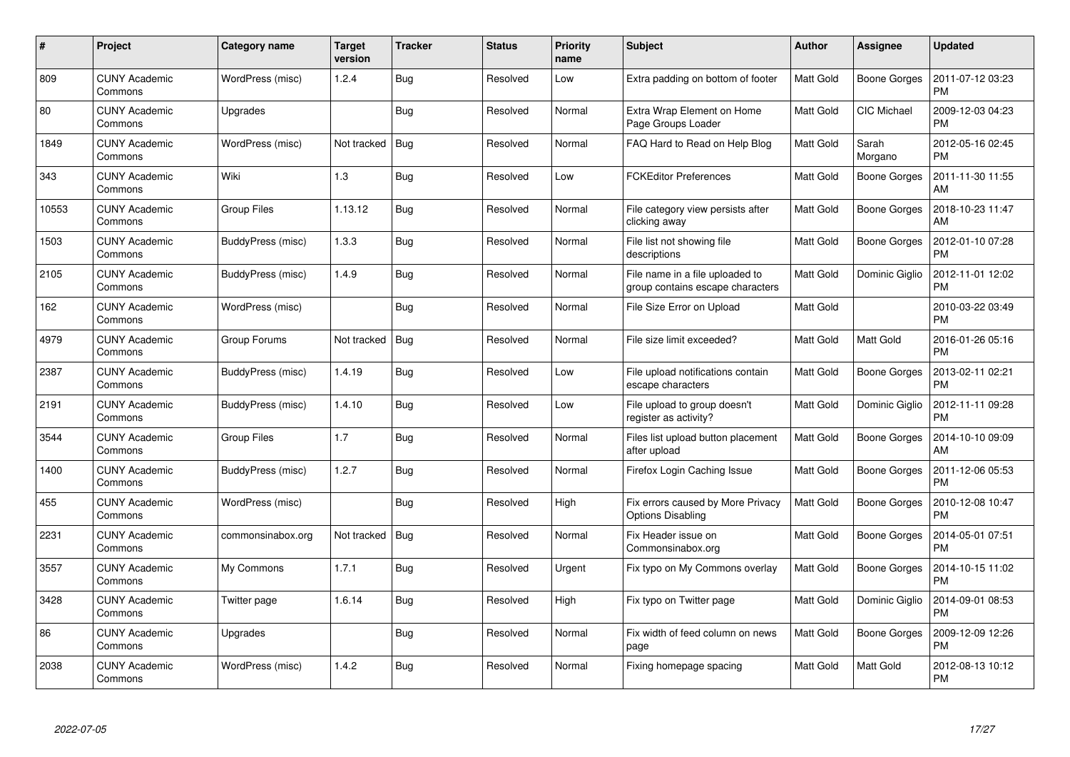| $\#$  | Project                         | Category name      | <b>Target</b><br>version | <b>Tracker</b> | <b>Status</b> | <b>Priority</b><br>name | <b>Subject</b>                                                      | Author           | Assignee            | <b>Updated</b>                |
|-------|---------------------------------|--------------------|--------------------------|----------------|---------------|-------------------------|---------------------------------------------------------------------|------------------|---------------------|-------------------------------|
| 809   | <b>CUNY Academic</b><br>Commons | WordPress (misc)   | 1.2.4                    | Bug            | Resolved      | Low                     | Extra padding on bottom of footer                                   | Matt Gold        | <b>Boone Gorges</b> | 2011-07-12 03:23<br><b>PM</b> |
| 80    | <b>CUNY Academic</b><br>Commons | Upgrades           |                          | Bug            | Resolved      | Normal                  | Extra Wrap Element on Home<br>Page Groups Loader                    | Matt Gold        | <b>CIC Michael</b>  | 2009-12-03 04:23<br><b>PM</b> |
| 1849  | <b>CUNY Academic</b><br>Commons | WordPress (misc)   | Not tracked              | Bug            | Resolved      | Normal                  | FAQ Hard to Read on Help Blog                                       | <b>Matt Gold</b> | Sarah<br>Morgano    | 2012-05-16 02:45<br><b>PM</b> |
| 343   | <b>CUNY Academic</b><br>Commons | Wiki               | 1.3                      | Bug            | Resolved      | Low                     | <b>FCKEditor Preferences</b>                                        | Matt Gold        | Boone Gorges        | 2011-11-30 11:55<br>AM        |
| 10553 | <b>CUNY Academic</b><br>Commons | <b>Group Files</b> | 1.13.12                  | Bug            | Resolved      | Normal                  | File category view persists after<br>clicking away                  | Matt Gold        | <b>Boone Gorges</b> | 2018-10-23 11:47<br>AM        |
| 1503  | <b>CUNY Academic</b><br>Commons | BuddyPress (misc)  | 1.3.3                    | Bug            | Resolved      | Normal                  | File list not showing file<br>descriptions                          | Matt Gold        | <b>Boone Gorges</b> | 2012-01-10 07:28<br><b>PM</b> |
| 2105  | <b>CUNY Academic</b><br>Commons | BuddyPress (misc)  | 1.4.9                    | <b>Bug</b>     | Resolved      | Normal                  | File name in a file uploaded to<br>group contains escape characters | Matt Gold        | Dominic Giglio      | 2012-11-01 12:02<br><b>PM</b> |
| 162   | <b>CUNY Academic</b><br>Commons | WordPress (misc)   |                          | Bug            | Resolved      | Normal                  | File Size Error on Upload                                           | Matt Gold        |                     | 2010-03-22 03:49<br><b>PM</b> |
| 4979  | <b>CUNY Academic</b><br>Commons | Group Forums       | Not tracked              | Bug            | Resolved      | Normal                  | File size limit exceeded?                                           | Matt Gold        | Matt Gold           | 2016-01-26 05:16<br><b>PM</b> |
| 2387  | <b>CUNY Academic</b><br>Commons | BuddyPress (misc)  | 1.4.19                   | Bug            | Resolved      | Low                     | File upload notifications contain<br>escape characters              | Matt Gold        | Boone Gorges        | 2013-02-11 02:21<br><b>PM</b> |
| 2191  | <b>CUNY Academic</b><br>Commons | BuddyPress (misc)  | 1.4.10                   | Bug            | Resolved      | Low                     | File upload to group doesn't<br>register as activity?               | Matt Gold        | Dominic Giglio      | 2012-11-11 09:28<br><b>PM</b> |
| 3544  | <b>CUNY Academic</b><br>Commons | <b>Group Files</b> | 1.7                      | <b>Bug</b>     | Resolved      | Normal                  | Files list upload button placement<br>after upload                  | Matt Gold        | Boone Gorges        | 2014-10-10 09:09<br>AM        |
| 1400  | <b>CUNY Academic</b><br>Commons | BuddyPress (misc)  | 1.2.7                    | Bug            | Resolved      | Normal                  | Firefox Login Caching Issue                                         | Matt Gold        | <b>Boone Gorges</b> | 2011-12-06 05:53<br><b>PM</b> |
| 455   | <b>CUNY Academic</b><br>Commons | WordPress (misc)   |                          | Bug            | Resolved      | High                    | Fix errors caused by More Privacy<br><b>Options Disabling</b>       | <b>Matt Gold</b> | <b>Boone Gorges</b> | 2010-12-08 10:47<br><b>PM</b> |
| 2231  | <b>CUNY Academic</b><br>Commons | commonsinabox.org  | Not tracked              | Bug            | Resolved      | Normal                  | Fix Header issue on<br>Commonsinabox.org                            | Matt Gold        | <b>Boone Gorges</b> | 2014-05-01 07:51<br><b>PM</b> |
| 3557  | <b>CUNY Academic</b><br>Commons | My Commons         | 1.7.1                    | Bug            | Resolved      | Urgent                  | Fix typo on My Commons overlay                                      | Matt Gold        | Boone Gorges        | 2014-10-15 11:02<br><b>PM</b> |
| 3428  | <b>CUNY Academic</b><br>Commons | Twitter page       | 1.6.14                   | Bug            | Resolved      | High                    | Fix typo on Twitter page                                            | Matt Gold        | Dominic Giglio      | 2014-09-01 08:53<br><b>PM</b> |
| 86    | <b>CUNY Academic</b><br>Commons | Upgrades           |                          | Bug            | Resolved      | Normal                  | Fix width of feed column on news<br>page                            | Matt Gold        | <b>Boone Gorges</b> | 2009-12-09 12:26<br><b>PM</b> |
| 2038  | CUNY Academic<br>Commons        | WordPress (misc)   | 1.4.2                    | <b>Bug</b>     | Resolved      | Normal                  | Fixing homepage spacing                                             | Matt Gold        | Matt Gold           | 2012-08-13 10:12<br>PM        |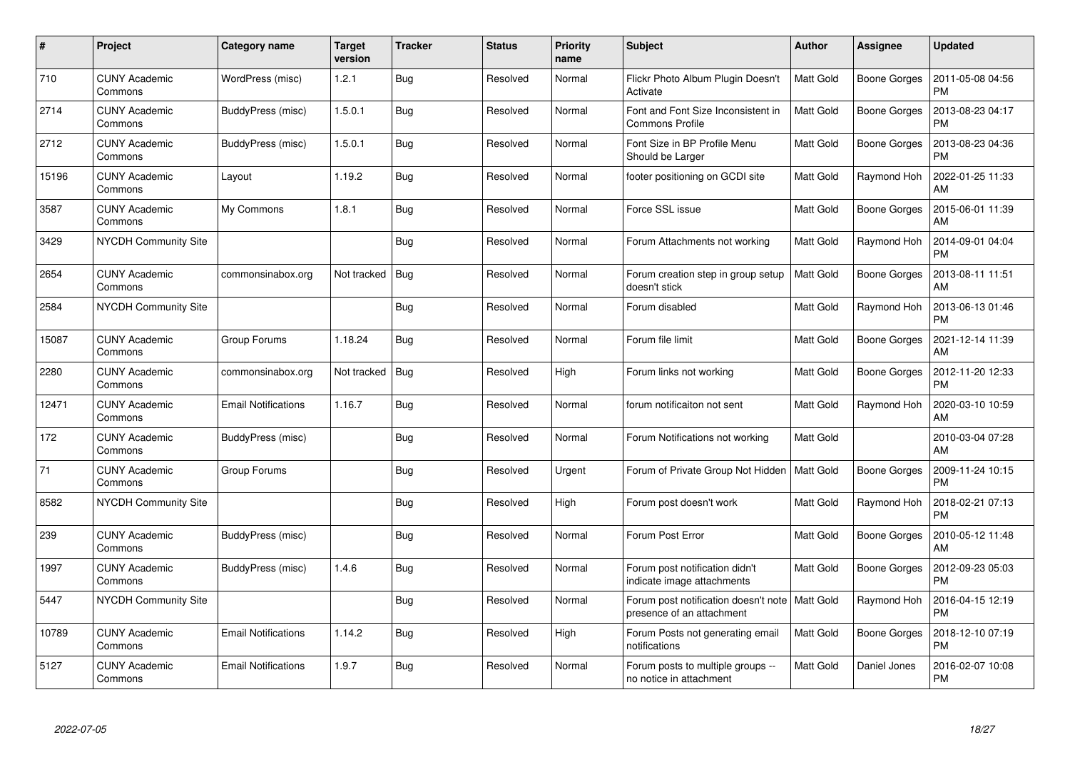| $\#$  | Project                         | Category name              | <b>Target</b><br>version | <b>Tracker</b> | <b>Status</b> | <b>Priority</b><br>name | <b>Subject</b>                                                    | Author           | <b>Assignee</b>     | <b>Updated</b>                |
|-------|---------------------------------|----------------------------|--------------------------|----------------|---------------|-------------------------|-------------------------------------------------------------------|------------------|---------------------|-------------------------------|
| 710   | <b>CUNY Academic</b><br>Commons | WordPress (misc)           | 1.2.1                    | Bug            | Resolved      | Normal                  | Flickr Photo Album Plugin Doesn't<br>Activate                     | Matt Gold        | Boone Gorges        | 2011-05-08 04:56<br><b>PM</b> |
| 2714  | <b>CUNY Academic</b><br>Commons | BuddyPress (misc)          | 1.5.0.1                  | Bug            | Resolved      | Normal                  | Font and Font Size Inconsistent in<br><b>Commons Profile</b>      | Matt Gold        | <b>Boone Gorges</b> | 2013-08-23 04:17<br><b>PM</b> |
| 2712  | <b>CUNY Academic</b><br>Commons | BuddyPress (misc)          | 1.5.0.1                  | Bug            | Resolved      | Normal                  | Font Size in BP Profile Menu<br>Should be Larger                  | Matt Gold        | <b>Boone Gorges</b> | 2013-08-23 04:36<br><b>PM</b> |
| 15196 | <b>CUNY Academic</b><br>Commons | Layout                     | 1.19.2                   | Bug            | Resolved      | Normal                  | footer positioning on GCDI site                                   | Matt Gold        | Raymond Hoh         | 2022-01-25 11:33<br>AM        |
| 3587  | <b>CUNY Academic</b><br>Commons | My Commons                 | 1.8.1                    | Bug            | Resolved      | Normal                  | Force SSL issue                                                   | Matt Gold        | <b>Boone Gorges</b> | 2015-06-01 11:39<br>AM        |
| 3429  | NYCDH Community Site            |                            |                          | Bug            | Resolved      | Normal                  | Forum Attachments not working                                     | Matt Gold        | Raymond Hoh         | 2014-09-01 04:04<br><b>PM</b> |
| 2654  | <b>CUNY Academic</b><br>Commons | commonsinabox.org          | Not tracked              | Bug            | Resolved      | Normal                  | Forum creation step in group setup<br>doesn't stick               | Matt Gold        | <b>Boone Gorges</b> | 2013-08-11 11:51<br>AM        |
| 2584  | NYCDH Community Site            |                            |                          | <b>Bug</b>     | Resolved      | Normal                  | Forum disabled                                                    | Matt Gold        | Raymond Hoh         | 2013-06-13 01:46<br><b>PM</b> |
| 15087 | <b>CUNY Academic</b><br>Commons | Group Forums               | 1.18.24                  | Bug            | Resolved      | Normal                  | Forum file limit                                                  | Matt Gold        | Boone Gorges        | 2021-12-14 11:39<br>AM        |
| 2280  | <b>CUNY Academic</b><br>Commons | commonsinabox.org          | Not tracked              | Bug            | Resolved      | High                    | Forum links not working                                           | Matt Gold        | <b>Boone Gorges</b> | 2012-11-20 12:33<br><b>PM</b> |
| 12471 | <b>CUNY Academic</b><br>Commons | <b>Email Notifications</b> | 1.16.7                   | Bug            | Resolved      | Normal                  | forum notificaiton not sent                                       | Matt Gold        | Raymond Hoh         | 2020-03-10 10:59<br>AM        |
| 172   | <b>CUNY Academic</b><br>Commons | BuddyPress (misc)          |                          | Bug            | Resolved      | Normal                  | Forum Notifications not working                                   | Matt Gold        |                     | 2010-03-04 07:28<br>AM        |
| 71    | <b>CUNY Academic</b><br>Commons | Group Forums               |                          | Bug            | Resolved      | Urgent                  | Forum of Private Group Not Hidden   Matt Gold                     |                  | <b>Boone Gorges</b> | 2009-11-24 10:15<br><b>PM</b> |
| 8582  | NYCDH Community Site            |                            |                          | Bug            | Resolved      | High                    | Forum post doesn't work                                           | Matt Gold        | Raymond Hoh         | 2018-02-21 07:13<br><b>PM</b> |
| 239   | <b>CUNY Academic</b><br>Commons | BuddyPress (misc)          |                          | Bug            | Resolved      | Normal                  | Forum Post Error                                                  | Matt Gold        | <b>Boone Gorges</b> | 2010-05-12 11:48<br>AM        |
| 1997  | <b>CUNY Academic</b><br>Commons | BuddyPress (misc)          | 1.4.6                    | Bug            | Resolved      | Normal                  | Forum post notification didn't<br>indicate image attachments      | Matt Gold        | Boone Gorges        | 2012-09-23 05:03<br><b>PM</b> |
| 5447  | <b>NYCDH Community Site</b>     |                            |                          | <b>Bug</b>     | Resolved      | Normal                  | Forum post notification doesn't note<br>presence of an attachment | <b>Matt Gold</b> | Raymond Hoh         | 2016-04-15 12:19<br><b>PM</b> |
| 10789 | <b>CUNY Academic</b><br>Commons | <b>Email Notifications</b> | 1.14.2                   | <b>Bug</b>     | Resolved      | High                    | Forum Posts not generating email<br>notifications                 | Matt Gold        | Boone Gorges        | 2018-12-10 07:19<br><b>PM</b> |
| 5127  | <b>CUNY Academic</b><br>Commons | <b>Email Notifications</b> | 1.9.7                    | <b>Bug</b>     | Resolved      | Normal                  | Forum posts to multiple groups --<br>no notice in attachment      | Matt Gold        | Daniel Jones        | 2016-02-07 10:08<br><b>PM</b> |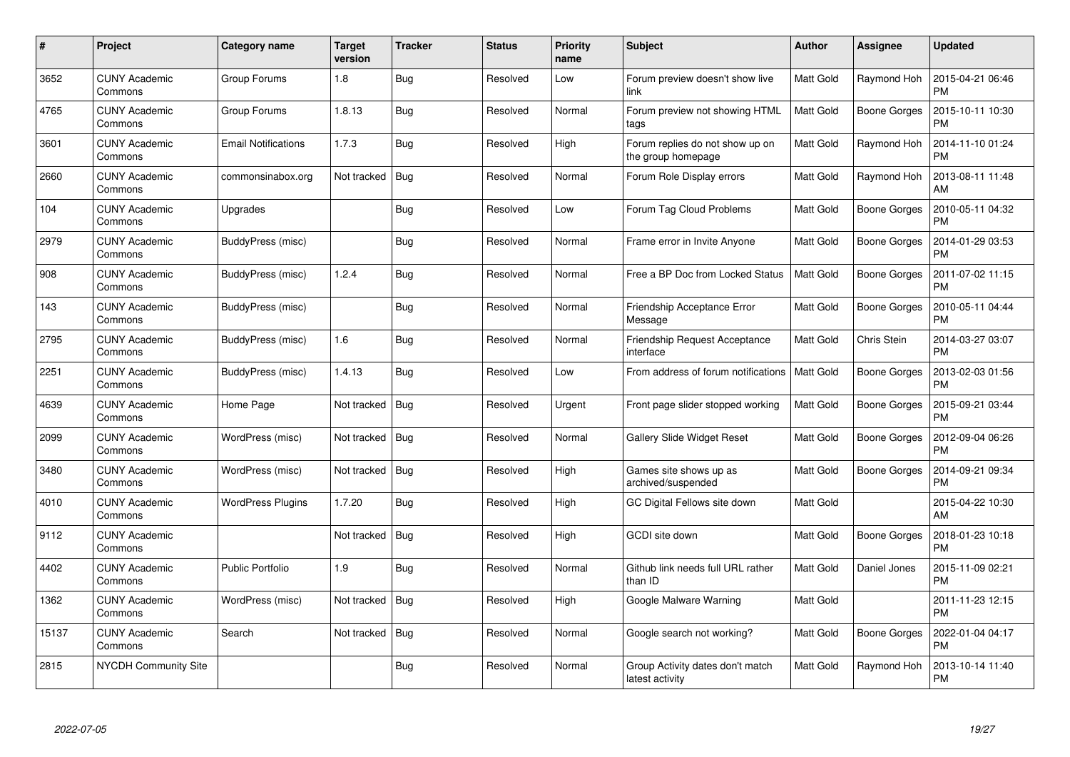| $\#$  | Project                         | Category name              | <b>Target</b><br>version | <b>Tracker</b> | <b>Status</b> | <b>Priority</b><br>name | <b>Subject</b>                                        | Author           | <b>Assignee</b>     | <b>Updated</b>                |
|-------|---------------------------------|----------------------------|--------------------------|----------------|---------------|-------------------------|-------------------------------------------------------|------------------|---------------------|-------------------------------|
| 3652  | <b>CUNY Academic</b><br>Commons | Group Forums               | 1.8                      | Bug            | Resolved      | Low                     | Forum preview doesn't show live<br>link               | Matt Gold        | Raymond Hoh         | 2015-04-21 06:46<br><b>PM</b> |
| 4765  | <b>CUNY Academic</b><br>Commons | Group Forums               | 1.8.13                   | Bug            | Resolved      | Normal                  | Forum preview not showing HTML<br>tags                | Matt Gold        | Boone Gorges        | 2015-10-11 10:30<br><b>PM</b> |
| 3601  | <b>CUNY Academic</b><br>Commons | <b>Email Notifications</b> | 1.7.3                    | Bug            | Resolved      | High                    | Forum replies do not show up on<br>the group homepage | Matt Gold        | Raymond Hoh         | 2014-11-10 01:24<br><b>PM</b> |
| 2660  | <b>CUNY Academic</b><br>Commons | commonsinabox.org          | Not tracked              | Bug            | Resolved      | Normal                  | Forum Role Display errors                             | Matt Gold        | Raymond Hoh         | 2013-08-11 11:48<br>AM        |
| 104   | <b>CUNY Academic</b><br>Commons | Upgrades                   |                          | Bug            | Resolved      | Low                     | Forum Tag Cloud Problems                              | Matt Gold        | <b>Boone Gorges</b> | 2010-05-11 04:32<br><b>PM</b> |
| 2979  | <b>CUNY Academic</b><br>Commons | BuddyPress (misc)          |                          | Bug            | Resolved      | Normal                  | Frame error in Invite Anyone                          | Matt Gold        | <b>Boone Gorges</b> | 2014-01-29 03:53<br><b>PM</b> |
| 908   | <b>CUNY Academic</b><br>Commons | BuddyPress (misc)          | 1.2.4                    | <b>Bug</b>     | Resolved      | Normal                  | Free a BP Doc from Locked Status                      | Matt Gold        | <b>Boone Gorges</b> | 2011-07-02 11:15<br><b>PM</b> |
| 143   | <b>CUNY Academic</b><br>Commons | BuddyPress (misc)          |                          | Bug            | Resolved      | Normal                  | Friendship Acceptance Error<br>Message                | Matt Gold        | Boone Gorges        | 2010-05-11 04:44<br><b>PM</b> |
| 2795  | <b>CUNY Academic</b><br>Commons | BuddyPress (misc)          | 1.6                      | Bug            | Resolved      | Normal                  | <b>Friendship Request Acceptance</b><br>interface     | Matt Gold        | Chris Stein         | 2014-03-27 03:07<br><b>PM</b> |
| 2251  | <b>CUNY Academic</b><br>Commons | BuddyPress (misc)          | 1.4.13                   | Bug            | Resolved      | Low                     | From address of forum notifications                   | <b>Matt Gold</b> | Boone Gorges        | 2013-02-03 01:56<br><b>PM</b> |
| 4639  | <b>CUNY Academic</b><br>Commons | Home Page                  | Not tracked              | Bug            | Resolved      | Urgent                  | Front page slider stopped working                     | Matt Gold        | <b>Boone Gorges</b> | 2015-09-21 03:44<br><b>PM</b> |
| 2099  | <b>CUNY Academic</b><br>Commons | WordPress (misc)           | Not tracked   Bug        |                | Resolved      | Normal                  | Gallery Slide Widget Reset                            | Matt Gold        | Boone Gorges        | 2012-09-04 06:26<br>PM        |
| 3480  | <b>CUNY Academic</b><br>Commons | WordPress (misc)           | Not tracked              | Bug            | Resolved      | High                    | Games site shows up as<br>archived/suspended          | Matt Gold        | <b>Boone Gorges</b> | 2014-09-21 09:34<br><b>PM</b> |
| 4010  | <b>CUNY Academic</b><br>Commons | <b>WordPress Plugins</b>   | 1.7.20                   | Bug            | Resolved      | High                    | GC Digital Fellows site down                          | Matt Gold        |                     | 2015-04-22 10:30<br>AM        |
| 9112  | <b>CUNY Academic</b><br>Commons |                            | Not tracked              | <b>Bug</b>     | Resolved      | High                    | GCDI site down                                        | Matt Gold        | <b>Boone Gorges</b> | 2018-01-23 10:18<br><b>PM</b> |
| 4402  | <b>CUNY Academic</b><br>Commons | <b>Public Portfolio</b>    | 1.9                      | Bug            | Resolved      | Normal                  | Github link needs full URL rather<br>than ID          | Matt Gold        | Daniel Jones        | 2015-11-09 02:21<br><b>PM</b> |
| 1362  | <b>CUNY Academic</b><br>Commons | WordPress (misc)           | Not tracked              | Bug            | Resolved      | High                    | Google Malware Warning                                | Matt Gold        |                     | 2011-11-23 12:15<br><b>PM</b> |
| 15137 | <b>CUNY Academic</b><br>Commons | Search                     | Not tracked              | Bug            | Resolved      | Normal                  | Google search not working?                            | Matt Gold        | <b>Boone Gorges</b> | 2022-01-04 04:17<br><b>PM</b> |
| 2815  | NYCDH Community Site            |                            |                          | <b>Bug</b>     | Resolved      | Normal                  | Group Activity dates don't match<br>latest activity   | Matt Gold        | Raymond Hoh         | 2013-10-14 11:40<br>PM        |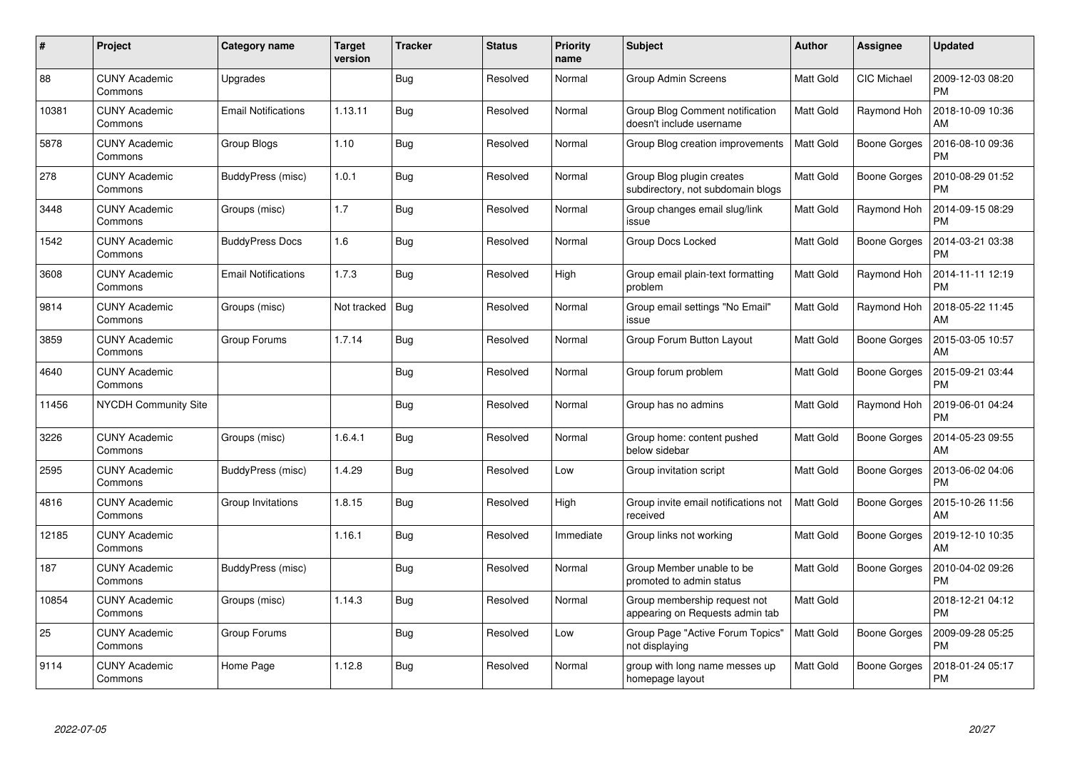| $\#$  | Project                         | Category name              | <b>Target</b><br>version | <b>Tracker</b> | <b>Status</b> | <b>Priority</b><br>name | <b>Subject</b>                                                  | Author           | <b>Assignee</b>     | <b>Updated</b>                |
|-------|---------------------------------|----------------------------|--------------------------|----------------|---------------|-------------------------|-----------------------------------------------------------------|------------------|---------------------|-------------------------------|
| 88    | <b>CUNY Academic</b><br>Commons | Upgrades                   |                          | <b>Bug</b>     | Resolved      | Normal                  | Group Admin Screens                                             | Matt Gold        | <b>CIC Michael</b>  | 2009-12-03 08:20<br><b>PM</b> |
| 10381 | <b>CUNY Academic</b><br>Commons | <b>Email Notifications</b> | 1.13.11                  | Bug            | Resolved      | Normal                  | Group Blog Comment notification<br>doesn't include username     | Matt Gold        | Raymond Hoh         | 2018-10-09 10:36<br>AM        |
| 5878  | <b>CUNY Academic</b><br>Commons | Group Blogs                | 1.10                     | Bug            | Resolved      | Normal                  | Group Blog creation improvements                                | Matt Gold        | <b>Boone Gorges</b> | 2016-08-10 09:36<br><b>PM</b> |
| 278   | <b>CUNY Academic</b><br>Commons | BuddyPress (misc)          | 1.0.1                    | <b>Bug</b>     | Resolved      | Normal                  | Group Blog plugin creates<br>subdirectory, not subdomain blogs  | Matt Gold        | Boone Gorges        | 2010-08-29 01:52<br><b>PM</b> |
| 3448  | <b>CUNY Academic</b><br>Commons | Groups (misc)              | 1.7                      | Bug            | Resolved      | Normal                  | Group changes email slug/link<br>issue                          | Matt Gold        | Raymond Hoh         | 2014-09-15 08:29<br><b>PM</b> |
| 1542  | <b>CUNY Academic</b><br>Commons | <b>BuddyPress Docs</b>     | 1.6                      | Bug            | Resolved      | Normal                  | Group Docs Locked                                               | Matt Gold        | <b>Boone Gorges</b> | 2014-03-21 03:38<br><b>PM</b> |
| 3608  | <b>CUNY Academic</b><br>Commons | <b>Email Notifications</b> | 1.7.3                    | <b>Bug</b>     | Resolved      | High                    | Group email plain-text formatting<br>problem                    | Matt Gold        | Raymond Hoh         | 2014-11-11 12:19<br><b>PM</b> |
| 9814  | <b>CUNY Academic</b><br>Commons | Groups (misc)              | Not tracked              | Bug            | Resolved      | Normal                  | Group email settings "No Email"<br>issue                        | Matt Gold        | Raymond Hoh         | 2018-05-22 11:45<br>AM        |
| 3859  | <b>CUNY Academic</b><br>Commons | Group Forums               | 1.7.14                   | <b>Bug</b>     | Resolved      | Normal                  | Group Forum Button Layout                                       | Matt Gold        | <b>Boone Gorges</b> | 2015-03-05 10:57<br>AM        |
| 4640  | <b>CUNY Academic</b><br>Commons |                            |                          | Bug            | Resolved      | Normal                  | Group forum problem                                             | Matt Gold        | Boone Gorges        | 2015-09-21 03:44<br><b>PM</b> |
| 11456 | NYCDH Community Site            |                            |                          | Bug            | Resolved      | Normal                  | Group has no admins                                             | Matt Gold        | Raymond Hoh         | 2019-06-01 04:24<br><b>PM</b> |
| 3226  | <b>CUNY Academic</b><br>Commons | Groups (misc)              | 1.6.4.1                  | Bug            | Resolved      | Normal                  | Group home: content pushed<br>below sidebar                     | Matt Gold        | Boone Gorges        | 2014-05-23 09:55<br>AM        |
| 2595  | <b>CUNY Academic</b><br>Commons | BuddyPress (misc)          | 1.4.29                   | <b>Bug</b>     | Resolved      | Low                     | Group invitation script                                         | Matt Gold        | <b>Boone Gorges</b> | 2013-06-02 04:06<br><b>PM</b> |
| 4816  | <b>CUNY Academic</b><br>Commons | Group Invitations          | 1.8.15                   | Bug            | Resolved      | High                    | Group invite email notifications not<br>received                | <b>Matt Gold</b> | Boone Gorges        | 2015-10-26 11:56<br>AM        |
| 12185 | <b>CUNY Academic</b><br>Commons |                            | 1.16.1                   | Bug            | Resolved      | Immediate               | Group links not working                                         | Matt Gold        | Boone Gorges        | 2019-12-10 10:35<br>AM        |
| 187   | <b>CUNY Academic</b><br>Commons | BuddyPress (misc)          |                          | <b>Bug</b>     | Resolved      | Normal                  | Group Member unable to be<br>promoted to admin status           | Matt Gold        | Boone Gorges        | 2010-04-02 09:26<br><b>PM</b> |
| 10854 | <b>CUNY Academic</b><br>Commons | Groups (misc)              | 1.14.3                   | Bug            | Resolved      | Normal                  | Group membership request not<br>appearing on Requests admin tab | Matt Gold        |                     | 2018-12-21 04:12<br><b>PM</b> |
| 25    | <b>CUNY Academic</b><br>Commons | Group Forums               |                          | Bug            | Resolved      | Low                     | Group Page "Active Forum Topics"<br>not displaying              | Matt Gold        | <b>Boone Gorges</b> | 2009-09-28 05:25<br><b>PM</b> |
| 9114  | <b>CUNY Academic</b><br>Commons | Home Page                  | 1.12.8                   | <b>Bug</b>     | Resolved      | Normal                  | group with long name messes up<br>homepage layout               | Matt Gold        | <b>Boone Gorges</b> | 2018-01-24 05:17<br>PM        |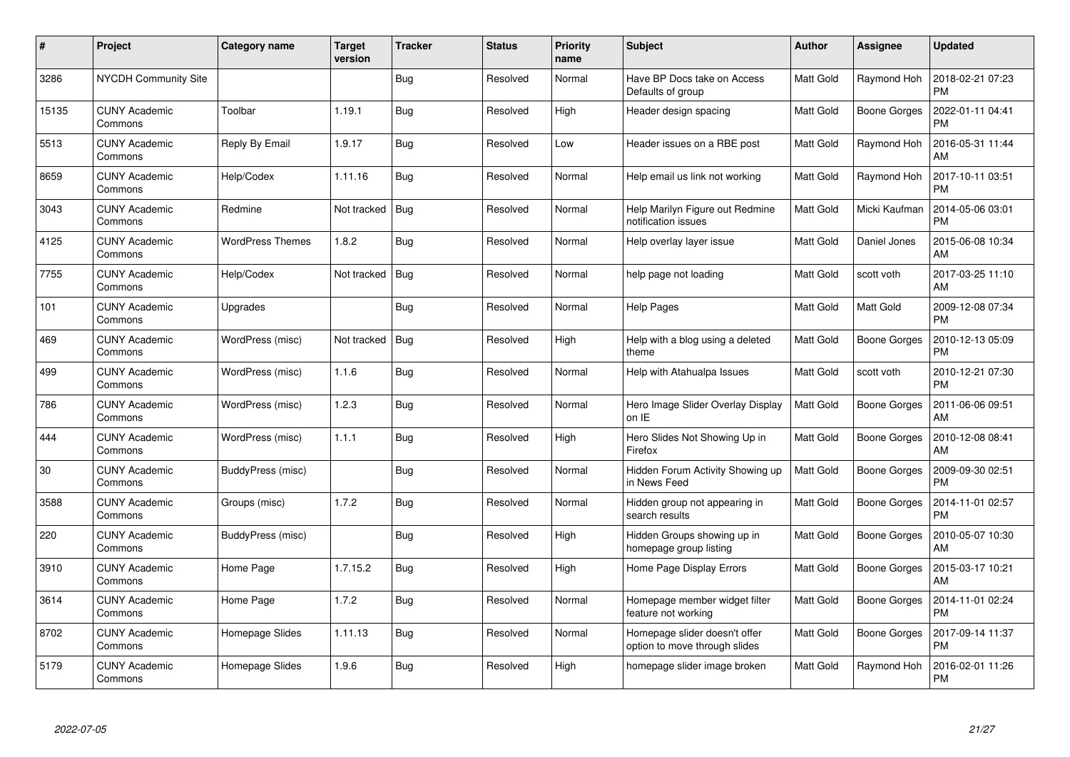| $\#$  | Project                         | Category name           | <b>Target</b><br>version | <b>Tracker</b> | <b>Status</b> | <b>Priority</b><br>name | <b>Subject</b>                                                 | Author    | <b>Assignee</b>     | <b>Updated</b>                |
|-------|---------------------------------|-------------------------|--------------------------|----------------|---------------|-------------------------|----------------------------------------------------------------|-----------|---------------------|-------------------------------|
| 3286  | NYCDH Community Site            |                         |                          | <b>Bug</b>     | Resolved      | Normal                  | Have BP Docs take on Access<br>Defaults of group               | Matt Gold | Raymond Hoh         | 2018-02-21 07:23<br><b>PM</b> |
| 15135 | <b>CUNY Academic</b><br>Commons | Toolbar                 | 1.19.1                   | Bug            | Resolved      | High                    | Header design spacing                                          | Matt Gold | <b>Boone Gorges</b> | 2022-01-11 04:41<br><b>PM</b> |
| 5513  | <b>CUNY Academic</b><br>Commons | Reply By Email          | 1.9.17                   | Bug            | Resolved      | Low                     | Header issues on a RBE post                                    | Matt Gold | Raymond Hoh         | 2016-05-31 11:44<br>AM        |
| 8659  | <b>CUNY Academic</b><br>Commons | Help/Codex              | 1.11.16                  | Bug            | Resolved      | Normal                  | Help email us link not working                                 | Matt Gold | Raymond Hoh         | 2017-10-11 03:51<br><b>PM</b> |
| 3043  | <b>CUNY Academic</b><br>Commons | Redmine                 | Not tracked              | Bug            | Resolved      | Normal                  | Help Marilyn Figure out Redmine<br>notification issues         | Matt Gold | Micki Kaufman       | 2014-05-06 03:01<br><b>PM</b> |
| 4125  | <b>CUNY Academic</b><br>Commons | <b>WordPress Themes</b> | 1.8.2                    | Bug            | Resolved      | Normal                  | Help overlay layer issue                                       | Matt Gold | Daniel Jones        | 2015-06-08 10:34<br>AM        |
| 7755  | <b>CUNY Academic</b><br>Commons | Help/Codex              | Not tracked              | Bug            | Resolved      | Normal                  | help page not loading                                          | Matt Gold | scott voth          | 2017-03-25 11:10<br>AM        |
| 101   | <b>CUNY Academic</b><br>Commons | Upgrades                |                          | Bug            | Resolved      | Normal                  | <b>Help Pages</b>                                              | Matt Gold | Matt Gold           | 2009-12-08 07:34<br><b>PM</b> |
| 469   | <b>CUNY Academic</b><br>Commons | WordPress (misc)        | Not tracked              | Bug            | Resolved      | High                    | Help with a blog using a deleted<br>theme                      | Matt Gold | <b>Boone Gorges</b> | 2010-12-13 05:09<br><b>PM</b> |
| 499   | <b>CUNY Academic</b><br>Commons | WordPress (misc)        | 1.1.6                    | Bug            | Resolved      | Normal                  | Help with Atahualpa Issues                                     | Matt Gold | scott voth          | 2010-12-21 07:30<br><b>PM</b> |
| 786   | <b>CUNY Academic</b><br>Commons | WordPress (misc)        | 1.2.3                    | Bug            | Resolved      | Normal                  | Hero Image Slider Overlay Display<br>on IE                     | Matt Gold | <b>Boone Gorges</b> | 2011-06-06 09:51<br>AM        |
| 444   | <b>CUNY Academic</b><br>Commons | WordPress (misc)        | 1.1.1                    | <b>Bug</b>     | Resolved      | High                    | Hero Slides Not Showing Up in<br>Firefox                       | Matt Gold | Boone Gorges        | 2010-12-08 08:41<br>AM        |
| 30    | <b>CUNY Academic</b><br>Commons | BuddyPress (misc)       |                          | Bug            | Resolved      | Normal                  | Hidden Forum Activity Showing up<br>in News Feed               | Matt Gold | <b>Boone Gorges</b> | 2009-09-30 02:51<br><b>PM</b> |
| 3588  | <b>CUNY Academic</b><br>Commons | Groups (misc)           | 1.7.2                    | Bug            | Resolved      | Normal                  | Hidden group not appearing in<br>search results                | Matt Gold | <b>Boone Gorges</b> | 2014-11-01 02:57<br><b>PM</b> |
| 220   | <b>CUNY Academic</b><br>Commons | BuddyPress (misc)       |                          | <b>Bug</b>     | Resolved      | High                    | Hidden Groups showing up in<br>homepage group listing          | Matt Gold | <b>Boone Gorges</b> | 2010-05-07 10:30<br>AM        |
| 3910  | <b>CUNY Academic</b><br>Commons | Home Page               | 1.7.15.2                 | Bug            | Resolved      | High                    | Home Page Display Errors                                       | Matt Gold | <b>Boone Gorges</b> | 2015-03-17 10:21<br>AM        |
| 3614  | <b>CUNY Academic</b><br>Commons | Home Page               | 1.7.2                    | Bug            | Resolved      | Normal                  | Homepage member widget filter<br>feature not working           | Matt Gold | Boone Gorges        | 2014-11-01 02:24<br><b>PM</b> |
| 8702  | <b>CUNY Academic</b><br>Commons | Homepage Slides         | 1.11.13                  | Bug            | Resolved      | Normal                  | Homepage slider doesn't offer<br>option to move through slides | Matt Gold | <b>Boone Gorges</b> | 2017-09-14 11:37<br><b>PM</b> |
| 5179  | CUNY Academic<br>Commons        | Homepage Slides         | 1.9.6                    | <b>Bug</b>     | Resolved      | High                    | homepage slider image broken                                   | Matt Gold | Raymond Hoh         | 2016-02-01 11:26<br>PM        |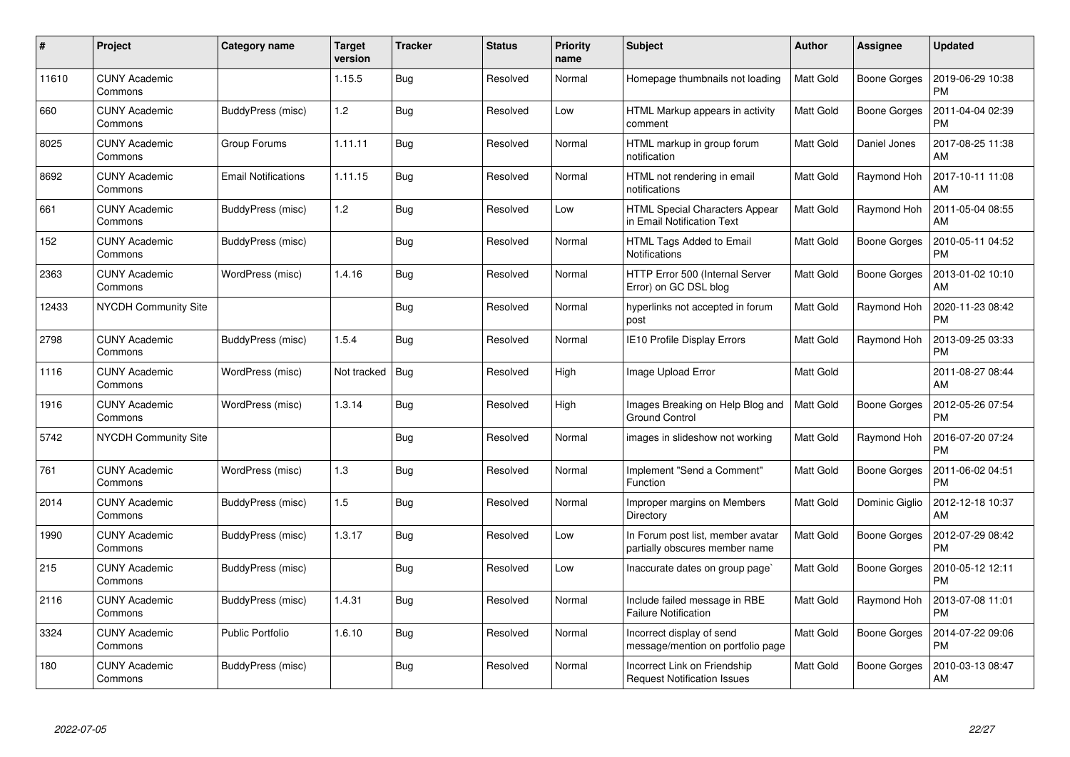| $\#$  | Project                         | Category name              | <b>Target</b><br>version | <b>Tracker</b> | <b>Status</b> | <b>Priority</b><br>name | <b>Subject</b>                                                      | Author           | Assignee            | <b>Updated</b>                |
|-------|---------------------------------|----------------------------|--------------------------|----------------|---------------|-------------------------|---------------------------------------------------------------------|------------------|---------------------|-------------------------------|
| 11610 | <b>CUNY Academic</b><br>Commons |                            | 1.15.5                   | Bug            | Resolved      | Normal                  | Homepage thumbnails not loading                                     | Matt Gold        | <b>Boone Gorges</b> | 2019-06-29 10:38<br><b>PM</b> |
| 660   | <b>CUNY Academic</b><br>Commons | BuddyPress (misc)          | 1.2                      | Bug            | Resolved      | Low                     | HTML Markup appears in activity<br>comment                          | Matt Gold        | Boone Gorges        | 2011-04-04 02:39<br><b>PM</b> |
| 8025  | <b>CUNY Academic</b><br>Commons | Group Forums               | 1.11.11                  | Bug            | Resolved      | Normal                  | HTML markup in group forum<br>notification                          | Matt Gold        | Daniel Jones        | 2017-08-25 11:38<br>AM        |
| 8692  | <b>CUNY Academic</b><br>Commons | <b>Email Notifications</b> | 1.11.15                  | Bug            | Resolved      | Normal                  | HTML not rendering in email<br>notifications                        | Matt Gold        | Raymond Hoh         | 2017-10-11 11:08<br>AM        |
| 661   | <b>CUNY Academic</b><br>Commons | BuddyPress (misc)          | 1.2                      | Bug            | Resolved      | Low                     | HTML Special Characters Appear<br>in Email Notification Text        | Matt Gold        | Raymond Hoh         | 2011-05-04 08:55<br>AM        |
| 152   | <b>CUNY Academic</b><br>Commons | BuddyPress (misc)          |                          | <b>Bug</b>     | Resolved      | Normal                  | HTML Tags Added to Email<br><b>Notifications</b>                    | Matt Gold        | <b>Boone Gorges</b> | 2010-05-11 04:52<br><b>PM</b> |
| 2363  | <b>CUNY Academic</b><br>Commons | WordPress (misc)           | 1.4.16                   | Bug            | Resolved      | Normal                  | HTTP Error 500 (Internal Server<br>Error) on GC DSL blog            | Matt Gold        | <b>Boone Gorges</b> | 2013-01-02 10:10<br>AM        |
| 12433 | NYCDH Community Site            |                            |                          | Bug            | Resolved      | Normal                  | hyperlinks not accepted in forum<br>post                            | Matt Gold        | Raymond Hoh         | 2020-11-23 08:42<br><b>PM</b> |
| 2798  | <b>CUNY Academic</b><br>Commons | BuddyPress (misc)          | 1.5.4                    | Bug            | Resolved      | Normal                  | <b>IE10 Profile Display Errors</b>                                  | <b>Matt Gold</b> | Raymond Hoh         | 2013-09-25 03:33<br><b>PM</b> |
| 1116  | <b>CUNY Academic</b><br>Commons | WordPress (misc)           | Not tracked              | Bug            | Resolved      | High                    | Image Upload Error                                                  | Matt Gold        |                     | 2011-08-27 08:44<br>AM        |
| 1916  | <b>CUNY Academic</b><br>Commons | WordPress (misc)           | 1.3.14                   | Bug            | Resolved      | High                    | Images Breaking on Help Blog and<br><b>Ground Control</b>           | Matt Gold        | <b>Boone Gorges</b> | 2012-05-26 07:54<br><b>PM</b> |
| 5742  | <b>NYCDH Community Site</b>     |                            |                          | Bug            | Resolved      | Normal                  | images in slideshow not working                                     | Matt Gold        | Raymond Hoh         | 2016-07-20 07:24<br><b>PM</b> |
| 761   | <b>CUNY Academic</b><br>Commons | WordPress (misc)           | 1.3                      | Bug            | Resolved      | Normal                  | Implement "Send a Comment"<br>Function                              | Matt Gold        | <b>Boone Gorges</b> | 2011-06-02 04:51<br><b>PM</b> |
| 2014  | <b>CUNY Academic</b><br>Commons | BuddyPress (misc)          | 1.5                      | Bug            | Resolved      | Normal                  | Improper margins on Members<br>Directory                            | <b>Matt Gold</b> | Dominic Giglio      | 2012-12-18 10:37<br>AM        |
| 1990  | <b>CUNY Academic</b><br>Commons | BuddyPress (misc)          | 1.3.17                   | Bug            | Resolved      | Low                     | In Forum post list, member avatar<br>partially obscures member name | Matt Gold        | <b>Boone Gorges</b> | 2012-07-29 08:42<br><b>PM</b> |
| 215   | <b>CUNY Academic</b><br>Commons | BuddyPress (misc)          |                          | Bug            | Resolved      | Low                     | Inaccurate dates on group page`                                     | Matt Gold        | Boone Gorges        | 2010-05-12 12:11<br><b>PM</b> |
| 2116  | <b>CUNY Academic</b><br>Commons | BuddyPress (misc)          | 1.4.31                   | <b>Bug</b>     | Resolved      | Normal                  | Include failed message in RBE<br><b>Failure Notification</b>        | <b>Matt Gold</b> | Raymond Hoh         | 2013-07-08 11:01<br><b>PM</b> |
| 3324  | <b>CUNY Academic</b><br>Commons | <b>Public Portfolio</b>    | 1.6.10                   | Bug            | Resolved      | Normal                  | Incorrect display of send<br>message/mention on portfolio page      | Matt Gold        | <b>Boone Gorges</b> | 2014-07-22 09:06<br><b>PM</b> |
| 180   | <b>CUNY Academic</b><br>Commons | BuddyPress (misc)          |                          | Bug            | Resolved      | Normal                  | Incorrect Link on Friendship<br><b>Request Notification Issues</b>  | Matt Gold        | <b>Boone Gorges</b> | 2010-03-13 08:47<br>AM        |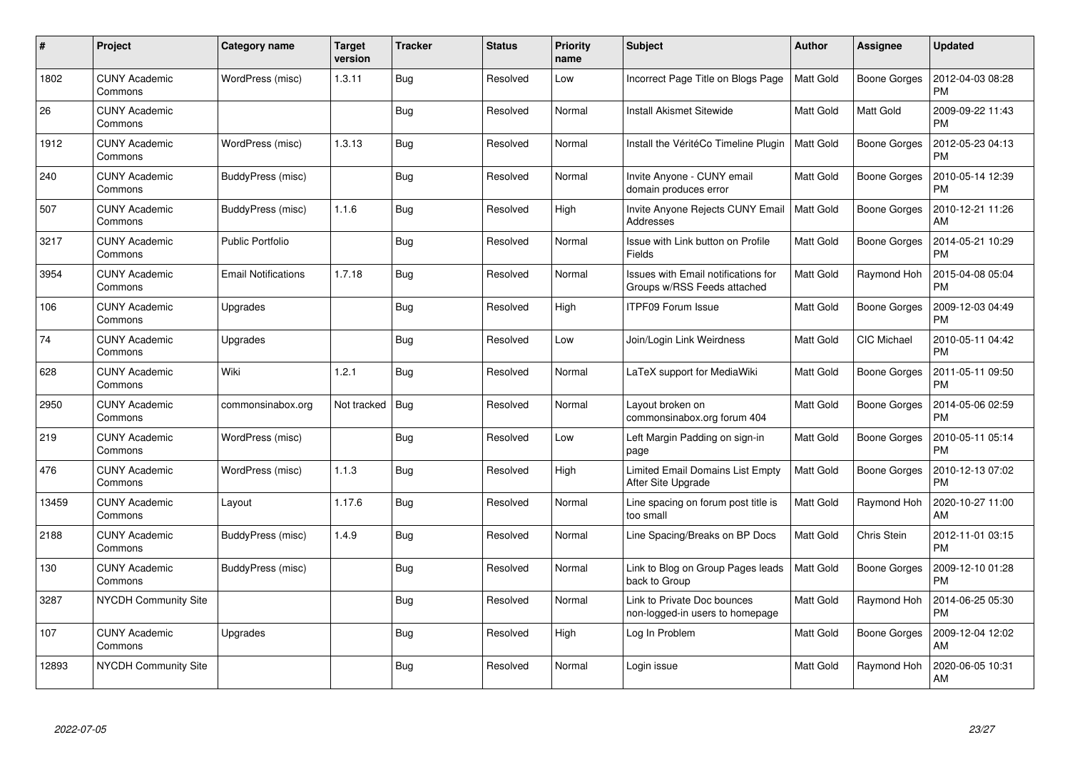| $\pmb{\#}$ | Project                         | <b>Category name</b>       | <b>Target</b><br>version | <b>Tracker</b> | <b>Status</b> | Priority<br>name | <b>Subject</b>                                                     | <b>Author</b>    | Assignee            | <b>Updated</b>                |
|------------|---------------------------------|----------------------------|--------------------------|----------------|---------------|------------------|--------------------------------------------------------------------|------------------|---------------------|-------------------------------|
| 1802       | <b>CUNY Academic</b><br>Commons | WordPress (misc)           | 1.3.11                   | Bug            | Resolved      | Low              | Incorrect Page Title on Blogs Page                                 | <b>Matt Gold</b> | Boone Gorges        | 2012-04-03 08:28<br><b>PM</b> |
| 26         | <b>CUNY Academic</b><br>Commons |                            |                          | Bug            | Resolved      | Normal           | <b>Install Akismet Sitewide</b>                                    | Matt Gold        | Matt Gold           | 2009-09-22 11:43<br><b>PM</b> |
| 1912       | <b>CUNY Academic</b><br>Commons | WordPress (misc)           | 1.3.13                   | Bug            | Resolved      | Normal           | Install the VéritéCo Timeline Plugin                               | <b>Matt Gold</b> | <b>Boone Gorges</b> | 2012-05-23 04:13<br><b>PM</b> |
| 240        | <b>CUNY Academic</b><br>Commons | BuddyPress (misc)          |                          | Bug            | Resolved      | Normal           | Invite Anyone - CUNY email<br>domain produces error                | Matt Gold        | Boone Gorges        | 2010-05-14 12:39<br><b>PM</b> |
| 507        | <b>CUNY Academic</b><br>Commons | BuddyPress (misc)          | 1.1.6                    | Bug            | Resolved      | High             | Invite Anyone Rejects CUNY Email<br>Addresses                      | Matt Gold        | <b>Boone Gorges</b> | 2010-12-21 11:26<br>AM        |
| 3217       | <b>CUNY Academic</b><br>Commons | <b>Public Portfolio</b>    |                          | Bug            | Resolved      | Normal           | Issue with Link button on Profile<br>Fields                        | <b>Matt Gold</b> | <b>Boone Gorges</b> | 2014-05-21 10:29<br><b>PM</b> |
| 3954       | <b>CUNY Academic</b><br>Commons | <b>Email Notifications</b> | 1.7.18                   | <b>Bug</b>     | Resolved      | Normal           | Issues with Email notifications for<br>Groups w/RSS Feeds attached | Matt Gold        | Raymond Hoh         | 2015-04-08 05:04<br><b>PM</b> |
| 106        | <b>CUNY Academic</b><br>Commons | Upgrades                   |                          | Bug            | Resolved      | High             | <b>ITPF09 Forum Issue</b>                                          | Matt Gold        | Boone Gorges        | 2009-12-03 04:49<br><b>PM</b> |
| 74         | <b>CUNY Academic</b><br>Commons | Upgrades                   |                          | <b>Bug</b>     | Resolved      | Low              | Join/Login Link Weirdness                                          | <b>Matt Gold</b> | <b>CIC Michael</b>  | 2010-05-11 04:42<br>PM        |
| 628        | <b>CUNY Academic</b><br>Commons | Wiki                       | 1.2.1                    | Bug            | Resolved      | Normal           | LaTeX support for MediaWiki                                        | Matt Gold        | Boone Gorges        | 2011-05-11 09:50<br><b>PM</b> |
| 2950       | <b>CUNY Academic</b><br>Commons | commonsinabox.org          | Not tracked              | Bug            | Resolved      | Normal           | Layout broken on<br>commonsinabox.org forum 404                    | Matt Gold        | <b>Boone Gorges</b> | 2014-05-06 02:59<br><b>PM</b> |
| 219        | <b>CUNY Academic</b><br>Commons | WordPress (misc)           |                          | Bug            | Resolved      | Low              | Left Margin Padding on sign-in<br>page                             | Matt Gold        | Boone Gorges        | 2010-05-11 05:14<br><b>PM</b> |
| 476        | <b>CUNY Academic</b><br>Commons | WordPress (misc)           | 1.1.3                    | Bug            | Resolved      | High             | Limited Email Domains List Empty<br>After Site Upgrade             | Matt Gold        | Boone Gorges        | 2010-12-13 07:02<br><b>PM</b> |
| 13459      | <b>CUNY Academic</b><br>Commons | Layout                     | 1.17.6                   | Bug            | Resolved      | Normal           | Line spacing on forum post title is<br>too small                   | <b>Matt Gold</b> | Raymond Hoh         | 2020-10-27 11:00<br>AM        |
| 2188       | <b>CUNY Academic</b><br>Commons | BuddyPress (misc)          | 1.4.9                    | Bug            | Resolved      | Normal           | Line Spacing/Breaks on BP Docs                                     | Matt Gold        | Chris Stein         | 2012-11-01 03:15<br><b>PM</b> |
| 130        | <b>CUNY Academic</b><br>Commons | BuddyPress (misc)          |                          | <b>Bug</b>     | Resolved      | Normal           | Link to Blog on Group Pages leads<br>back to Group                 | Matt Gold        | Boone Gorges        | 2009-12-10 01:28<br><b>PM</b> |
| 3287       | <b>NYCDH Community Site</b>     |                            |                          | <b>Bug</b>     | Resolved      | Normal           | Link to Private Doc bounces<br>non-logged-in users to homepage     | Matt Gold        | Raymond Hoh         | 2014-06-25 05:30<br><b>PM</b> |
| 107        | <b>CUNY Academic</b><br>Commons | Upgrades                   |                          | Bug            | Resolved      | High             | Log In Problem                                                     | Matt Gold        | <b>Boone Gorges</b> | 2009-12-04 12:02<br>AM        |
| 12893      | NYCDH Community Site            |                            |                          | Bug            | Resolved      | Normal           | Login issue                                                        | Matt Gold        | Raymond Hoh         | 2020-06-05 10:31<br>AM        |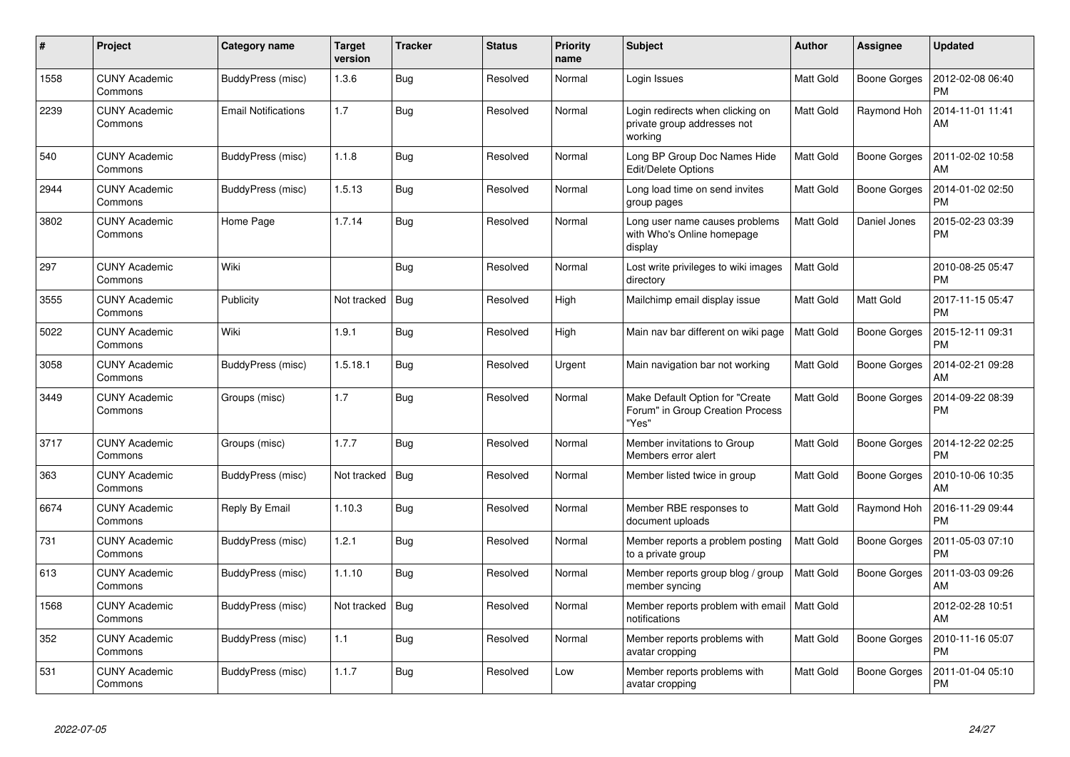| $\#$ | Project                         | Category name              | <b>Target</b><br>version | <b>Tracker</b> | <b>Status</b> | <b>Priority</b><br>name | <b>Subject</b>                                                                | <b>Author</b>    | Assignee            | <b>Updated</b>                |
|------|---------------------------------|----------------------------|--------------------------|----------------|---------------|-------------------------|-------------------------------------------------------------------------------|------------------|---------------------|-------------------------------|
| 1558 | <b>CUNY Academic</b><br>Commons | BuddyPress (misc)          | 1.3.6                    | <b>Bug</b>     | Resolved      | Normal                  | Login Issues                                                                  | <b>Matt Gold</b> | Boone Gorges        | 2012-02-08 06:40<br><b>PM</b> |
| 2239 | <b>CUNY Academic</b><br>Commons | <b>Email Notifications</b> | 1.7                      | <b>Bug</b>     | Resolved      | Normal                  | Login redirects when clicking on<br>private group addresses not<br>working    | Matt Gold        | Raymond Hoh         | 2014-11-01 11:41<br>AM        |
| 540  | <b>CUNY Academic</b><br>Commons | BuddyPress (misc)          | 1.1.8                    | <b>Bug</b>     | Resolved      | Normal                  | Long BP Group Doc Names Hide<br>Edit/Delete Options                           | <b>Matt Gold</b> | Boone Gorges        | 2011-02-02 10:58<br>AM        |
| 2944 | <b>CUNY Academic</b><br>Commons | BuddyPress (misc)          | 1.5.13                   | <b>Bug</b>     | Resolved      | Normal                  | Long load time on send invites<br>group pages                                 | <b>Matt Gold</b> | <b>Boone Gorges</b> | 2014-01-02 02:50<br><b>PM</b> |
| 3802 | <b>CUNY Academic</b><br>Commons | Home Page                  | 1.7.14                   | <b>Bug</b>     | Resolved      | Normal                  | Long user name causes problems<br>with Who's Online homepage<br>display       | <b>Matt Gold</b> | Daniel Jones        | 2015-02-23 03:39<br><b>PM</b> |
| 297  | <b>CUNY Academic</b><br>Commons | Wiki                       |                          | <b>Bug</b>     | Resolved      | Normal                  | Lost write privileges to wiki images<br>directory                             | <b>Matt Gold</b> |                     | 2010-08-25 05:47<br><b>PM</b> |
| 3555 | <b>CUNY Academic</b><br>Commons | Publicity                  | Not tracked              | Bug            | Resolved      | High                    | Mailchimp email display issue                                                 | <b>Matt Gold</b> | Matt Gold           | 2017-11-15 05:47<br><b>PM</b> |
| 5022 | <b>CUNY Academic</b><br>Commons | Wiki                       | 1.9.1                    | <b>Bug</b>     | Resolved      | High                    | Main nav bar different on wiki page                                           | <b>Matt Gold</b> | <b>Boone Gorges</b> | 2015-12-11 09:31<br><b>PM</b> |
| 3058 | <b>CUNY Academic</b><br>Commons | BuddyPress (misc)          | 1.5.18.1                 | <b>Bug</b>     | Resolved      | Urgent                  | Main navigation bar not working                                               | <b>Matt Gold</b> | <b>Boone Gorges</b> | 2014-02-21 09:28<br>AM        |
| 3449 | <b>CUNY Academic</b><br>Commons | Groups (misc)              | 1.7                      | <b>Bug</b>     | Resolved      | Normal                  | Make Default Option for "Create"<br>Forum" in Group Creation Process<br>"Yes" | Matt Gold        | <b>Boone Gorges</b> | 2014-09-22 08:39<br><b>PM</b> |
| 3717 | <b>CUNY Academic</b><br>Commons | Groups (misc)              | 1.7.7                    | <b>Bug</b>     | Resolved      | Normal                  | Member invitations to Group<br>Members error alert                            | <b>Matt Gold</b> | <b>Boone Gorges</b> | 2014-12-22 02:25<br><b>PM</b> |
| 363  | <b>CUNY Academic</b><br>Commons | BuddyPress (misc)          | Not tracked              | Bug            | Resolved      | Normal                  | Member listed twice in group                                                  | <b>Matt Gold</b> | <b>Boone Gorges</b> | 2010-10-06 10:35<br>AM        |
| 6674 | <b>CUNY Academic</b><br>Commons | Reply By Email             | 1.10.3                   | Bug            | Resolved      | Normal                  | Member RBE responses to<br>document uploads                                   | <b>Matt Gold</b> | Raymond Hoh         | 2016-11-29 09:44<br><b>PM</b> |
| 731  | <b>CUNY Academic</b><br>Commons | BuddyPress (misc)          | 1.2.1                    | <b>Bug</b>     | Resolved      | Normal                  | Member reports a problem posting<br>to a private group                        | <b>Matt Gold</b> | <b>Boone Gorges</b> | 2011-05-03 07:10<br><b>PM</b> |
| 613  | <b>CUNY Academic</b><br>Commons | BuddyPress (misc)          | 1.1.10                   | <b>Bug</b>     | Resolved      | Normal                  | Member reports group blog / group<br>member syncing                           | <b>Matt Gold</b> | Boone Gorges        | 2011-03-03 09:26<br>AM        |
| 1568 | <b>CUNY Academic</b><br>Commons | BuddyPress (misc)          | Not tracked              | Bug            | Resolved      | Normal                  | Member reports problem with email   Matt Gold<br>notifications                |                  |                     | 2012-02-28 10:51<br>AM        |
| 352  | <b>CUNY Academic</b><br>Commons | BuddyPress (misc)          | 1.1                      | <b>Bug</b>     | Resolved      | Normal                  | Member reports problems with<br>avatar cropping                               | Matt Gold        | Boone Gorges        | 2010-11-16 05:07<br><b>PM</b> |
| 531  | <b>CUNY Academic</b><br>Commons | BuddyPress (misc)          | 1.1.7                    | <b>Bug</b>     | Resolved      | Low                     | Member reports problems with<br>avatar cropping                               | <b>Matt Gold</b> | <b>Boone Gorges</b> | 2011-01-04 05:10<br><b>PM</b> |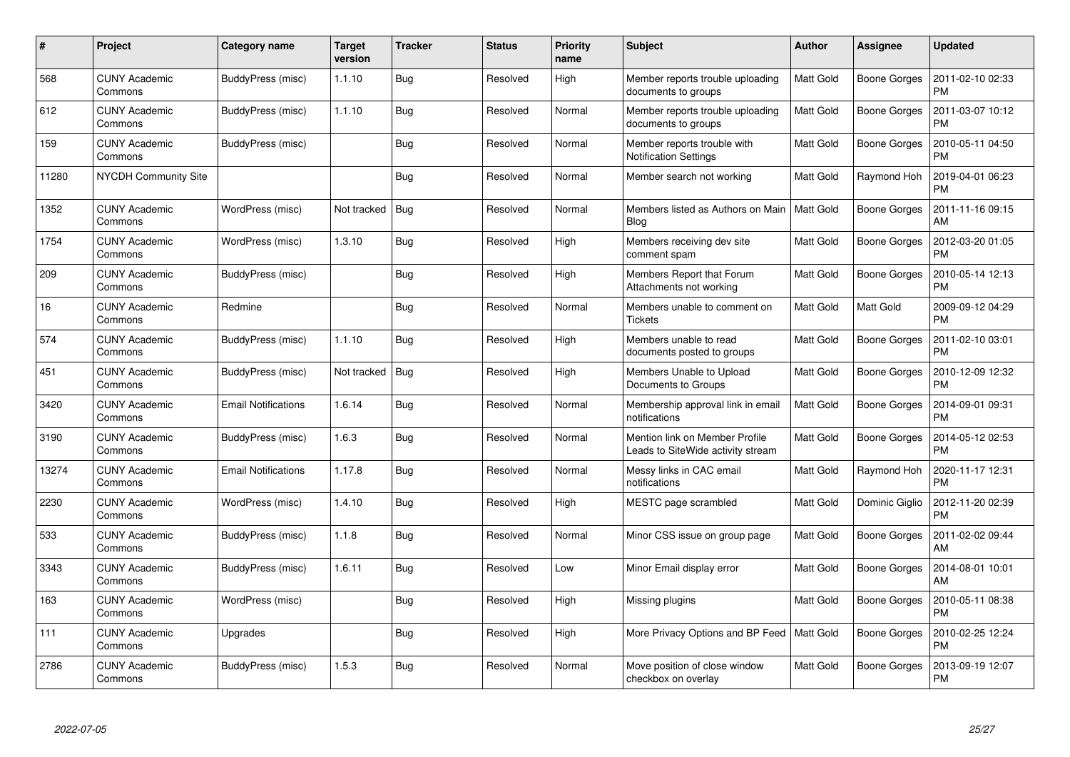| $\#$  | Project                         | Category name              | <b>Target</b><br>version | <b>Tracker</b> | <b>Status</b> | <b>Priority</b><br>name | <b>Subject</b>                                                      | Author           | Assignee            | <b>Updated</b>                |
|-------|---------------------------------|----------------------------|--------------------------|----------------|---------------|-------------------------|---------------------------------------------------------------------|------------------|---------------------|-------------------------------|
| 568   | <b>CUNY Academic</b><br>Commons | BuddyPress (misc)          | 1.1.10                   | <b>Bug</b>     | Resolved      | High                    | Member reports trouble uploading<br>documents to groups             | Matt Gold        | <b>Boone Gorges</b> | 2011-02-10 02:33<br><b>PM</b> |
| 612   | <b>CUNY Academic</b><br>Commons | BuddyPress (misc)          | 1.1.10                   | Bug            | Resolved      | Normal                  | Member reports trouble uploading<br>documents to groups             | Matt Gold        | <b>Boone Gorges</b> | 2011-03-07 10:12<br><b>PM</b> |
| 159   | <b>CUNY Academic</b><br>Commons | BuddyPress (misc)          |                          | Bug            | Resolved      | Normal                  | Member reports trouble with<br><b>Notification Settings</b>         | Matt Gold        | <b>Boone Gorges</b> | 2010-05-11 04:50<br><b>PM</b> |
| 11280 | NYCDH Community Site            |                            |                          | Bug            | Resolved      | Normal                  | Member search not working                                           | Matt Gold        | Raymond Hoh         | 2019-04-01 06:23<br><b>PM</b> |
| 1352  | <b>CUNY Academic</b><br>Commons | WordPress (misc)           | Not tracked              | Bug            | Resolved      | Normal                  | Members listed as Authors on Main   Matt Gold<br><b>Blog</b>        |                  | <b>Boone Gorges</b> | 2011-11-16 09:15<br>AM        |
| 1754  | <b>CUNY Academic</b><br>Commons | WordPress (misc)           | 1.3.10                   | Bug            | Resolved      | High                    | Members receiving dev site<br>comment spam                          | Matt Gold        | <b>Boone Gorges</b> | 2012-03-20 01:05<br><b>PM</b> |
| 209   | <b>CUNY Academic</b><br>Commons | BuddyPress (misc)          |                          | <b>Bug</b>     | Resolved      | High                    | Members Report that Forum<br>Attachments not working                | Matt Gold        | <b>Boone Gorges</b> | 2010-05-14 12:13<br><b>PM</b> |
| 16    | <b>CUNY Academic</b><br>Commons | Redmine                    |                          | Bug            | Resolved      | Normal                  | Members unable to comment on<br><b>Tickets</b>                      | <b>Matt Gold</b> | Matt Gold           | 2009-09-12 04:29<br><b>PM</b> |
| 574   | <b>CUNY Academic</b><br>Commons | BuddyPress (misc)          | 1.1.10                   | Bug            | Resolved      | High                    | Members unable to read<br>documents posted to groups                | Matt Gold        | <b>Boone Gorges</b> | 2011-02-10 03:01<br><b>PM</b> |
| 451   | <b>CUNY Academic</b><br>Commons | BuddyPress (misc)          | Not tracked              | Bug            | Resolved      | High                    | Members Unable to Upload<br>Documents to Groups                     | Matt Gold        | Boone Gorges        | 2010-12-09 12:32<br><b>PM</b> |
| 3420  | <b>CUNY Academic</b><br>Commons | <b>Email Notifications</b> | 1.6.14                   | <b>Bug</b>     | Resolved      | Normal                  | Membership approval link in email<br>notifications                  | Matt Gold        | <b>Boone Gorges</b> | 2014-09-01 09:31<br><b>PM</b> |
| 3190  | <b>CUNY Academic</b><br>Commons | BuddyPress (misc)          | 1.6.3                    | <b>Bug</b>     | Resolved      | Normal                  | Mention link on Member Profile<br>Leads to SiteWide activity stream | Matt Gold        | Boone Gorges        | 2014-05-12 02:53<br><b>PM</b> |
| 13274 | <b>CUNY Academic</b><br>Commons | <b>Email Notifications</b> | 1.17.8                   | Bug            | Resolved      | Normal                  | Messy links in CAC email<br>notifications                           | Matt Gold        | Raymond Hoh         | 2020-11-17 12:31<br><b>PM</b> |
| 2230  | <b>CUNY Academic</b><br>Commons | WordPress (misc)           | 1.4.10                   | Bug            | Resolved      | High                    | MESTC page scrambled                                                | Matt Gold        | Dominic Giglio      | 2012-11-20 02:39<br><b>PM</b> |
| 533   | <b>CUNY Academic</b><br>Commons | BuddyPress (misc)          | 1.1.8                    | <b>Bug</b>     | Resolved      | Normal                  | Minor CSS issue on group page                                       | Matt Gold        | <b>Boone Gorges</b> | 2011-02-02 09:44<br>AM        |
| 3343  | <b>CUNY Academic</b><br>Commons | BuddyPress (misc)          | 1.6.11                   | <b>Bug</b>     | Resolved      | Low                     | Minor Email display error                                           | Matt Gold        | <b>Boone Gorges</b> | 2014-08-01 10:01<br>AM        |
| 163   | <b>CUNY Academic</b><br>Commons | WordPress (misc)           |                          | Bug            | Resolved      | High                    | Missing plugins                                                     | Matt Gold        | <b>Boone Gorges</b> | 2010-05-11 08:38<br><b>PM</b> |
| 111   | <b>CUNY Academic</b><br>Commons | Upgrades                   |                          | Bug            | Resolved      | High                    | More Privacy Options and BP Feed   Matt Gold                        |                  | <b>Boone Gorges</b> | 2010-02-25 12:24<br><b>PM</b> |
| 2786  | CUNY Academic<br>Commons        | BuddyPress (misc)          | 1.5.3                    | <b>Bug</b>     | Resolved      | Normal                  | Move position of close window<br>checkbox on overlay                | Matt Gold        | Boone Gorges        | 2013-09-19 12:07<br><b>PM</b> |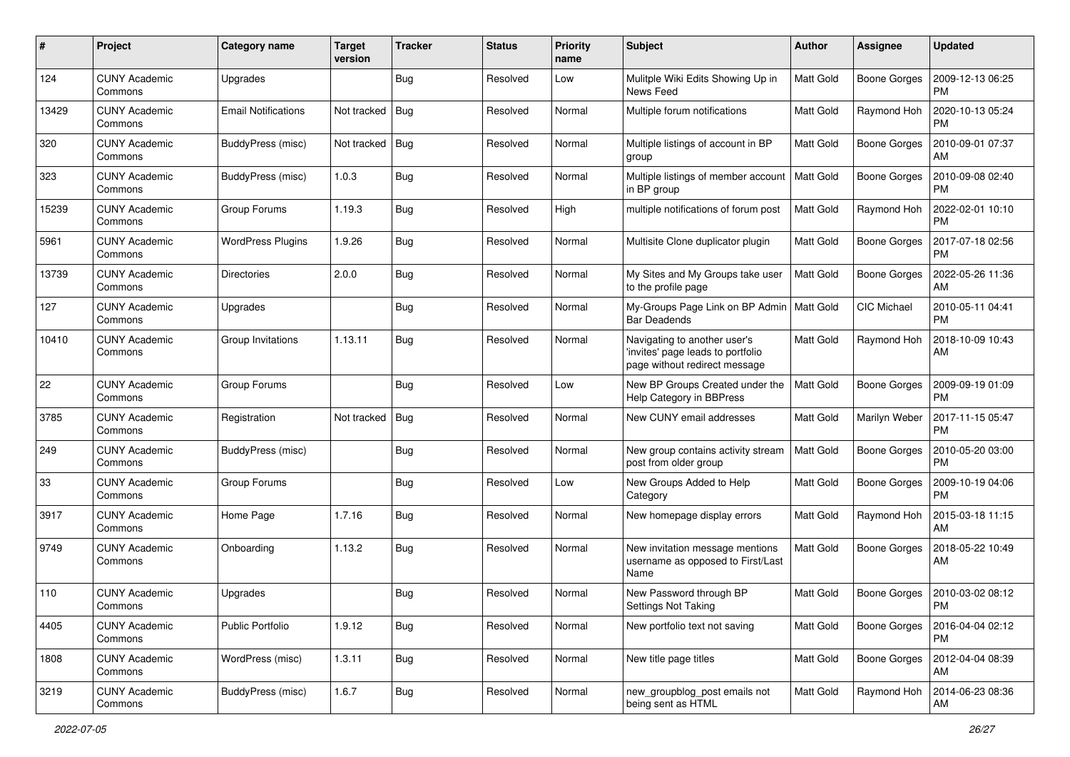| $\#$  | Project                         | <b>Category name</b>       | <b>Target</b><br>version | <b>Tracker</b> | <b>Status</b> | <b>Priority</b><br>name | <b>Subject</b>                                                                                     | Author           | Assignee            | <b>Updated</b>                |
|-------|---------------------------------|----------------------------|--------------------------|----------------|---------------|-------------------------|----------------------------------------------------------------------------------------------------|------------------|---------------------|-------------------------------|
| 124   | <b>CUNY Academic</b><br>Commons | Upgrades                   |                          | Bug            | Resolved      | Low                     | Mulitple Wiki Edits Showing Up in<br>News Feed                                                     | Matt Gold        | <b>Boone Gorges</b> | 2009-12-13 06:25<br><b>PM</b> |
| 13429 | <b>CUNY Academic</b><br>Commons | <b>Email Notifications</b> | Not tracked              | Bug            | Resolved      | Normal                  | Multiple forum notifications                                                                       | <b>Matt Gold</b> | Raymond Hoh         | 2020-10-13 05:24<br><b>PM</b> |
| 320   | CUNY Academic<br>Commons        | BuddyPress (misc)          | Not tracked              | Bug            | Resolved      | Normal                  | Multiple listings of account in BP<br>group                                                        | Matt Gold        | <b>Boone Gorges</b> | 2010-09-01 07:37<br>AM        |
| 323   | <b>CUNY Academic</b><br>Commons | BuddyPress (misc)          | 1.0.3                    | Bug            | Resolved      | Normal                  | Multiple listings of member account<br>in BP group                                                 | <b>Matt Gold</b> | <b>Boone Gorges</b> | 2010-09-08 02:40<br><b>PM</b> |
| 15239 | <b>CUNY Academic</b><br>Commons | Group Forums               | 1.19.3                   | <b>Bug</b>     | Resolved      | High                    | multiple notifications of forum post                                                               | <b>Matt Gold</b> | Raymond Hoh         | 2022-02-01 10:10<br><b>PM</b> |
| 5961  | <b>CUNY Academic</b><br>Commons | <b>WordPress Plugins</b>   | 1.9.26                   | Bug            | Resolved      | Normal                  | Multisite Clone duplicator plugin                                                                  | Matt Gold        | Boone Gorges        | 2017-07-18 02:56<br>PM        |
| 13739 | <b>CUNY Academic</b><br>Commons | <b>Directories</b>         | 2.0.0                    | Bug            | Resolved      | Normal                  | My Sites and My Groups take user<br>to the profile page                                            | Matt Gold        | <b>Boone Gorges</b> | 2022-05-26 11:36<br>AM        |
| 127   | <b>CUNY Academic</b><br>Commons | Upgrades                   |                          | Bug            | Resolved      | Normal                  | My-Groups Page Link on BP Admin   Matt Gold<br><b>Bar Deadends</b>                                 |                  | <b>CIC Michael</b>  | 2010-05-11 04:41<br><b>PM</b> |
| 10410 | <b>CUNY Academic</b><br>Commons | Group Invitations          | 1.13.11                  | Bug            | Resolved      | Normal                  | Navigating to another user's<br>'invites' page leads to portfolio<br>page without redirect message | <b>Matt Gold</b> | Raymond Hoh         | 2018-10-09 10:43<br>AM        |
| 22    | <b>CUNY Academic</b><br>Commons | Group Forums               |                          | Bug            | Resolved      | Low                     | New BP Groups Created under the<br>Help Category in BBPress                                        | <b>Matt Gold</b> | <b>Boone Gorges</b> | 2009-09-19 01:09<br><b>PM</b> |
| 3785  | CUNY Academic<br>Commons        | Registration               | Not tracked              | Bug            | Resolved      | Normal                  | New CUNY email addresses                                                                           | Matt Gold        | Marilyn Weber       | 2017-11-15 05:47<br><b>PM</b> |
| 249   | <b>CUNY Academic</b><br>Commons | BuddyPress (misc)          |                          | Bug            | Resolved      | Normal                  | New group contains activity stream<br>post from older group                                        | <b>Matt Gold</b> | <b>Boone Gorges</b> | 2010-05-20 03:00<br><b>PM</b> |
| 33    | <b>CUNY Academic</b><br>Commons | Group Forums               |                          | Bug            | Resolved      | Low                     | New Groups Added to Help<br>Category                                                               | <b>Matt Gold</b> | <b>Boone Gorges</b> | 2009-10-19 04:06<br>PM        |
| 3917  | <b>CUNY Academic</b><br>Commons | Home Page                  | 1.7.16                   | Bug            | Resolved      | Normal                  | New homepage display errors                                                                        | <b>Matt Gold</b> | Raymond Hoh         | 2015-03-18 11:15<br>AM        |
| 9749  | CUNY Academic<br>Commons        | Onboarding                 | 1.13.2                   | Bug            | Resolved      | Normal                  | New invitation message mentions<br>username as opposed to First/Last<br>Name                       | Matt Gold        | Boone Gorges        | 2018-05-22 10:49<br>AM        |
| 110   | CUNY Academic<br>Commons        | Upgrades                   |                          | Bug            | Resolved      | Normal                  | New Password through BP<br>Settings Not Taking                                                     | Matt Gold        | Boone Gorges        | 2010-03-02 08:12<br>PM        |
| 4405  | <b>CUNY Academic</b><br>Commons | Public Portfolio           | 1.9.12                   | Bug            | Resolved      | Normal                  | New portfolio text not saving                                                                      | Matt Gold        | Boone Gorges        | 2016-04-04 02:12<br><b>PM</b> |
| 1808  | <b>CUNY Academic</b><br>Commons | WordPress (misc)           | 1.3.11                   | <b>Bug</b>     | Resolved      | Normal                  | New title page titles                                                                              | Matt Gold        | <b>Boone Gorges</b> | 2012-04-04 08:39<br><b>AM</b> |
| 3219  | <b>CUNY Academic</b><br>Commons | BuddyPress (misc)          | 1.6.7                    | Bug            | Resolved      | Normal                  | new_groupblog_post emails not<br>being sent as HTML                                                | Matt Gold        | Raymond Hoh         | 2014-06-23 08:36<br>AM        |